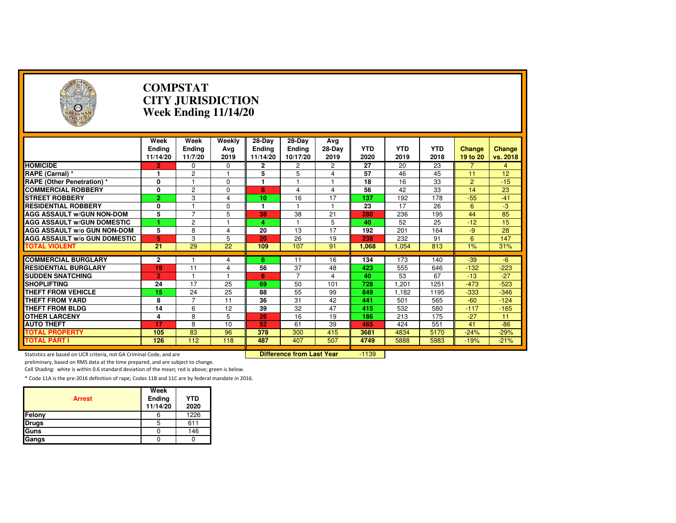| $\left( \frac{1}{2} \right)$                                        |                                   | <b>COMPSTAT</b><br><b>CITY JURISDICTION</b><br>Week Ending 11/14/20 |                                  |                                       |                                     |                         |                    |                    |                    |                           |                           |  |
|---------------------------------------------------------------------|-----------------------------------|---------------------------------------------------------------------|----------------------------------|---------------------------------------|-------------------------------------|-------------------------|--------------------|--------------------|--------------------|---------------------------|---------------------------|--|
|                                                                     | Week<br><b>Ending</b><br>11/14/20 | Week<br>Ending<br>11/7/20                                           | Weekly<br>Ava<br>2019            | $28-Dav$<br><b>Ending</b><br>11/14/20 | 28-Day<br><b>Ending</b><br>10/17/20 | Avg<br>$28-Day$<br>2019 | <b>YTD</b><br>2020 | <b>YTD</b><br>2019 | <b>YTD</b><br>2018 | <b>Change</b><br>19 to 20 | <b>Change</b><br>vs. 2018 |  |
| <b>HOMICIDE</b>                                                     | 2                                 | 0                                                                   | 0                                | $\mathbf{2}$                          | 2                                   | 2                       | 27                 | 20                 | 23                 | 7                         | $\overline{4}$            |  |
| RAPE (Carnal) *                                                     | 1                                 | $\overline{2}$                                                      |                                  | 5                                     | 5                                   | 4                       | 57                 | 46                 | 45                 | 11                        | 12                        |  |
| <b>RAPE (Other Penetration) *</b>                                   | 0                                 | 1                                                                   | $\Omega$                         | $\blacksquare$                        |                                     | $\overline{1}$          | 18                 | $\overline{16}$    | 33                 | $\overline{2}$            | $-15$                     |  |
| <b>COMMERCIAL ROBBERY</b>                                           | 0                                 | $\overline{2}$                                                      | $\Omega$                         | 8                                     | $\overline{\mathbf{4}}$             | $\overline{4}$          | 56                 | 42                 | $\overline{33}$    | 14                        | 23                        |  |
| <b>STREET ROBBERY</b>                                               | $\overline{2}$                    | 3                                                                   | $\overline{\mathbf{4}}$          | 10                                    | 16                                  | 17                      | 137                | 192                | 178                | $-55$                     | $-41$                     |  |
| <b>RESIDENTIAL ROBBERY</b>                                          | 0                                 | $\overline{1}$                                                      | $\Omega$                         | 1                                     |                                     | 1                       | 23                 | 17                 | 26                 | 6                         | $-3$                      |  |
| <b>AGG ASSAULT w/GUN NON-DOM</b>                                    | 5                                 | $\overline{7}$                                                      | 5                                | 38                                    | 38                                  | $\overline{21}$         | 280                | 236                | 195                | 44                        | 85                        |  |
| <b>AGG ASSAULT W/GUN DOMESTIC</b>                                   | 1                                 | $\overline{c}$                                                      |                                  | 4                                     |                                     | 5                       | 40                 | 52                 | 25                 | $-12$                     | 15                        |  |
| AGG ASSAULT w/o GUN NON-DOM                                         | 5                                 | 8                                                                   | 4                                | 20                                    | 13                                  | 17                      | 192                | 201                | 164                | -9                        | 28                        |  |
| <b>AGG ASSAULT W/o GUN DOMESTIC</b>                                 | 5                                 | 3                                                                   | 5                                | 20                                    | 26                                  | 19                      | 238                | 232                | 91                 | 6                         | 147                       |  |
| <b>TOTAL VIOLENT</b>                                                | 21                                | 29                                                                  | 22                               | 109                                   | 107                                 | 91                      | 1.068              | 1,054              | 813                | 1%                        | 31%                       |  |
|                                                                     |                                   |                                                                     |                                  |                                       |                                     |                         |                    |                    |                    |                           |                           |  |
| <b>COMMERCIAL BURGLARY</b>                                          | $\mathbf{2}$                      |                                                                     | 4                                | 6                                     | 11                                  | 16                      | 134                | 173                | 140                | $-39$                     | $-6$                      |  |
| <b>RESIDENTIAL BURGLARY</b>                                         | 19                                | 11                                                                  | 4                                | 56                                    | 37                                  | 48                      | 423                | 555                | 646                | $-132$                    | $-223$                    |  |
| <b>SUDDEN SNATCHING</b>                                             | $\overline{2}$                    | $\blacktriangleleft$                                                |                                  | 6                                     | $\overline{7}$                      | $\overline{4}$          | 40                 | 53                 | 67                 | $-13$                     | $-27$                     |  |
| <b>SHOPLIFTING</b>                                                  | 24                                | $\overline{17}$                                                     | 25                               | 69                                    | 50                                  | 101                     | 728                | 1,201              | 1251               | $-473$                    | $-523$                    |  |
| <b>THEFT FROM VEHICLE</b>                                           | 15                                | 24                                                                  | 25                               | 88                                    | 55                                  | 99                      | 849                | 1.182              | 1195               | $-333$                    | $-346$                    |  |
| <b>THEFT FROM YARD</b>                                              | 8                                 | $\overline{7}$                                                      | 11                               | $\overline{36}$                       | 31                                  | 42                      | 441                | 501                | 565                | $-60$                     | $-124$                    |  |
| <b>THEFT FROM BLDG</b>                                              | 14                                | 6                                                                   | 12                               | $\overline{39}$                       | 32                                  | 47                      | 415                | 532                | 580                | $-117$                    | $-165$                    |  |
| <b>OTHER LARCENY</b>                                                | 4                                 | 8                                                                   | 5                                | 26                                    | 16                                  | 19                      | 186                | 213                | 175                | $-27$                     | 11                        |  |
| <b>AUTO THEFT</b>                                                   | 17                                | 8                                                                   | 10                               | 52                                    | 61                                  | 39                      | 465                | 424                | 551                | 41                        | $-86$                     |  |
| <b>TOTAL PROPERTY</b>                                               | 105                               | 83                                                                  | 96                               | 378                                   | 300                                 | 415                     | 3681               | 4834               | 5170               | $-24%$                    | $-29%$                    |  |
| <b>TOTAL PART I</b>                                                 | 126                               | 112                                                                 | 118                              | 487                                   | 407                                 | 507                     | 4749               | 5888               | 5983               | $-19%$                    | $-21%$                    |  |
| Statistics are based on UCR criteria, not GA Criminal Code, and are |                                   |                                                                     | <b>Difference from Last Year</b> |                                       | $-1139$                             |                         |                    |                    |                    |                           |                           |  |

preliminary, based on RMS data at the time prepared, and are subject to change.

Cell Shading: white is within 0.6 standard deviation of the mean; red is above; green is below.

| <b>Arrest</b> | Week<br>Ending<br>11/14/20 | <b>YTD</b><br>2020 |
|---------------|----------------------------|--------------------|
| Felony        | 6                          | 1226               |
| <b>Drugs</b>  | 5                          | 611                |
| Guns          |                            | 146                |
| Gangs         |                            |                    |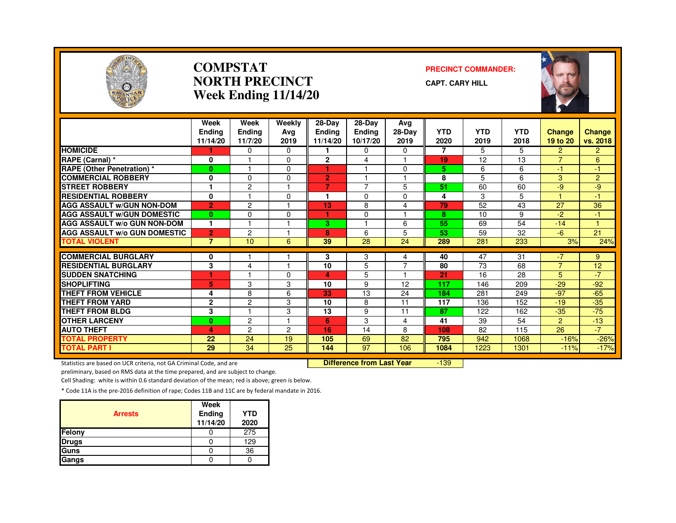

#### **COMPSTATNORTH PRECINCTWeek Ending 11/14/20**

#### **PRECINCT COMMANDER:**

**CAPT. CARY HILL**



|                                     | Week<br><b>Endina</b><br>11/14/20 | Week<br><b>Ending</b><br>11/7/20 | Weekly<br>Avg<br>2019 | $28$ -Day<br><b>Ending</b><br>11/14/20 | 28-Day<br><b>Ending</b><br>10/17/20 | Avg<br>28-Day<br>2019 | <b>YTD</b><br>2020 | <b>YTD</b><br>2019 | <b>YTD</b><br>2018 | <b>Change</b><br>19 to 20 | <b>Change</b><br>vs. 2018 |
|-------------------------------------|-----------------------------------|----------------------------------|-----------------------|----------------------------------------|-------------------------------------|-----------------------|--------------------|--------------------|--------------------|---------------------------|---------------------------|
| <b>HOMICIDE</b>                     |                                   | 0                                | 0                     |                                        | 0                                   | 0                     | $\overline{7}$     | 5                  | 5.                 | 2                         | $\overline{2}$            |
| RAPE (Carnal) *                     | 0                                 |                                  | $\Omega$              | $\overline{2}$                         | 4                                   |                       | 19                 | 12                 | 13                 | $\overline{7}$            | 6                         |
| <b>RAPE (Other Penetration) *</b>   | $\bf{0}$                          | 1                                | 0                     | ٠                                      |                                     | $\Omega$              | 5                  | 6                  | 6                  | $-1$                      | $-1$                      |
| <b>COMMERCIAL ROBBERY</b>           | 0                                 | $\Omega$                         | 0                     | $\overline{2}$                         |                                     | м                     | 8                  | 5                  | 6                  | 3                         | $\overline{2}$            |
| <b>STREET ROBBERY</b>               |                                   | $\overline{c}$                   |                       | 7                                      | 7                                   | 5                     | 51                 | 60                 | 60                 | $-9$                      | $-9$                      |
| <b>RESIDENTIAL ROBBERY</b>          | $\mathbf 0$                       |                                  | $\Omega$              |                                        | $\Omega$                            | $\Omega$              | 4                  | 3                  | 5                  |                           | $-1$                      |
| <b>AGG ASSAULT w/GUN NON-DOM</b>    | $\overline{2}$                    | 2                                |                       | 13                                     | 8                                   | 4                     | 79                 | 52                 | 43                 | 27                        | 36                        |
| <b>AGG ASSAULT W/GUN DOMESTIC</b>   | $\bf{0}$                          | $\Omega$                         | $\Omega$              |                                        | $\Omega$                            |                       | 8                  | 10                 | 9                  | $-2$                      | -1                        |
| <b>AGG ASSAULT W/o GUN NON-DOM</b>  | 1                                 | $\overline{\mathbf{1}}$          |                       | 3.                                     |                                     | 6                     | 55                 | 69                 | 54                 | $-14$                     | H                         |
| <b>AGG ASSAULT W/o GUN DOMESTIC</b> | $\overline{2}$                    | $\overline{c}$                   |                       | 8                                      | 6                                   | 5                     | 53                 | 59                 | 32                 | $-6$                      | 21                        |
| <b>TOTAL VIOLENT</b>                | $\overline{7}$                    | 10                               | 6                     | 39                                     | 28                                  | 24                    | 289                | 281                | 233                | 3%                        | 24%                       |
|                                     |                                   |                                  |                       |                                        |                                     |                       |                    |                    |                    |                           |                           |
| <b>COMMERCIAL BURGLARY</b>          | 0                                 |                                  |                       | 3                                      | 3                                   | 4<br>$\overline{ }$   | 40                 | 47                 | 31                 | $-7$<br>$\overline{7}$    | 9                         |
| <b>RESIDENTIAL BURGLARY</b>         | 3                                 | 4                                |                       | 10                                     | 5                                   |                       | 80                 | 73                 | 68                 |                           | 12                        |
| <b>SUDDEN SNATCHING</b>             | ۴                                 |                                  | <sup>0</sup>          | 4                                      | 5                                   |                       | 21                 | 16                 | 28                 | 5                         | $-7$                      |
| <b>SHOPLIFTING</b>                  | 5                                 | 3                                | 3                     | 10                                     | 9                                   | 12                    | 117                | 146                | 209                | $-29$                     | $-92$                     |
| THEFT FROM VEHICLE                  | 4                                 | 8                                | 6                     | 33                                     | 13                                  | 24                    | 184                | 281                | 249                | $-97$                     | $-65$                     |
| <b>THEFT FROM YARD</b>              | $\overline{2}$                    | $\overline{2}$                   | 3                     | 10                                     | 8                                   | 11                    | 117                | 136                | 152                | $-19$                     | $-35$                     |
| <b>THEFT FROM BLDG</b>              | 3                                 |                                  | 3                     | 13                                     | 9                                   | 11                    | 87                 | 122                | 162                | $-35$                     | $-75$                     |
| <b>OTHER LARCENY</b>                | $\bf{0}$                          | $\overline{2}$                   |                       | 6                                      | 3                                   | 4                     | 41                 | 39                 | 54                 | $\overline{2}$            | $-13$                     |
| <b>AUTO THEFT</b>                   | 4                                 | $\overline{c}$                   | 2                     | 16                                     | 14                                  | 8                     | 108                | 82                 | 115                | 26                        | $-7$                      |
| <b>TOTAL PROPERTY</b>               | 22                                | 24                               | 19                    | 105                                    | 69                                  | 82                    | 795                | 942                | 1068               | $-16%$                    | $-26%$                    |
| <b>TOTAL PART I</b>                 | 29                                | $\overline{34}$                  | 25                    | 144                                    | $\overline{97}$                     | 106                   | 1084               | 1223               | 1301               | $-11%$                    | $-17%$                    |

Statistics are based on UCR criteria, not GA Criminal Code, and are **Difference from Last Year** 

-139

preliminary, based on RMS data at the time prepared, and are subject to change.

Cell Shading: white is within 0.6 standard deviation of the mean; red is above; green is below.

| <b>Arrests</b> | Week<br>Ending<br>11/14/20 | <b>YTD</b><br>2020 |
|----------------|----------------------------|--------------------|
| Felony         |                            | 275                |
| <b>Drugs</b>   |                            | 129                |
| Guns           |                            | 36                 |
| Gangs          |                            |                    |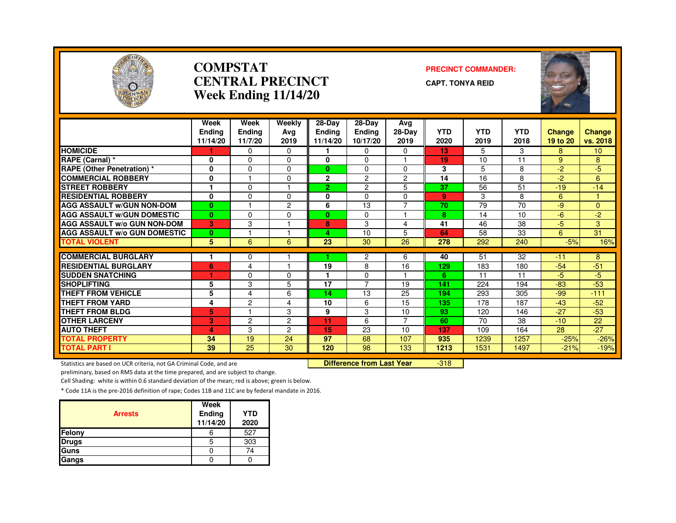

#### **COMPSTATCENTRAL PRECINCTWeek Ending 11/14/20**

#### **PRECINCT COMMANDER:**

**CAPT. TONYA REID**



|                                                                                                            | Week<br><b>Endina</b> | Week<br><b>Ending</b> | Weekly<br>Avg        | 28-Day<br><b>Endina</b> | 28-Day<br>Ending | Avg<br>28-Day        | <b>YTD</b>  | <b>YTD</b>   | <b>YTD</b>   | <b>Change</b> | <b>Change</b>   |
|------------------------------------------------------------------------------------------------------------|-----------------------|-----------------------|----------------------|-------------------------|------------------|----------------------|-------------|--------------|--------------|---------------|-----------------|
|                                                                                                            | 11/14/20              | 11/7/20               | 2019                 | 11/14/20                | 10/17/20         | 2019                 | 2020        | 2019         | 2018         | 19 to 20      | vs. 2018        |
| <b>HOMICIDE</b>                                                                                            |                       | $\mathbf 0$           | 0                    |                         | 0                | 0                    | 13          | 5            | 3            | 8             | 10 <sup>°</sup> |
| RAPE (Carnal) *                                                                                            | 0                     | $\Omega$              | 0                    | 0                       | $\mathbf{0}$     |                      | 19          | 10           | 11           | 9             | 8               |
| <b>RAPE (Other Penetration) *</b>                                                                          | 0                     | $\mathbf 0$           | $\Omega$             | $\mathbf{0}$            | $\mathbf 0$      | $\mathbf 0$          | 3           | 5            | 8            | $-2$          | $-5$            |
| <b>COMMERCIAL ROBBERY</b>                                                                                  | 0                     |                       | 0                    | $\mathbf{2}$            | $\overline{2}$   | $\overline{2}$       | 14          | 16           | 8            | $-2$          | 6               |
| <b>STREET ROBBERY</b>                                                                                      | 1                     | $\mathbf{0}$          |                      | $\overline{2}$          | $\overline{c}$   | 5                    | 37          | 56           | 51           | $-19$         | $-14$           |
| <b>RESIDENTIAL ROBBERY</b>                                                                                 | $\mathbf 0$           | $\mathbf 0$           | 0                    | 0                       | $\mathbf 0$      | 0                    | 9           | 3            | 8            | 6             | 1               |
| <b>AGG ASSAULT W/GUN NON-DOM</b>                                                                           | $\bf{0}$              |                       | $\overline{2}$       | 6                       | 13               | $\overline{7}$       | 70          | 79           | 70           | $-9$          | $\overline{0}$  |
| <b>AGG ASSAULT W/GUN DOMESTIC</b>                                                                          | $\mathbf{0}$          | $\Omega$              | 0                    | $\mathbf{0}$            | $\mathbf{0}$     |                      | 8           | 14           | 10           | $-6$          | $-2$            |
| <b>AGG ASSAULT W/o GUN NON-DOM</b>                                                                         | 3                     | 3                     |                      | 8                       | 3                | 4                    | 41          | 46           | 38           | $-5$          | 3               |
| <b>AGG ASSAULT W/o GUN DOMESTIC</b>                                                                        | $\mathbf{0}$          |                       |                      | 4                       | 10               | 5                    | 64          | 58           | 33           | 6             | 31              |
| <b>TOTAL VIOLENT</b>                                                                                       | 5                     | 6                     | 6                    | 23                      | 30               | 26                   | 278         | 292          | 240          | $-5%$         | 16%             |
| <b>COMMERCIAL BURGLARY</b>                                                                                 | 1                     |                       |                      |                         | $\overline{c}$   | 6                    | 40          | 51           | 32           | $-11$         | 8               |
| <b>RESIDENTIAL BURGLARY</b>                                                                                | 6                     | $\mathbf 0$<br>4      |                      | 19                      | 8                | 16                   | 129         | 183          | 180          | $-54$         | $-51$           |
| <b>SUDDEN SNATCHING</b>                                                                                    | 1                     | $\Omega$              | $\Omega$             |                         | $\Omega$         |                      | 6           | 11           | 11           | $-5$          | $-5$            |
| <b>SHOPLIFTING</b>                                                                                         | 5                     | 3                     | 5                    | 17                      | $\overline{7}$   | 19                   | 141         | 224          | 194          | $-83$         | $-53$           |
| <b>THEFT FROM VEHICLE</b>                                                                                  | 5                     | 4                     | 6                    | 14                      | 13               | 25                   | 194         | 293          | 305          | $-99$         | $-111$          |
| <b>THEFT FROM YARD</b>                                                                                     | 4                     | $\overline{c}$        | 4                    | 10                      | 6                | 15                   | 135         | 178          | 187          | $-43$         | $-52$           |
| <b>THEFT FROM BLDG</b>                                                                                     |                       |                       | 3                    | 9                       | 3                |                      | 93          | 120          | 146          | $-27$         |                 |
| <b>OTHER LARCENY</b>                                                                                       | 5<br>3                | $\overline{c}$        | $\overline{2}$       | 11                      | 6                | 10<br>$\overline{7}$ | 60          | 70           | 38           | $-10$         | $-53$<br>22     |
|                                                                                                            |                       |                       |                      |                         |                  |                      |             |              |              |               | $-27$           |
| <b>AUTO THEFT</b><br><b>TOTAL PROPERTY</b>                                                                 | 4                     | 3<br>19               | $\overline{2}$<br>24 | 15<br>97                | 23<br>68         | 10                   | 137         | 109          | 164          | 28            |                 |
|                                                                                                            | 34<br>39              | 25                    | 30                   |                         | 98               | 107                  | 935<br>1213 | 1239<br>1531 | 1257<br>1497 | $-25%$        | $-26%$          |
| <b>TOTAL PART I</b>                                                                                        |                       |                       |                      | 120                     |                  | 133                  |             |              |              | $-21%$        | $-19%$          |
| $-318$<br>Difference from Last Year<br>Statistics are based on UCR criteria, not GA Criminal Code, and are |                       |                       |                      |                         |                  |                      |             |              |              |               |                 |

preliminary, based on RMS data at the time prepared, and are subject to change.

Cell Shading: white is within 0.6 standard deviation of the mean; red is above; green is below.

| <b>Arrests</b> | Week<br>Ending<br>11/14/20 | <b>YTD</b><br>2020 |
|----------------|----------------------------|--------------------|
| Felony         |                            | 527                |
| <b>Drugs</b>   | ۰.                         | 303                |
| Guns           |                            | 74                 |
| Gangs          |                            |                    |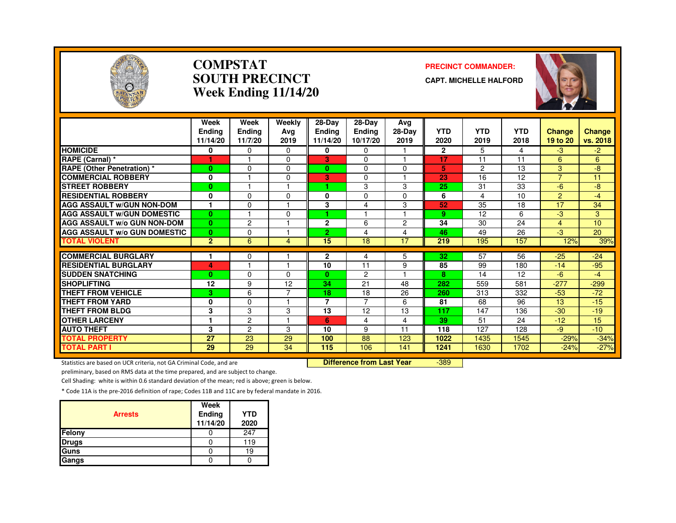

#### **COMPSTATSOUTH PRECINCTWeek Ending 11/14/20**

#### **PRECINCT COMMANDER:**

**CAPT. MICHELLE HALFORD**



|                                     | Week<br><b>Endina</b><br>11/14/20 | Week<br>Ending<br>11/7/20 | Weekly<br>Avg<br>2019 | 28-Day<br>Endina<br>11/14/20 | 28-Day<br><b>Ending</b><br>10/17/20 | Avg<br>28-Day<br>2019 | <b>YTD</b><br>2020 | <b>YTD</b><br>2019 | <b>YTD</b><br>2018 | <b>Change</b><br>19 to 20 | <b>Change</b><br>vs. 2018 |
|-------------------------------------|-----------------------------------|---------------------------|-----------------------|------------------------------|-------------------------------------|-----------------------|--------------------|--------------------|--------------------|---------------------------|---------------------------|
| <b>HOMICIDE</b>                     | 0                                 | $\Omega$                  | $\Omega$              | 0                            | $\mathbf{0}$                        |                       | $\overline{2}$     | 5                  | 4                  | $-3$                      | -2.                       |
| RAPE (Carnal) *                     |                                   |                           | $\Omega$              | 3                            | $\Omega$                            |                       | 17                 | 11                 | 11                 | 6                         | 6                         |
| <b>RAPE (Other Penetration) *</b>   | $\bf{0}$                          | $\Omega$                  | $\Omega$              | $\mathbf{0}$                 | $\mathbf{0}$                        | $\Omega$              | 5                  | 2                  | 13                 | 3                         | -8                        |
| <b>COMMERCIAL ROBBERY</b>           | 0                                 |                           | $\Omega$              | 3.                           | $\Omega$                            |                       | 23                 | 16                 | 12                 | $\overline{7}$            | 11                        |
| <b>STREET ROBBERY</b>               | $\bf{0}$                          |                           |                       |                              | 3                                   | 3                     | 25                 | 31                 | 33                 | -6                        | -8                        |
| <b>RESIDENTIAL ROBBERY</b>          | 0                                 | $\Omega$                  | $\Omega$              | 0                            | $\Omega$                            | $\Omega$              | 6                  | 4                  | 10                 | 2                         | $-4$                      |
| <b>AGG ASSAULT w/GUN NON-DOM</b>    | $\mathbf{1}$                      | 0                         |                       | 3                            | 4                                   | 3                     | 52                 | 35                 | 18                 | 17                        | 34                        |
| <b>AGG ASSAULT W/GUN DOMESTIC</b>   | $\bf{0}$                          |                           | $\Omega$              | ٠                            |                                     |                       | 9                  | 12                 | 6                  | -3                        | 3                         |
| AGG ASSAULT w/o GUN NON-DOM         | $\bf{0}$                          | $\overline{c}$            |                       | $\mathbf{2}$                 | 6                                   | $\overline{2}$        | 34                 | 30                 | 24                 | $\overline{4}$            | 10                        |
| <b>AGG ASSAULT W/o GUN DOMESTIC</b> | $\bf{0}$                          | $\Omega$                  |                       | $\overline{2}$               | 4                                   | 4                     | 46                 | 49                 | 26                 | -3                        | 20                        |
| <b>TOTAL VIOLENT</b>                | $\overline{2}$                    | 6                         | 4                     | 15                           | 18                                  | 17                    | 219                | 195                | 157                | 12%                       | 39%                       |
| <b>COMMERCIAL BURGLARY</b>          |                                   | 0                         |                       | 2                            | 4                                   | 5                     | 32                 | 57                 | 56                 | $-25$                     | $-24$                     |
| <b>RESIDENTIAL BURGLARY</b>         | 4                                 |                           | н                     | 10                           | 11                                  | 9                     | 85                 | 99                 | 180                | $-14$                     | $-95$                     |
| <b>ISUDDEN SNATCHING</b>            | $\bf{0}$                          | $\Omega$                  | $\Omega$              | $\mathbf{0}$                 | $\overline{c}$                      |                       | 8                  | 14                 | 12                 | -6                        | -4                        |
| <b>SHOPLIFTING</b>                  | 12                                | 9                         | 12                    | 34                           | 21                                  | 48                    | 282                | 559                | 581                | $-277$                    | $-299$                    |
| THEFT FROM VEHICLE                  | 3                                 | 6                         |                       | 18                           | 18                                  | 26                    | 260                | 313                | 332                | $-53$                     | $-72$                     |
| <b>THEFT FROM YARD</b>              | 0                                 | $\Omega$                  |                       | $\overline{7}$               | $\overline{7}$                      | 6                     | 81                 | 68                 | 96                 | 13                        | $-15$                     |
| <b>THEFT FROM BLDG</b>              | 3                                 | 3                         | 3                     | 13                           | 12                                  | 13                    | 117                | 147                | 136                | $-30$                     | $-19$                     |
| <b>OTHER LARCENY</b>                | 1                                 | $\overline{c}$            |                       | 6                            | 4                                   | 4                     | 39                 | 51                 | 24                 | $-12$                     | 15                        |
| <b>AUTO THEFT</b>                   | 3                                 | $\overline{c}$            | 3                     | 10                           | 9                                   | 11                    | 118                | 127                | 128                | -9                        | $-10$                     |
| <b>TOTAL PROPERTY</b>               | 27                                | 23                        | 29                    | 100                          | 88                                  | 123                   | 1022               | 1435               | 1545               | $-29%$                    | $-34%$                    |
| <b>TOTAL PART I</b>                 | 29                                | 29                        | 34                    | 115                          | 106                                 | 141                   | 1241               | 1630               | 1702               | $-24%$                    | $-27%$                    |

Statistics are based on UCR criteria, not GA Criminal Code, and are **Difference from Last Year** 

-389

preliminary, based on RMS data at the time prepared, and are subject to change.

Cell Shading: white is within 0.6 standard deviation of the mean; red is above; green is below.

| <b>Arrests</b> | Week<br>Ending<br>11/14/20 | <b>YTD</b><br>2020 |
|----------------|----------------------------|--------------------|
| Felony         |                            | 247                |
| <b>Drugs</b>   |                            | 119                |
| Guns           |                            | 19                 |
| Gangs          |                            |                    |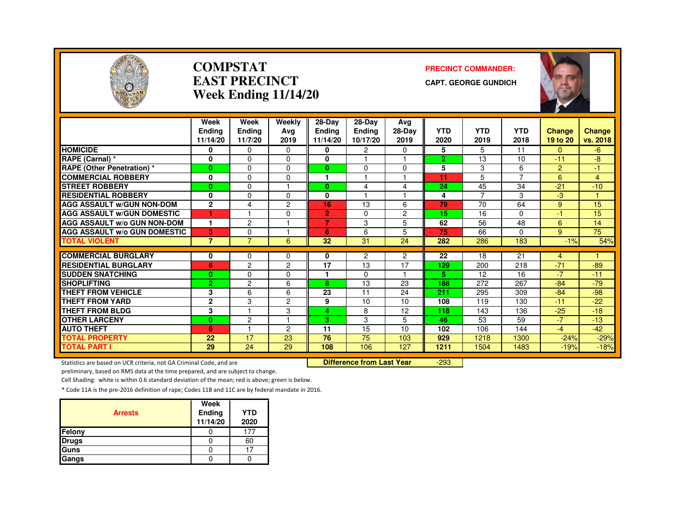

#### **COMPSTATEAST PRECINCTWeek Ending 11/14/20**

#### **PRECINCT COMMANDER:**

**CAPT. GEORGE GUNDICH**



|                                     | Week<br>Endina | Week<br><b>Ending</b> | Weekly<br>Ava  | $28-Dav$<br><b>Endina</b> | 28-Day<br><b>Ending</b> | Ava<br>$28-Dav$ | <b>YTD</b>     | <b>YTD</b>     | <b>YTD</b> | <b>Change</b> | Change   |
|-------------------------------------|----------------|-----------------------|----------------|---------------------------|-------------------------|-----------------|----------------|----------------|------------|---------------|----------|
|                                     | 11/14/20       | 11/7/20               | 2019           | 11/14/20                  | 10/17/20                | 2019            | 2020           | 2019           | 2018       | 19 to 20      | vs. 2018 |
| <b>HOMICIDE</b>                     | 0              | $\Omega$              | $\Omega$       | 0                         | 2                       | $\Omega$        | 5              | 5              | 11         | $\Omega$      | $-6$     |
| RAPE (Carnal) *                     | 0              | $\Omega$              | $\Omega$       | 0                         |                         |                 | $\overline{2}$ | 13             | 10         | $-11$         | -8       |
| <b>RAPE (Other Penetration)</b> *   | 0              | $\Omega$              | $\Omega$       | $\mathbf{0}$              | 0                       | $\Omega$        | 5              | 3              | 6          | 2             | -1.      |
| <b>COMMERCIAL ROBBERY</b>           | 0              | $\Omega$              | $\Omega$       |                           |                         |                 | 11             | 5              |            | 6             | 4        |
| <b>STREET ROBBERY</b>               | $\mathbf{0}$   | $\Omega$              |                | $\bf{0}$                  | 4                       | 4               | 24             | 45             | 34         | $-21$         | $-10$    |
| <b>RESIDENTIAL ROBBERY</b>          | 0              | $\Omega$              | $\Omega$       | 0                         |                         |                 | 4              | $\overline{7}$ | 3          | -3            |          |
| <b>AGG ASSAULT W/GUN NON-DOM</b>    | $\overline{2}$ | 4                     | $\overline{c}$ | 16                        | 13                      | 6               | 79             | 70             | 64         | 9             | 15       |
| <b>AGG ASSAULT W/GUN DOMESTIC</b>   | ٠              |                       | $\Omega$       | $\overline{2}$            | $\Omega$                | $\overline{2}$  | 15             | 16             | 0          | $-1$          | 15       |
| <b>AGG ASSAULT w/o GUN NON-DOM</b>  | 1              | $\overline{c}$        |                | $\overline{7}$            | 3                       | 5               | 62             | 56             | 48         | 6             | 14       |
| <b>AGG ASSAULT W/o GUN DOMESTIC</b> | 3              | $\Omega$              |                | 6                         | 6                       | 5               | 75             | 66             | 0          | 9             | 75       |
| <b>TOTAL VIOLENT</b>                | $\overline{7}$ | $\overline{7}$        | 6              | 32                        | 31                      | 24              | 282            | 286            | 183        | $-1%$         | 54%      |
|                                     |                |                       |                |                           |                         |                 |                |                |            |               |          |
| <b>COMMERCIAL BURGLARY</b>          | 0              | 0                     | 0              | 0                         | 2                       | $\overline{2}$  | 22             | 18             | 21         | 4             |          |
| <b>RESIDENTIAL BURGLARY</b>         | 6              | 2                     | $\overline{c}$ | 17                        | 13                      | 17              | 129            | 200            | 218        | $-71$         | $-89$    |
| <b>SUDDEN SNATCHING</b>             | $\mathbf{0}$   | $\Omega$              | 0              |                           | 0                       |                 | 5.             | 12             | 16         | $-7$          | $-11$    |
| <b>SHOPLIFTING</b>                  | $\overline{2}$ | $\overline{c}$        | 6              | 8                         | 13                      | 23              | 188            | 272            | 267        | $-84$         | $-79$    |
| THEFT FROM VEHICLE                  | 3              | 6                     | 6              | 23                        | 11                      | 24              | 211            | 295            | 309        | $-84$         | $-98$    |
| <b>THEFT FROM YARD</b>              | $\overline{2}$ | 3                     | $\overline{2}$ | 9                         | 10                      | 10              | 108            | 119            | 130        | $-11$         | $-22$    |
| <b>THEFT FROM BLDG</b>              | 3              | 1                     | 3              | 4                         | 8                       | 12              | 118            | 143            | 136        | $-25$         | $-18$    |
| <b>OTHER LARCENY</b>                | $\mathbf{0}$   | 2                     |                | 3                         | 3                       | 5.              | 46             | 53             | 59         | $-7$          | $-13$    |
| <b>AUTO THEFT</b>                   | 6              |                       | 2              | 11                        | 15                      | 10              | 102            | 106            | 144        | $-4$          | $-42$    |
| <b>TOTAL PROPERTY</b>               | 22             | 17                    | 23             | 76                        | 75                      | 103             | 929            | 1218           | 1300       | $-24%$        | $-29%$   |
| <b>TOTAL PART I</b>                 | 29             | 24                    | 29             | 108                       | 106                     | 127             | 1211           | 1504           | 1483       | $-19%$        | $-18%$   |

Statistics are based on UCR criteria, not GA Criminal Code, and are **Difference from Last Year** 

-293

preliminary, based on RMS data at the time prepared, and are subject to change.

Cell Shading: white is within 0.6 standard deviation of the mean; red is above; green is below.

| <b>Arrests</b> | Week<br>Ending<br>11/14/20 | <b>YTD</b><br>2020 |
|----------------|----------------------------|--------------------|
| Felony         |                            |                    |
| <b>Drugs</b>   |                            | 60                 |
| Guns           |                            |                    |
| Gangs          |                            |                    |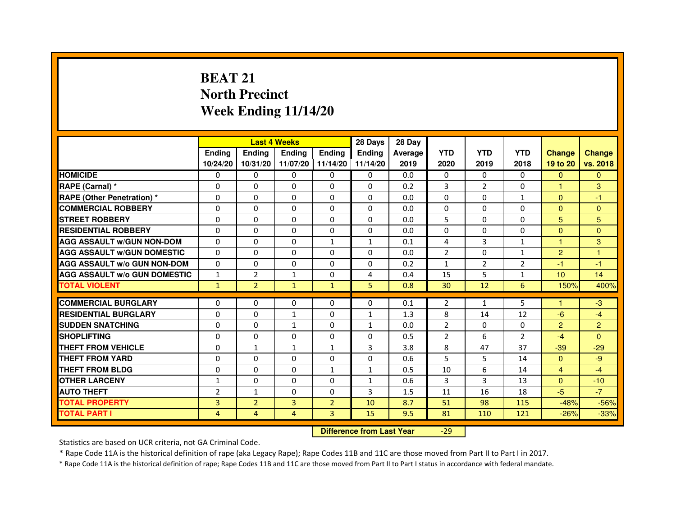# **BEAT 21 North PrecinctWeek Ending 11/14/20**

|                                     |                | <b>Last 4 Weeks</b> |               |                   | 28 Days       | 28 Day  |                |              |                |                 |                |
|-------------------------------------|----------------|---------------------|---------------|-------------------|---------------|---------|----------------|--------------|----------------|-----------------|----------------|
|                                     | <b>Endina</b>  | <b>Endina</b>       | <b>Endina</b> | Ending            | <b>Endina</b> | Average | <b>YTD</b>     | <b>YTD</b>   | <b>YTD</b>     | <b>Change</b>   | <b>Change</b>  |
|                                     | 10/24/20       | 10/31/20            |               | 11/07/20 11/14/20 | 11/14/20      | 2019    | 2020           | 2019         | 2018           | 19 to 20        | vs. 2018       |
| <b>HOMICIDE</b>                     | 0              | 0                   | $\mathbf{0}$  | 0                 | 0             | 0.0     | $\mathbf{0}$   | 0            | $\mathbf{0}$   | $\mathbf{0}$    | $\mathbf{0}$   |
| RAPE (Carnal) *                     | $\Omega$       | $\Omega$            | $\Omega$      | $\Omega$          | $\Omega$      | 0.2     | 3              | 2            | $\Omega$       | $\mathbf{1}$    | 3              |
| <b>RAPE (Other Penetration) *</b>   | 0              | $\Omega$            | 0             | $\Omega$          | $\Omega$      | 0.0     | $\Omega$       | $\Omega$     | $\mathbf{1}$   | $\Omega$        | $-1$           |
| <b>COMMERCIAL ROBBERY</b>           | 0              | 0                   | 0             | 0                 | $\Omega$      | 0.0     | $\Omega$       | $\Omega$     | $\Omega$       | $\mathbf{0}$    | $\Omega$       |
| <b>STREET ROBBERY</b>               | 0              | 0                   | 0             | 0                 | 0             | 0.0     | 5              | 0            | 0              | 5               | 5              |
| <b>RESIDENTIAL ROBBERY</b>          | 0              | $\Omega$            | $\Omega$      | $\Omega$          | $\Omega$      | 0.0     | $\Omega$       | $\Omega$     | $\Omega$       | $\Omega$        | $\Omega$       |
| <b>AGG ASSAULT W/GUN NON-DOM</b>    | $\Omega$       | $\mathbf 0$         | $\Omega$      | $\mathbf{1}$      | $\mathbf{1}$  | 0.1     | 4              | 3            | $\mathbf{1}$   | $\mathbf{1}$    | 3              |
| <b>AGG ASSAULT W/GUN DOMESTIC</b>   | 0              | 0                   | 0             | 0                 | $\Omega$      | 0.0     | $\overline{2}$ | 0            | $\mathbf{1}$   | $\overline{2}$  | 1              |
| <b>AGG ASSAULT W/o GUN NON-DOM</b>  | $\Omega$       | 0                   | $\Omega$      | $\Omega$          | $\Omega$      | 0.2     | $\mathbf{1}$   | 2            | $\overline{2}$ | $-1$            | $-1$           |
| <b>AGG ASSAULT W/o GUN DOMESTIC</b> | $\mathbf{1}$   | $\overline{2}$      | $\mathbf{1}$  | $\Omega$          | 4             | 0.4     | 15             | 5            | $\mathbf{1}$   | 10 <sup>1</sup> | 14             |
| <b>TOTAL VIOLENT</b>                | $\mathbf{1}$   | $\overline{2}$      | $\mathbf{1}$  | $\mathbf{1}$      | 5             | 0.8     | 30             | 12           | 6              | 150%            | 400%           |
|                                     |                |                     |               |                   |               |         |                |              |                |                 |                |
| <b>COMMERCIAL BURGLARY</b>          | 0              | 0                   | 0             | 0                 | $\Omega$      | 0.1     | 2              | $\mathbf{1}$ | 5              | 1               | $-3$           |
| <b>RESIDENTIAL BURGLARY</b>         | 0              | $\Omega$            | $\mathbf{1}$  | $\Omega$          | $\mathbf{1}$  | 1.3     | 8              | 14           | 12             | -6              | $-4$           |
| <b>SUDDEN SNATCHING</b>             | 0              | 0                   | 1             | 0                 | $\mathbf{1}$  | 0.0     | $\overline{2}$ | $\Omega$     | $\Omega$       | $\overline{2}$  | $\overline{2}$ |
| <b>SHOPLIFTING</b>                  | 0              | 0                   | 0             | $\Omega$          | $\Omega$      | 0.5     | $\overline{2}$ | 6            | $\overline{2}$ | $-4$            | $\Omega$       |
| <b>THEFT FROM VEHICLE</b>           | 0              | $\mathbf{1}$        | $\mathbf{1}$  | $\mathbf{1}$      | 3             | 3.8     | 8              | 47           | 37             | $-39$           | $-29$          |
| <b>THEFT FROM YARD</b>              | $\Omega$       | $\Omega$            | $\Omega$      | $\Omega$          | $\Omega$      | 0.6     | 5              | 5            | 14             | $\Omega$        | -9             |
| <b>THEFT FROM BLDG</b>              | 0              | 0                   | 0             | 1                 | 1             | 0.5     | 10             | 6            | 14             | $\overline{4}$  | $-4$           |
| <b>OTHER LARCENY</b>                | 1              | 0                   | $\Omega$      | $\Omega$          | $\mathbf{1}$  | 0.6     | 3              | 3            | 13             | $\Omega$        | $-10$          |
| <b>AUTO THEFT</b>                   | $\overline{2}$ | 1                   | $\Omega$      | $\Omega$          | 3             | 1.5     | 11             | 16           | 18             | $-5$            | $-7$           |
| <b>TOTAL PROPERTY</b>               | 3              | $\overline{2}$      | 3             | $\overline{2}$    | 10            | 8.7     | 51             | 98           | 115            | $-48%$          | $-56%$         |
| <b>TOTAL PART I</b>                 | 4              | 4                   | 4             | 3                 | 15            | 9.5     | 81             | 110          | 121            | $-26%$          | $-33%$         |

 **Difference from Last Year**

-29

Statistics are based on UCR criteria, not GA Criminal Code.

\* Rape Code 11A is the historical definition of rape (aka Legacy Rape); Rape Codes 11B and 11C are those moved from Part II to Part I in 2017.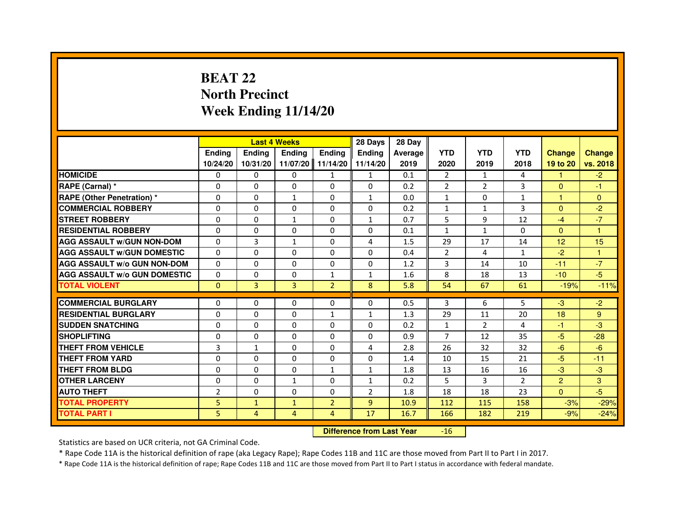## **BEAT 22 North PrecinctWeek Ending 11/14/20**

|                                     |                | <b>Last 4 Weeks</b> |              |                | 28 Days                          | 28 Day  |                |                |                |                |                |
|-------------------------------------|----------------|---------------------|--------------|----------------|----------------------------------|---------|----------------|----------------|----------------|----------------|----------------|
|                                     | <b>Ending</b>  | <b>Ending</b>       | Ending       | <b>Ending</b>  | Ending                           | Average | <b>YTD</b>     | <b>YTD</b>     | <b>YTD</b>     | <b>Change</b>  | <b>Change</b>  |
|                                     | 10/24/20       | 10/31/20            | 11/07/20     | 11/14/20       | 11/14/20                         | 2019    | 2020           | 2019           | 2018           | 19 to 20       | vs. 2018       |
| <b>HOMICIDE</b>                     | 0              | $\Omega$            | $\Omega$     | $\mathbf{1}$   | $\mathbf{1}$                     | 0.1     | $\overline{2}$ | $\mathbf{1}$   | 4              | 1.             | $-2$           |
| RAPE (Carnal) *                     | 0              | $\mathbf{0}$        | 0            | 0              | 0                                | 0.2     | 2              | $\overline{2}$ | 3              | $\Omega$       | $-1$           |
| RAPE (Other Penetration) *          | $\Omega$       | 0                   | 1            | $\Omega$       | $\mathbf{1}$                     | 0.0     | $\mathbf{1}$   | $\mathbf{0}$   | 1              | 1              | $\overline{0}$ |
| <b>COMMERCIAL ROBBERY</b>           | $\Omega$       | $\Omega$            | $\Omega$     | $\Omega$       | 0                                | 0.2     | $\mathbf{1}$   | $\mathbf{1}$   | 3              | $\mathbf{0}$   | $-2$           |
| <b>STREET ROBBERY</b>               | $\Omega$       | $\Omega$            | $\mathbf{1}$ | $\Omega$       | $\mathbf{1}$                     | 0.7     | 5              | 9              | 12             | $-4$           | $-7$           |
| <b>RESIDENTIAL ROBBERY</b>          | 0              | 0                   | 0            | 0              | 0                                | 0.1     | $\mathbf{1}$   | $\mathbf{1}$   | $\mathbf{0}$   | $\mathbf{0}$   | 1              |
| <b>AGG ASSAULT w/GUN NON-DOM</b>    | $\Omega$       | $\overline{3}$      | $\mathbf{1}$ | $\Omega$       | 4                                | 1.5     | 29             | 17             | 14             | 12             | 15             |
| <b>AGG ASSAULT W/GUN DOMESTIC</b>   | $\Omega$       | $\Omega$            | $\Omega$     | $\Omega$       | $\Omega$                         | 0.4     | $\overline{2}$ | 4              | $\mathbf{1}$   | $-2$           | $\mathbf{1}$   |
| <b>AGG ASSAULT W/o GUN NON-DOM</b>  | $\Omega$       | $\Omega$            | $\Omega$     | $\Omega$       | $\Omega$                         | 1.2     | 3              | 14             | 10             | $-11$          | $-7$           |
| <b>AGG ASSAULT w/o GUN DOMESTIC</b> | $\Omega$       | $\Omega$            | 0            | $\mathbf{1}$   | $\mathbf{1}$                     | 1.6     | 8              | 18             | 13             | $-10$          | $-5$           |
| <b>TOTAL VIOLENT</b>                | $\mathbf 0$    | 3                   | 3            | $\overline{2}$ | 8                                | 5.8     | 54             | 67             | 61             | $-19%$         | $-11%$         |
| <b>COMMERCIAL BURGLARY</b>          | 0              | 0                   | 0            | 0              | 0                                | 0.5     | 3              | 6              | 5              | $-3$           | $-2$           |
| <b>RESIDENTIAL BURGLARY</b>         | $\Omega$       | $\Omega$            | $\Omega$     | 1              | $\mathbf{1}$                     | 1.3     | 29             | 11             | 20             | 18             | 9              |
| <b>SUDDEN SNATCHING</b>             | $\Omega$       | $\Omega$            | $\Omega$     | $\Omega$       | $\Omega$                         | 0.2     | $\mathbf{1}$   | $\overline{2}$ | 4              | $-1$           | $-3$           |
| <b>SHOPLIFTING</b>                  | 0              | $\Omega$            | 0            | $\Omega$       | 0                                | 0.9     | 7              | 12             | 35             | $-5$           | $-28$          |
| THEFT FROM VEHICLE                  | 3              | $\mathbf{1}$        | 0            | $\Omega$       | 4                                | 2.8     | 26             | 32             | 32             | $-6$           | $-6$           |
| <b>THEFT FROM YARD</b>              | $\Omega$       | $\Omega$            | $\Omega$     | $\Omega$       | $\Omega$                         | 1.4     | 10             | 15             | 21             | $-5$           | $-11$          |
| <b>THEFT FROM BLDG</b>              | $\Omega$       | $\Omega$            | $\Omega$     | $\mathbf{1}$   | $\mathbf{1}$                     | 1.8     | 13             | 16             | 16             | $-3$           | $-3$           |
| <b>OTHER LARCENY</b>                | 0              | $\Omega$            | 1            | 0              | 1                                | 0.2     | 5              | 3              | $\overline{2}$ | $\overline{2}$ | 3              |
| <b>AUTO THEFT</b>                   | $\overline{2}$ | $\Omega$            | $\Omega$     | $\Omega$       | $\overline{2}$                   | 1.8     | 18             | 18             | 23             | $\Omega$       | $-5$           |
| <b>TOTAL PROPERTY</b>               | 5              | $\mathbf{1}$        | $\mathbf{1}$ | $\overline{2}$ | $\overline{9}$                   | 10.9    | 112            | 115            | 158            | $-3%$          | $-29%$         |
| <b>TOTAL PART I</b>                 | 5              | $\overline{4}$      | 4            | 4              | 17                               | 16.7    | 166            | 182            | 219            | $-9%$          | $-24%$         |
|                                     |                |                     |              |                | <b>Difference from Last Year</b> |         | $-16$          |                |                |                |                |

 **Difference from Last Year**

Statistics are based on UCR criteria, not GA Criminal Code.

\* Rape Code 11A is the historical definition of rape (aka Legacy Rape); Rape Codes 11B and 11C are those moved from Part II to Part I in 2017.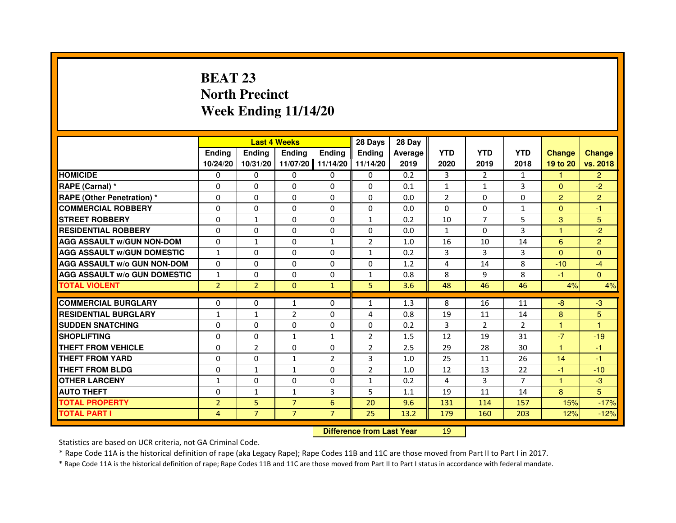# **BEAT 23 North PrecinctWeek Ending 11/14/20**

|                                     |                | <b>Last 4 Weeks</b>              |                |                | 28 Days        | 28 Day  |                |                |                |                      |                |
|-------------------------------------|----------------|----------------------------------|----------------|----------------|----------------|---------|----------------|----------------|----------------|----------------------|----------------|
|                                     | <b>Ending</b>  | Ending                           | Ending         | Ending         | Ending         | Average | <b>YTD</b>     | <b>YTD</b>     | <b>YTD</b>     | <b>Change</b>        | <b>Change</b>  |
|                                     | 10/24/20       | 10/31/20                         | 11/07/20       | 11/14/20       | 11/14/20       | 2019    | 2020           | 2019           | 2018           | 19 to 20             | vs. 2018       |
| <b>HOMICIDE</b>                     | 0              | $\Omega$                         | 0              | 0              | $\mathbf{0}$   | 0.2     | 3              | 2              | $\mathbf{1}$   | 1.                   | $\overline{2}$ |
| RAPE (Carnal) *                     | 0              | 0                                | 0              | 0              | 0              | 0.1     | $\mathbf{1}$   | $\mathbf{1}$   | 3              | $\Omega$             | $-2$           |
| RAPE (Other Penetration) *          | $\Omega$       | $\Omega$                         | $\Omega$       | $\Omega$       | $\Omega$       | 0.0     | $\overline{2}$ | $\Omega$       | $\Omega$       | $\overline{2}$       | $\overline{2}$ |
| <b>COMMERCIAL ROBBERY</b>           | 0              | $\Omega$                         | $\Omega$       | $\Omega$       | $\Omega$       | 0.0     | $\Omega$       | $\Omega$       | $\mathbf{1}$   | $\overline{0}$       | $-1$           |
| <b>STREET ROBBERY</b>               | $\Omega$       | $\mathbf{1}$                     | $\Omega$       | $\Omega$       | $\mathbf{1}$   | 0.2     | 10             | $\overline{7}$ | 5              | 3                    | 5              |
| <b>RESIDENTIAL ROBBERY</b>          | 0              | 0                                | 0              | 0              | 0              | 0.0     | $\mathbf{1}$   | 0              | 3              | $\mathbf{1}$         | $-2$           |
| <b>AGG ASSAULT w/GUN NON-DOM</b>    | $\Omega$       | $\mathbf{1}$                     | $\Omega$       | $\mathbf{1}$   | $\overline{2}$ | 1.0     | 16             | 10             | 14             | 6                    | $\overline{2}$ |
| <b>AGG ASSAULT W/GUN DOMESTIC</b>   | $\mathbf{1}$   | $\Omega$                         | $\Omega$       | $\Omega$       | $\mathbf{1}$   | 0.2     | 3              | $\overline{3}$ | 3              | $\Omega$             | $\Omega$       |
| <b>AGG ASSAULT W/o GUN NON-DOM</b>  | $\Omega$       | $\Omega$                         | $\Omega$       | $\Omega$       | $\Omega$       | 1.2     | 4              | 14             | 8              | $-10$                | $-4$           |
| <b>AGG ASSAULT w/o GUN DOMESTIC</b> | $\mathbf{1}$   | $\Omega$                         | $\Omega$       | $\Omega$       | $\mathbf{1}$   | 0.8     | 8              | 9              | 8              | $-1$                 | $\Omega$       |
| <b>TOTAL VIOLENT</b>                | $\overline{2}$ | $\overline{2}$                   | $\mathbf{0}$   | $\mathbf{1}$   | 5              | 3.6     | 48             | 46             | 46             | 4%                   | 4%             |
| <b>COMMERCIAL BURGLARY</b>          | 0              | 0                                | 1              | 0              | $\mathbf{1}$   | 1.3     | 8              | 16             | 11             | $-8$                 | -3             |
| <b>RESIDENTIAL BURGLARY</b>         | $\mathbf{1}$   | 1                                | $\overline{2}$ | $\Omega$       | 4              | 0.8     | 19             | 11             | 14             | 8                    | 5              |
| <b>SUDDEN SNATCHING</b>             | $\Omega$       | $\Omega$                         | $\Omega$       | $\Omega$       | $\Omega$       | 0.2     | $\overline{3}$ | $\overline{2}$ | $\overline{2}$ | $\mathbf{1}$         | $\mathbf{1}$   |
| <b>SHOPLIFTING</b>                  | 0              | $\Omega$                         | $\mathbf{1}$   | $\mathbf{1}$   | 2              | 1.5     | 12             | 19             | 31             | $-7$                 | $-19$          |
| <b>THEFT FROM VEHICLE</b>           | 0              | $\overline{2}$                   | $\Omega$       | 0              | $\overline{2}$ | 2.5     | 29             | 28             | 30             | $\blacktriangleleft$ | $-1$           |
| <b>THEFT FROM YARD</b>              | $\Omega$       | $\Omega$                         | $\mathbf{1}$   | $\overline{2}$ | 3              | 1.0     | 25             | 11             | 26             | 14                   | $-1$           |
| <b>THEFT FROM BLDG</b>              | $\Omega$       | $\mathbf{1}$                     | $\mathbf{1}$   | $\Omega$       | $\overline{2}$ | 1.0     | 12             | 13             | 22             | $-1$                 | $-10$          |
| <b>OTHER LARCENY</b>                | 1              | $\Omega$                         | $\Omega$       | 0              | $\mathbf{1}$   | 0.2     | 4              | 3              | $\overline{7}$ | 1                    | $-3$           |
| <b>AUTO THEFT</b>                   | $\Omega$       | $\mathbf{1}$                     | $\mathbf{1}$   | $\overline{3}$ | 5              | 1.1     | 19             | 11             | 14             | 8                    | 5              |
| <b>TOTAL PROPERTY</b>               | $\overline{2}$ | 5                                | $\overline{7}$ | $6\phantom{1}$ | 20             | 9.6     | 131            | 114            | 157            | 15%                  | $-17%$         |
| <b>TOTAL PART I</b>                 | $\overline{4}$ | $\overline{7}$                   | $\overline{7}$ | $\overline{7}$ | 25             | 13.2    | 179            | 160            | 203            | 12%                  | $-12%$         |
|                                     |                | <b>Difference from Last Year</b> |                | 19             |                |         |                |                |                |                      |                |

 **Difference from Last Year**

Statistics are based on UCR criteria, not GA Criminal Code.

\* Rape Code 11A is the historical definition of rape (aka Legacy Rape); Rape Codes 11B and 11C are those moved from Part II to Part I in 2017.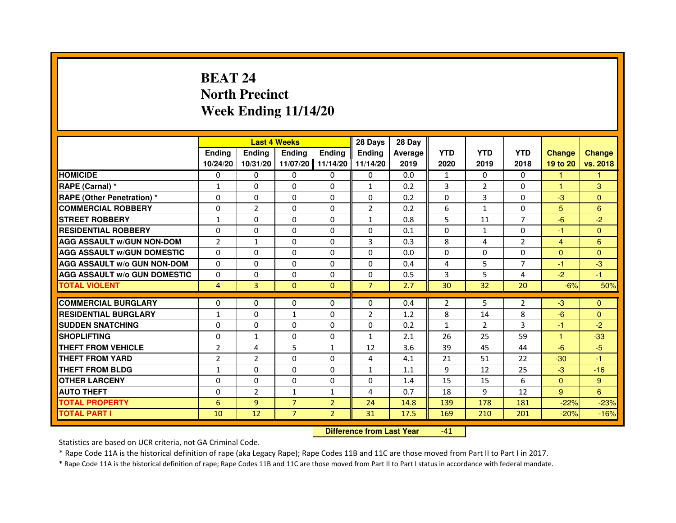# **BEAT 24 North PrecinctWeek Ending 11/14/20**

|                                     |                | <b>Last 4 Weeks</b>              |                |                | 28 Days        | 28 Day  |              |                |                |                |                |
|-------------------------------------|----------------|----------------------------------|----------------|----------------|----------------|---------|--------------|----------------|----------------|----------------|----------------|
|                                     | <b>Ending</b>  | <b>Ending</b>                    | Ending         | <b>Ending</b>  | Ending         | Average | <b>YTD</b>   | <b>YTD</b>     | <b>YTD</b>     | <b>Change</b>  | <b>Change</b>  |
|                                     | 10/24/20       | 10/31/20                         | 11/07/20       | 11/14/20       | 11/14/20       | 2019    | 2020         | 2019           | 2018           | 19 to 20       | vs. 2018       |
| <b>HOMICIDE</b>                     | 0              | $\Omega$                         | $\Omega$       | $\Omega$       | 0              | 0.0     | $\mathbf{1}$ | $\Omega$       | $\Omega$       | 1.             | 1              |
| RAPE (Carnal) *                     | 1              | $\mathbf{0}$                     | 0              | 0              | $\mathbf{1}$   | 0.2     | 3            | 2              | 0              | 1              | 3              |
| RAPE (Other Penetration) *          | $\Omega$       | 0                                | $\Omega$       | $\Omega$       | $\Omega$       | 0.2     | $\Omega$     | 3              | 0              | $-3$           | $\overline{0}$ |
| <b>COMMERCIAL ROBBERY</b>           | 0              | $\overline{2}$                   | $\Omega$       | $\Omega$       | $\overline{2}$ | 0.2     | 6            | $\mathbf{1}$   | $\Omega$       | 5              | $6\phantom{1}$ |
| <b>STREET ROBBERY</b>               | $\mathbf{1}$   | $\Omega$                         | $\Omega$       | $\Omega$       | $\mathbf{1}$   | 0.8     | 5            | 11             | $\overline{7}$ | $-6$           | $-2$           |
| <b>RESIDENTIAL ROBBERY</b>          | 0              | 0                                | 0              | 0              | 0              | 0.1     | 0            | $\mathbf{1}$   | $\Omega$       | $-1$           | $\overline{0}$ |
| <b>AGG ASSAULT w/GUN NON-DOM</b>    | $\overline{2}$ | $\mathbf{1}$                     | $\Omega$       | $\Omega$       | 3              | 0.3     | 8            | 4              | $\overline{2}$ | $\overline{4}$ | $6\phantom{1}$ |
| <b>AGG ASSAULT W/GUN DOMESTIC</b>   | $\Omega$       | $\Omega$                         | $\Omega$       | $\Omega$       | $\Omega$       | 0.0     | $\Omega$     | $\Omega$       | $\Omega$       | $\Omega$       | $\Omega$       |
| <b>AGG ASSAULT W/o GUN NON-DOM</b>  | $\Omega$       | $\Omega$                         | $\Omega$       | $\Omega$       | $\Omega$       | 0.4     | 4            | 5              | $\overline{7}$ | $-1$           | $-3$           |
| <b>AGG ASSAULT w/o GUN DOMESTIC</b> | $\Omega$       | $\Omega$                         | 0              | $\Omega$       | $\Omega$       | 0.5     | 3            | 5              | 4              | $-2$           | $-1$           |
| <b>TOTAL VIOLENT</b>                | $\overline{4}$ | 3                                | $\mathbf{0}$   | $\mathbf{0}$   | $\overline{7}$ | 2.7     | 30           | 32             | 20             | $-6%$          | 50%            |
| <b>COMMERCIAL BURGLARY</b>          | 0              | 0                                | 0              | 0              | 0              | 0.4     | 2            | 5              | 2              | $-3$           | $\mathbf{0}$   |
| <b>RESIDENTIAL BURGLARY</b>         | 1              | $\Omega$                         | 1              | $\Omega$       | $\overline{2}$ | 1.2     | 8            | 14             | 8              | $-6$           | $\mathbf{0}$   |
| <b>SUDDEN SNATCHING</b>             | 0              | $\Omega$                         | $\Omega$       | $\Omega$       | $\Omega$       | 0.2     | $\mathbf{1}$ | $\overline{2}$ | 3              | $-1$           | $-2$           |
| <b>SHOPLIFTING</b>                  | 0              | $\mathbf{1}$                     | 0              | 0              | $\mathbf{1}$   | 2.1     | 26           | 25             | 59             | $\mathbf{1}$   | $-33$          |
| THEFT FROM VEHICLE                  | $\overline{2}$ | 4                                | 5              | 1              | 12             | 3.6     | 39           | 45             | 44             | $-6$           | $-5$           |
| <b>THEFT FROM YARD</b>              | $\overline{2}$ | $\overline{2}$                   | $\Omega$       | $\Omega$       | $\overline{4}$ | 4.1     | 21           | 51             | 22             | $-30$          | $-1$           |
| <b>THEFT FROM BLDG</b>              | $\mathbf{1}$   | $\Omega$                         | $\Omega$       | $\Omega$       | $\mathbf{1}$   | 1.1     | 9            | 12             | 25             | $-3$           | $-16$          |
| <b>OTHER LARCENY</b>                | 0              | $\mathbf{0}$                     | $\mathbf{0}$   | $\Omega$       | 0              | 1.4     | 15           | 15             | 6              | $\mathbf{0}$   | 9              |
| <b>AUTO THEFT</b>                   | $\Omega$       | $\overline{2}$                   | $\mathbf{1}$   | $\mathbf{1}$   | 4              | 0.7     | 18           | 9              | 12             | 9              | 6              |
| <b>TOTAL PROPERTY</b>               | 6              | 9                                | $\overline{7}$ | $\overline{2}$ | 24             | 14.8    | 139          | 178            | 181            | $-22%$         | $-23%$         |
| <b>TOTAL PART I</b>                 | 10             | 12                               | $\overline{7}$ | $\overline{2}$ | 31             | 17.5    | 169          | 210            | 201            | $-20%$         | $-16%$         |
|                                     |                | <b>Difference from Last Year</b> |                | $-41$          |                |         |              |                |                |                |                |

 **Difference from Last Year**

Statistics are based on UCR criteria, not GA Criminal Code.

\* Rape Code 11A is the historical definition of rape (aka Legacy Rape); Rape Codes 11B and 11C are those moved from Part II to Part I in 2017.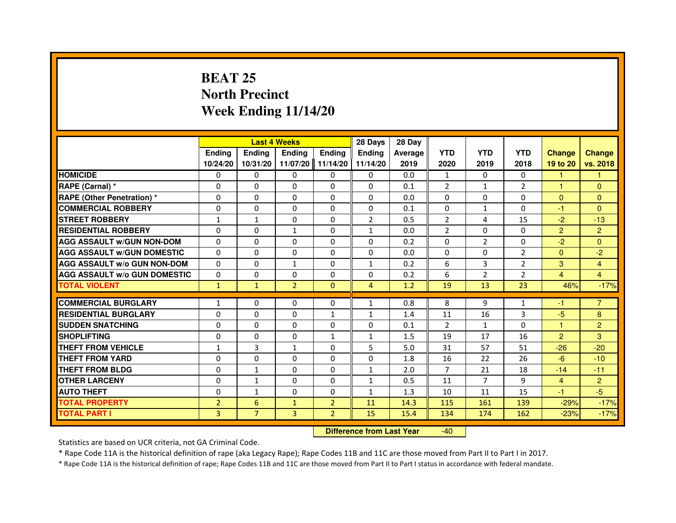## **BEAT 25 North PrecinctWeek Ending 11/14/20**

|                                     |                |                | <b>Last 4 Weeks</b> |                | 28 Days        | 28 Day  |                |                |                |                |                |
|-------------------------------------|----------------|----------------|---------------------|----------------|----------------|---------|----------------|----------------|----------------|----------------|----------------|
|                                     | Ending         | <b>Endina</b>  | <b>Ending</b>       | <b>Ending</b>  | <b>Endina</b>  | Average | <b>YTD</b>     | <b>YTD</b>     | <b>YTD</b>     | <b>Change</b>  | <b>Change</b>  |
|                                     | 10/24/20       | 10/31/20       | 11/07/20            | 11/14/20       | 11/14/20       | 2019    | 2020           | 2019           | 2018           | 19 to 20       | vs. 2018       |
| <b>HOMICIDE</b>                     | 0              | $\Omega$       | $\mathbf{0}$        | 0              | 0              | 0.0     | $\mathbf{1}$   | 0              | $\Omega$       | 1              |                |
| RAPE (Carnal) *                     | $\Omega$       | $\Omega$       | $\Omega$            | $\Omega$       | $\Omega$       | 0.1     | $\overline{2}$ | $\mathbf{1}$   | $\overline{2}$ | $\mathbf{1}$   | $\mathbf{0}$   |
| <b>RAPE (Other Penetration) *</b>   | 0              | $\mathbf{0}$   | $\mathbf{0}$        | 0              | 0              | 0.0     | 0              | 0              | 0              | $\mathbf{0}$   | $\Omega$       |
| <b>COMMERCIAL ROBBERY</b>           | 0              | $\Omega$       | $\Omega$            | $\Omega$       | $\Omega$       | 0.1     | $\Omega$       | $\mathbf{1}$   | $\Omega$       | $-1$           | $\mathbf{0}$   |
| <b>STREET ROBBERY</b>               | 1              | 1              | $\Omega$            | $\Omega$       | $\overline{2}$ | 0.5     | $\overline{2}$ | 4              | 15             | $-2$           | $-13$          |
| <b>RESIDENTIAL ROBBERY</b>          | 0              | $\Omega$       | $\mathbf{1}$        | $\Omega$       | $\mathbf{1}$   | 0.0     | $\overline{2}$ | $\Omega$       | $\Omega$       | $\overline{2}$ | $\overline{2}$ |
| <b>AGG ASSAULT w/GUN NON-DOM</b>    | $\Omega$       | $\Omega$       | $\Omega$            | $\Omega$       | $\Omega$       | 0.2     | $\Omega$       | $\overline{2}$ | $\Omega$       | $-2$           | $\Omega$       |
| <b>AGG ASSAULT W/GUN DOMESTIC</b>   | $\Omega$       | $\Omega$       | $\Omega$            | 0              | $\Omega$       | 0.0     | $\Omega$       | 0              | $\overline{2}$ | $\Omega$       | $-2$           |
| <b>AGG ASSAULT W/o GUN NON-DOM</b>  | 0              | $\Omega$       | $\mathbf{1}$        | $\Omega$       | $\mathbf{1}$   | 0.2     | 6              | 3              | $\overline{2}$ | 3              | $\overline{4}$ |
| <b>AGG ASSAULT W/o GUN DOMESTIC</b> | $\Omega$       | $\Omega$       | $\Omega$            | $\Omega$       | $\Omega$       | 0.2     | 6              | $\overline{2}$ | $\overline{2}$ | 4              | $\overline{4}$ |
| <b>TOTAL VIOLENT</b>                | $\mathbf{1}$   | $\mathbf{1}$   | $\overline{2}$      | $\Omega$       | 4              | 1.2     | 19             | 13             | 23             | 46%            | $-17%$         |
|                                     |                |                |                     |                |                |         |                |                |                |                |                |
| <b>COMMERCIAL BURGLARY</b>          | 1              | $\mathbf{0}$   | 0                   | 0              | 1              | 0.8     | 8              | 9              | 1              | -1             | $\overline{7}$ |
| <b>RESIDENTIAL BURGLARY</b>         | 0              | $\Omega$       | 0                   | 1              | 1              | 1.4     | 11             | 16             | 3              | $-5$           | 8              |
| <b>SUDDEN SNATCHING</b>             | 0              | $\Omega$       | 0                   | 0              | 0              | 0.1     | 2              | $\mathbf{1}$   | $\Omega$       | 1              | $\overline{2}$ |
| <b>SHOPLIFTING</b>                  | $\Omega$       | $\Omega$       | $\Omega$            | $\mathbf{1}$   | $\mathbf{1}$   | 1.5     | 19             | 17             | 16             | $\overline{2}$ | 3              |
| THEFT FROM VEHICLE                  | $\mathbf{1}$   | 3              | $\mathbf{1}$        | $\Omega$       | 5              | 5.0     | 31             | 57             | 51             | $-26$          | $-20$          |
| <b>THEFT FROM YARD</b>              | 0              | 0              | $\Omega$            | $\Omega$       | $\Omega$       | 1.8     | 16             | 22             | 26             | $-6$           | $-10$          |
| THEFT FROM BLDG                     | $\Omega$       | 1              | 0                   | 0              | 1              | 2.0     | 7              | 21             | 18             | $-14$          | $-11$          |
| <b>OTHER LARCENY</b>                | $\Omega$       | $\mathbf{1}$   | $\Omega$            | $\Omega$       | $\mathbf{1}$   | 0.5     | 11             | $\overline{7}$ | 9              | $\overline{4}$ | $\overline{2}$ |
| <b>AUTO THEFT</b>                   | $\Omega$       | 1              | $\Omega$            | $\Omega$       | $\mathbf{1}$   | 1.3     | 10             | 11             | 15             | $-1$           | $-5$           |
| <b>TOTAL PROPERTY</b>               | $\overline{2}$ | 6              | $\mathbf{1}$        | $\overline{2}$ | 11             | 14.3    | 115            | 161            | 139            | $-29%$         | $-17%$         |
| <b>TOTAL PART I</b>                 | 3              | $\overline{7}$ | 3                   | $\overline{2}$ | 15             | 15.4    | 134            | 174            | 162            | $-23%$         | $-17%$         |

 **Difference from Last Year**-40

Statistics are based on UCR criteria, not GA Criminal Code.

\* Rape Code 11A is the historical definition of rape (aka Legacy Rape); Rape Codes 11B and 11C are those moved from Part II to Part I in 2017.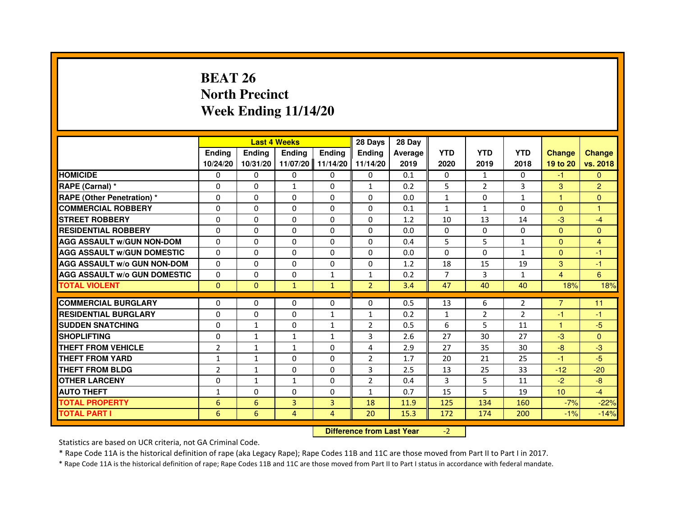# **BEAT 26 North PrecinctWeek Ending 11/14/20**

|                                     |                |                 | <b>Last 4 Weeks</b> |               | 28 Days                          | 28 Day  |                |                |                |                |                |
|-------------------------------------|----------------|-----------------|---------------------|---------------|----------------------------------|---------|----------------|----------------|----------------|----------------|----------------|
|                                     | <b>Ending</b>  | <b>Ending</b>   | <b>Ending</b>       | <b>Ending</b> | <b>Ending</b>                    | Average | <b>YTD</b>     | <b>YTD</b>     | <b>YTD</b>     | <b>Change</b>  | <b>Change</b>  |
|                                     | 10/24/20       | 10/31/20        | 11/07/20            | 11/14/20      | 11/14/20                         | 2019    | 2020           | 2019           | 2018           | 19 to 20       | vs. 2018       |
| <b>HOMICIDE</b>                     | $\Omega$       | $\Omega$        | $\Omega$            | $\Omega$      | 0                                | 0.1     | 0              | $\mathbf{1}$   | $\Omega$       | $-1$           | $\Omega$       |
| RAPE (Carnal) *                     | 0              | 0               | $\mathbf{1}$        | 0             | $\mathbf{1}$                     | 0.2     | 5              | $\overline{2}$ | 3              | 3              | $\overline{2}$ |
| <b>RAPE (Other Penetration) *</b>   | $\Omega$       | $\Omega$        | $\Omega$            | $\Omega$      | $\Omega$                         | 0.0     | $\mathbf{1}$   | $\Omega$       | $\mathbf{1}$   | $\mathbf{1}$   | $\mathbf{0}$   |
| <b>COMMERCIAL ROBBERY</b>           | $\Omega$       | $\Omega$        | $\Omega$            | $\Omega$      | $\Omega$                         | 0.1     | $\mathbf{1}$   | $\mathbf{1}$   | $\Omega$       | $\Omega$       | $\mathbf{1}$   |
| <b>STREET ROBBERY</b>               | $\Omega$       | $\Omega$        | $\Omega$            | $\Omega$      | $\Omega$                         | 1.2     | 10             | 13             | 14             | $-3$           | $-4$           |
| <b>RESIDENTIAL ROBBERY</b>          | $\Omega$       | $\Omega$        | $\Omega$            | $\Omega$      | $\Omega$                         | 0.0     | $\Omega$       | $\Omega$       | $\Omega$       | $\Omega$       | $\Omega$       |
| <b>AGG ASSAULT W/GUN NON-DOM</b>    | $\Omega$       | $\Omega$        | $\Omega$            | $\Omega$      | $\Omega$                         | 0.4     | 5              | 5              | 1              | $\Omega$       | 4              |
| <b>AGG ASSAULT W/GUN DOMESTIC</b>   | $\Omega$       | $\Omega$        | $\Omega$            | $\Omega$      | $\Omega$                         | 0.0     | $\Omega$       | $\Omega$       | 1              | $\Omega$       | $-1$           |
| <b>AGG ASSAULT W/o GUN NON-DOM</b>  | $\Omega$       | 0               | 0                   | 0             | 0                                | 1.2     | 18             | 15             | 19             | 3              | $-1$           |
| <b>AGG ASSAULT W/o GUN DOMESTIC</b> | $\Omega$       | 0               | 0                   | 1             | $\mathbf{1}$                     | 0.2     | $\overline{7}$ | 3              | $\mathbf{1}$   | 4              | 6              |
| <b>TOTAL VIOLENT</b>                | $\mathbf{0}$   | $\mathbf 0$     | $\mathbf{1}$        | $\mathbf{1}$  | $\overline{2}$                   | 3.4     | 47             | 40             | 40             | 18%            | 18%            |
| <b>COMMERCIAL BURGLARY</b>          | 0              | 0               | 0                   | 0             | 0                                | 0.5     | 13             | 6              | $\overline{2}$ | $\overline{7}$ | 11             |
| <b>RESIDENTIAL BURGLARY</b>         | $\Omega$       | $\Omega$        | $\Omega$            | $\mathbf{1}$  | $\mathbf{1}$                     | 0.2     | $\mathbf{1}$   | $\overline{2}$ | $\overline{2}$ | $-1$           | $-1$           |
| <b>SUDDEN SNATCHING</b>             | $\Omega$       | $\mathbf{1}$    | $\Omega$            | $\mathbf{1}$  | $\overline{2}$                   | 0.5     | 6              | 5              | 11             | 1              | $-5$           |
| <b>SHOPLIFTING</b>                  | 0              | $\mathbf{1}$    | 1                   | 1             | 3                                | 2.6     | 27             | 30             | 27             | $-3$           | $\Omega$       |
| THEFT FROM VEHICLE                  | $\overline{2}$ | $\mathbf{1}$    | $\mathbf{1}$        | $\Omega$      | 4                                | 2.9     | 27             | 35             | 30             | $-8$           | $-3$           |
| THEFT FROM YARD                     | $\mathbf{1}$   | $\mathbf{1}$    | $\Omega$            | 0             | $\overline{2}$                   | 1.7     | 20             | 21             | 25             | $-1$           | $-5$           |
| <b>THEFT FROM BLDG</b>              | $\overline{2}$ | $\mathbf{1}$    | $\Omega$            | $\Omega$      | 3                                | 2.5     | 13             | 25             | 33             | $-12$          | $-20$          |
| <b>OTHER LARCENY</b>                | $\Omega$       | $\mathbf{1}$    | $\mathbf{1}$        | $\Omega$      | $\overline{2}$                   | 0.4     | 3              | 5              | 11             | $-2$           | $-8$           |
| <b>AUTO THEFT</b>                   | $\mathbf{1}$   | $\Omega$        | $\Omega$            | $\Omega$      | $\mathbf{1}$                     | 0.7     | 15             | 5              | 19             | 10             | $-4$           |
| <b>TOTAL PROPERTY</b>               | 6              | $6\phantom{1}6$ | $\overline{3}$      | 3             | 18                               | 11.9    | 125            | 134            | 160            | $-7%$          | $-22%$         |
| <b>TOTAL PART I</b>                 | 6              | 6               | 4                   | 4             | 20                               | 15.3    | 172            | 174            | 200            | $-1%$          | $-14%$         |
|                                     |                |                 |                     |               | <b>Difference from Last Year</b> |         | $-2$           |                |                |                |                |

 **Difference from Last Year**

Statistics are based on UCR criteria, not GA Criminal Code.

\* Rape Code 11A is the historical definition of rape (aka Legacy Rape); Rape Codes 11B and 11C are those moved from Part II to Part I in 2017.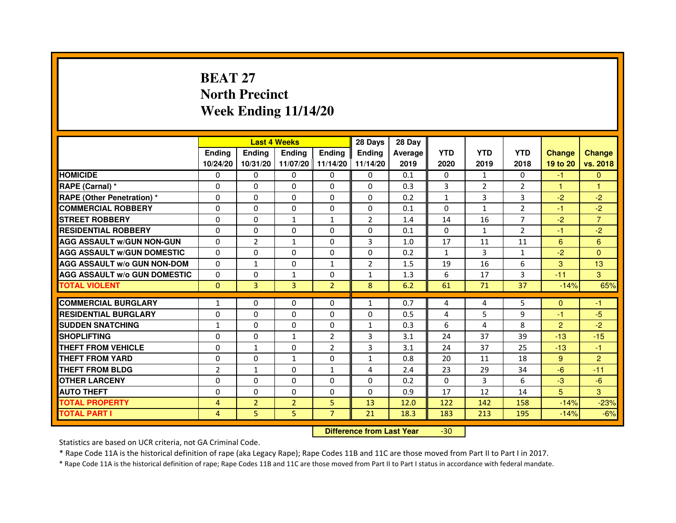# **BEAT 27 North PrecinctWeek Ending 11/14/20**

|                                     |                | <b>Last 4 Weeks</b> |                |                   | 28 Days        | 28 Day  |              |                |                |                |                |
|-------------------------------------|----------------|---------------------|----------------|-------------------|----------------|---------|--------------|----------------|----------------|----------------|----------------|
|                                     | <b>Ending</b>  | <b>Endina</b>       | <b>Endina</b>  | <b>Ending</b>     | <b>Endina</b>  | Average | <b>YTD</b>   | <b>YTD</b>     | <b>YTD</b>     | <b>Change</b>  | <b>Change</b>  |
|                                     | 10/24/20       | 10/31/20            |                | 11/07/20 11/14/20 | 11/14/20       | 2019    | 2020         | 2019           | 2018           | 19 to 20       | vs. 2018       |
| <b>HOMICIDE</b>                     | 0              | 0                   | 0              | 0                 | 0              | 0.1     | $\mathbf{0}$ | $\mathbf{1}$   | $\Omega$       | -1             | $\mathbf{0}$   |
| RAPE (Carnal) *                     | $\Omega$       | $\Omega$            | $\Omega$       | $\Omega$          | $\Omega$       | 0.3     | 3            | 2              | $\overline{2}$ | $\mathbf{1}$   | $\mathbf{1}$   |
| <b>RAPE (Other Penetration) *</b>   | 0              | $\Omega$            | $\Omega$       | $\Omega$          | $\Omega$       | 0.2     | $\mathbf{1}$ | 3              | 3              | $-2$           | $-2$           |
| <b>COMMERCIAL ROBBERY</b>           | 0              | 0                   | 0              | 0                 | $\Omega$       | 0.1     | $\Omega$     | 1              | $\overline{2}$ | $-1$           | $-2$           |
| <b>STREET ROBBERY</b>               | 0              | $\Omega$            | $\mathbf{1}$   | $\mathbf{1}$      | $\overline{2}$ | 1.4     | 14           | 16             | 7              | $-2$           | $\overline{7}$ |
| <b>RESIDENTIAL ROBBERY</b>          | 0              | $\Omega$            | 0              | $\Omega$          | 0              | 0.1     | $\Omega$     | $\mathbf{1}$   | $\overline{2}$ | $-1$           | $-2$           |
| <b>AGG ASSAULT W/GUN NON-GUN</b>    | $\Omega$       | $\overline{2}$      | $\mathbf{1}$   | $\Omega$          | 3              | 1.0     | 17           | 11             | 11             | 6              | $6\phantom{1}$ |
| <b>AGG ASSAULT W/GUN DOMESTIC</b>   | $\Omega$       | 0                   | 0              | 0                 | $\Omega$       | 0.2     | $\mathbf{1}$ | 3              | $\mathbf{1}$   | $-2$           | $\Omega$       |
| <b>AGG ASSAULT W/o GUN NON-DOM</b>  | $\Omega$       | $\mathbf{1}$        | $\Omega$       | $\mathbf{1}$      | $\overline{2}$ | 1.5     | 19           | 16             | 6              | 3              | 13             |
| <b>AGG ASSAULT W/o GUN DOMESTIC</b> | $\Omega$       | 0                   | $\mathbf{1}$   | $\mathbf{0}$      | 1              | 1.3     | 6            | 17             | 3              | $-11$          | 3              |
| <b>TOTAL VIOLENT</b>                | $\Omega$       | 3                   | 3              | $\overline{2}$    | 8              | 6.2     | 61           | 71             | 37             | $-14%$         | 65%            |
|                                     |                |                     |                |                   |                |         |              |                |                |                |                |
| <b>COMMERCIAL BURGLARY</b>          | 1              | 0                   | $\Omega$       | 0                 | $\mathbf{1}$   | 0.7     | 4            | 4              | 5              | $\Omega$       | $-1$           |
| <b>RESIDENTIAL BURGLARY</b>         | 0              | $\Omega$            | 0              | $\mathbf{0}$      | $\Omega$       | 0.5     | 4            | 5              | 9              | $-1$           | $-5$           |
| <b>SUDDEN SNATCHING</b>             | $\mathbf{1}$   | 0                   | $\Omega$       | $\Omega$          | $\mathbf{1}$   | 0.3     | 6            | $\overline{a}$ | 8              | $\overline{2}$ | $-2$           |
| <b>SHOPLIFTING</b>                  | 0              | 0                   | $\mathbf{1}$   | $\overline{2}$    | 3              | 3.1     | 24           | 37             | 39             | $-13$          | $-15$          |
| <b>THEFT FROM VEHICLE</b>           | 0              | $\mathbf{1}$        | $\Omega$       | $\overline{2}$    | 3              | 3.1     | 24           | 37             | 25             | $-13$          | $-1$           |
| <b>THEFT FROM YARD</b>              | 0              | 0                   | $\mathbf{1}$   | $\Omega$          | $\mathbf{1}$   | 0.8     | 20           | 11             | 18             | 9              | $\overline{2}$ |
| <b>THEFT FROM BLDG</b>              | $\overline{2}$ | 1                   | 0              | 1                 | 4              | 2.4     | 23           | 29             | 34             | -6             | $-11$          |
| <b>OTHER LARCENY</b>                | 0              | $\Omega$            | 0              | 0                 | $\Omega$       | 0.2     | $\Omega$     | 3              | 6              | $-3$           | $-6$           |
| <b>AUTO THEFT</b>                   | $\mathbf 0$    | 0                   | $\Omega$       | $\Omega$          | $\Omega$       | 0.9     | 17           | 12             | 14             | 5              | 3              |
| <b>TOTAL PROPERTY</b>               | 4              | $\overline{2}$      | $\overline{2}$ | 5                 | 13             | 12.0    | 122          | 142            | 158            | $-14%$         | $-23%$         |
| <b>TOTAL PART I</b>                 | 4              | 5                   | 5              | $\overline{7}$    | 21             | 18.3    | 183          | 213            | 195            | $-14%$         | $-6%$          |

 **Difference from Last Year**-30

Statistics are based on UCR criteria, not GA Criminal Code.

\* Rape Code 11A is the historical definition of rape (aka Legacy Rape); Rape Codes 11B and 11C are those moved from Part II to Part I in 2017.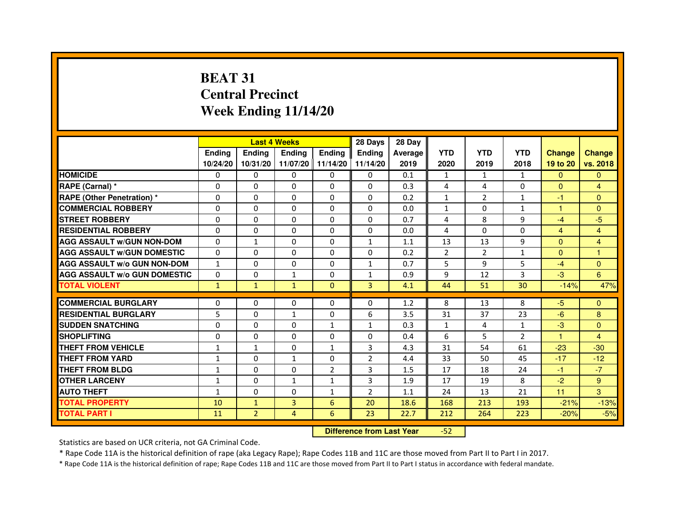# **BEAT 31 Central PrecinctWeek Ending 11/14/20**

|                                     |               |                | <b>Last 4 Weeks</b> |               | 28 Days        | 28 Day  |                |                |                |                |                |
|-------------------------------------|---------------|----------------|---------------------|---------------|----------------|---------|----------------|----------------|----------------|----------------|----------------|
|                                     | <b>Endina</b> | <b>Ending</b>  | <b>Ending</b>       | <b>Endina</b> | <b>Endina</b>  | Average | <b>YTD</b>     | <b>YTD</b>     | <b>YTD</b>     | <b>Change</b>  | <b>Change</b>  |
|                                     | 10/24/20      | 10/31/20       | 11/07/20 11/14/20   |               | 11/14/20       | 2019    | 2020           | 2019           | 2018           | 19 to 20       | vs. 2018       |
| <b>HOMICIDE</b>                     | 0             | 0              | 0                   | 0             | 0              | 0.1     | $\mathbf{1}$   | $\mathbf{1}$   | $\mathbf{1}$   | $\mathbf{0}$   | $\mathbf{0}$   |
| RAPE (Carnal) *                     | $\Omega$      | $\Omega$       | $\Omega$            | $\Omega$      | $\Omega$       | 0.3     | 4              | 4              | $\Omega$       | $\Omega$       | $\overline{4}$ |
| <b>RAPE (Other Penetration) *</b>   | $\Omega$      | $\Omega$       | $\Omega$            | $\Omega$      | $\Omega$       | 0.2     | $\mathbf{1}$   | $\overline{2}$ | $\mathbf{1}$   | $-1$           | $\Omega$       |
| <b>COMMERCIAL ROBBERY</b>           | 0             | 0              | $\Omega$            | 0             | $\Omega$       | 0.0     | $\mathbf{1}$   | $\Omega$       | $\mathbf{1}$   | 1              | $\Omega$       |
| <b>STREET ROBBERY</b>               | $\Omega$      | 0              | $\Omega$            | 0             | 0              | 0.7     | 4              | 8              | 9              | $-4$           | $-5$           |
| <b>RESIDENTIAL ROBBERY</b>          | $\Omega$      | $\Omega$       | $\Omega$            | $\Omega$      | 0              | 0.0     | 4              | $\Omega$       | $\Omega$       | $\overline{4}$ | $\overline{4}$ |
| <b>AGG ASSAULT w/GUN NON-DOM</b>    | $\Omega$      | $\mathbf 1$    | $\mathbf 0$         | 0             | $\mathbf{1}$   | 1.1     | 13             | 13             | 9              | $\Omega$       | $\overline{4}$ |
| <b>AGG ASSAULT W/GUN DOMESTIC</b>   | $\Omega$      | 0              | 0                   | 0             | 0              | 0.2     | $\overline{2}$ | $\overline{2}$ | $\mathbf{1}$   | $\mathbf{0}$   | 1              |
| <b>AGG ASSAULT W/o GUN NON-DOM</b>  | $\mathbf{1}$  | $\Omega$       | $\Omega$            | $\Omega$      | 1              | 0.7     | 5              | 9              | 5              | $-4$           | $\Omega$       |
| <b>AGG ASSAULT W/o GUN DOMESTIC</b> | $\Omega$      | $\Omega$       | $\mathbf{1}$        | 0             | 1              | 0.9     | 9              | 12             | 3              | $-3$           | 6              |
| <b>TOTAL VIOLENT</b>                | $\mathbf{1}$  | $\mathbf{1}$   | $\mathbf{1}$        | $\Omega$      | $\overline{3}$ | 4.1     | 44             | 51             | 30             | $-14%$         | 47%            |
|                                     |               |                |                     |               |                |         |                |                |                |                |                |
| <b>COMMERCIAL BURGLARY</b>          | $\Omega$      | $\Omega$       | $\Omega$            | $\Omega$      | $\Omega$       | 1.2     | 8              | 13             | 8              | $-5$           | $\Omega$       |
| <b>RESIDENTIAL BURGLARY</b>         | 5             | $\Omega$       | 1                   | 0             | 6              | 3.5     | 31             | 37             | 23             | $-6$           | 8              |
| <b>SUDDEN SNATCHING</b>             | 0             | $\Omega$       | 0                   | $\mathbf{1}$  | 1              | 0.3     | $\mathbf{1}$   | 4              | 1              | $-3$           | $\Omega$       |
| <b>SHOPLIFTING</b>                  | 0             | $\mathbf 0$    | 0                   | 0             | 0              | 0.4     | 6              | 5              | $\overline{2}$ | 1              | 4              |
| <b>THEFT FROM VEHICLE</b>           | 1             | $\mathbf{1}$   | $\Omega$            | $\mathbf{1}$  | 3              | 4.3     | 31             | 54             | 61             | $-23$          | $-30$          |
| <b>THEFT FROM YARD</b>              | $\mathbf{1}$  | $\Omega$       | $\mathbf{1}$        | $\Omega$      | $\overline{2}$ | 4.4     | 33             | 50             | 45             | $-17$          | $-12$          |
| <b>THEFT FROM BLDG</b>              | $\mathbf{1}$  | $\Omega$       | 0                   | 2             | 3              | 1.5     | 17             | 18             | 24             | $-1$           | $-7$           |
| <b>OTHER LARCENY</b>                | $\mathbf{1}$  | $\Omega$       | 1                   | $\mathbf{1}$  | 3              | 1.9     | 17             | 19             | 8              | $-2$           | 9              |
| <b>AUTO THEFT</b>                   | $\mathbf{1}$  | $\mathbf 0$    | 0                   | $\mathbf{1}$  | $\overline{2}$ | 1.1     | 24             | 13             | 21             | 11             | 3              |
| <b>TOTAL PROPERTY</b>               | 10            | $\mathbf{1}$   | 3                   | 6             | 20             | 18.6    | 168            | 213            | 193            | $-21%$         | $-13%$         |
| <b>TOTAL PART I</b>                 | 11            | $\overline{2}$ | 4                   | 6             | 23             | 22.7    | 212            | 264            | 223            | $-20%$         | $-5%$          |

 **Difference from Last Year**-52

Statistics are based on UCR criteria, not GA Criminal Code.

\* Rape Code 11A is the historical definition of rape (aka Legacy Rape); Rape Codes 11B and 11C are those moved from Part II to Part I in 2017.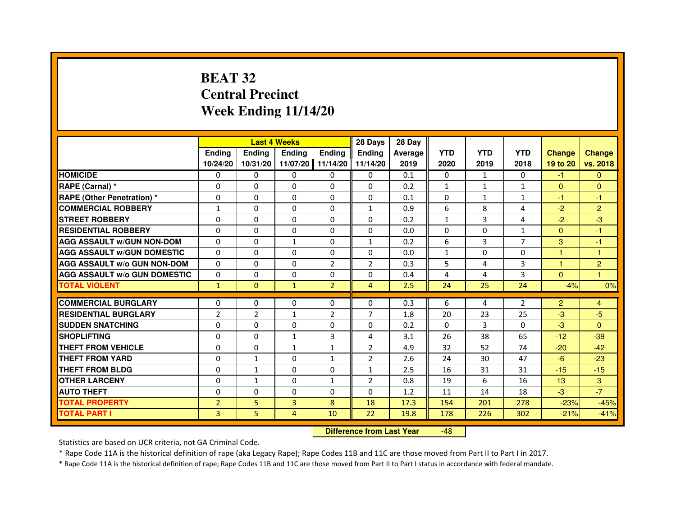## **BEAT 32 Central PrecinctWeek Ending 11/14/20**

|                                     |                |               | <b>Last 4 Weeks</b> |                | 28 Days        | 28 Day  |              |              |                |                      |                |
|-------------------------------------|----------------|---------------|---------------------|----------------|----------------|---------|--------------|--------------|----------------|----------------------|----------------|
|                                     | <b>Endina</b>  | <b>Ending</b> | <b>Endina</b>       | <b>Endina</b>  | <b>Endina</b>  | Average | <b>YTD</b>   | <b>YTD</b>   | <b>YTD</b>     | <b>Change</b>        | <b>Change</b>  |
|                                     | 10/24/20       | 10/31/20      | 11/07/20            | 11/14/20       | 11/14/20       | 2019    | 2020         | 2019         | 2018           | 19 to 20             | vs. 2018       |
| <b>HOMICIDE</b>                     | 0              | $\Omega$      | $\Omega$            | $\Omega$       | 0              | 0.1     | $\mathbf{0}$ | $\mathbf{1}$ | $\mathbf{0}$   | $-1$                 | $\Omega$       |
| RAPE (Carnal) *                     | $\Omega$       | $\Omega$      | $\Omega$            | $\Omega$       | $\Omega$       | 0.2     | $\mathbf{1}$ | $\mathbf{1}$ | $\mathbf{1}$   | $\Omega$             | $\mathbf{0}$   |
| <b>RAPE (Other Penetration)*</b>    | 0              | $\mathbf{0}$  | 0                   | $\mathbf{0}$   | $\Omega$       | 0.1     | $\Omega$     | $\mathbf{1}$ | $\mathbf{1}$   | $-1$                 | -1             |
| <b>COMMERCIAL ROBBERY</b>           | 1              | 0             | 0                   | 0              | $\mathbf{1}$   | 0.9     | 6            | 8            | 4              | $-2$                 | $\overline{2}$ |
| <b>STREET ROBBERY</b>               | $\Omega$       | $\Omega$      | 0                   | $\Omega$       | 0              | 0.2     | $\mathbf{1}$ | 3            | 4              | $-2$                 | $-3$           |
| <b>RESIDENTIAL ROBBERY</b>          | 0              | $\mathbf{0}$  | 0                   | $\Omega$       | 0              | 0.0     | 0            | 0            | $\mathbf{1}$   | $\mathbf{0}$         | -1             |
| <b>AGG ASSAULT w/GUN NON-DOM</b>    | $\Omega$       | $\Omega$      | $\mathbf{1}$        | $\Omega$       | $\mathbf{1}$   | 0.2     | 6            | 3            | $\overline{7}$ | 3                    | $-1$           |
| <b>AGG ASSAULT W/GUN DOMESTIC</b>   | $\Omega$       | $\Omega$      | $\Omega$            | $\Omega$       | $\Omega$       | 0.0     | $\mathbf{1}$ | $\Omega$     | $\Omega$       | $\mathbf{1}$         | 1              |
| <b>AGG ASSAULT w/o GUN NON-DOM</b>  | 0              | 0             | 0                   | 2              | 2              | 0.3     | 5            | 4            | 3              | $\blacktriangleleft$ | 2              |
| <b>AGG ASSAULT W/o GUN DOMESTIC</b> | 0              | 0             | 0                   | 0              | 0              | 0.4     | 4            | 4            | 3              | $\Omega$             | $\mathbf{1}$   |
| <b>TOTAL VIOLENT</b>                | $\mathbf{1}$   | $\mathbf{0}$  | $\mathbf{1}$        | $\overline{2}$ | $\overline{4}$ | 2.5     | 24           | 25           | 24             | $-4%$                | 0%             |
|                                     |                |               |                     |                |                |         |              |              |                |                      |                |
| <b>COMMERCIAL BURGLARY</b>          | 0              | 0             | 0                   | 0              | 0              | 0.3     | 6            | 4            | 2              | $\overline{2}$       | $\overline{4}$ |
| <b>RESIDENTIAL BURGLARY</b>         | $\overline{2}$ | 2             | $\mathbf{1}$        | $\overline{2}$ | $\overline{7}$ | 1.8     | 20           | 23           | 25             | $-3$                 | $-5$           |
| <b>SUDDEN SNATCHING</b>             | $\Omega$       | $\Omega$      | $\Omega$            | $\Omega$       | 0              | 0.2     | $\Omega$     | 3            | $\Omega$       | $-3$                 | $\Omega$       |
| <b>SHOPLIFTING</b>                  | $\Omega$       | $\Omega$      | $\mathbf{1}$        | 3              | 4              | 3.1     | 26           | 38           | 65             | $-12$                | $-39$          |
| <b>THEFT FROM VEHICLE</b>           | $\Omega$       | $\Omega$      | $\mathbf{1}$        | $\mathbf{1}$   | $\overline{2}$ | 4.9     | 32           | 52           | 74             | $-20$                | $-42$          |
| <b>THEFT FROM YARD</b>              | 0              | $\mathbf{1}$  | 0                   | $\mathbf{1}$   | 2              | 2.6     | 24           | 30           | 47             | $-6$                 | $-23$          |
| <b>THEFT FROM BLDG</b>              | $\Omega$       | $\mathbf{1}$  | 0                   | $\mathbf{0}$   | $\mathbf{1}$   | 2.5     | 16           | 31           | 31             | $-15$                | $-15$          |
| <b>OTHER LARCENY</b>                | $\Omega$       | $\mathbf{1}$  | $\Omega$            | $\mathbf{1}$   | $\overline{2}$ | 0.8     | 19           | 6            | 16             | 13                   | 3              |
| <b>AUTO THEFT</b>                   | $\Omega$       | $\Omega$      | $\Omega$            | $\Omega$       | $\Omega$       | 1.2     | 11           | 14           | 18             | $-3$                 | $-7$           |
| <b>TOTAL PROPERTY</b>               | $\overline{2}$ | 5             | 3                   | 8              | 18             | 17.3    | 154          | 201          | 278            | $-23%$               | $-45%$         |
| <b>TOTAL PART I</b>                 | 3              | 5.            | 4                   | 10             | 22             | 19.8    | 178          | 226          | 302            | $-21%$               | $-41%$         |

 **Difference from Last Year**-48

Statistics are based on UCR criteria, not GA Criminal Code.

\* Rape Code 11A is the historical definition of rape (aka Legacy Rape); Rape Codes 11B and 11C are those moved from Part II to Part I in 2017.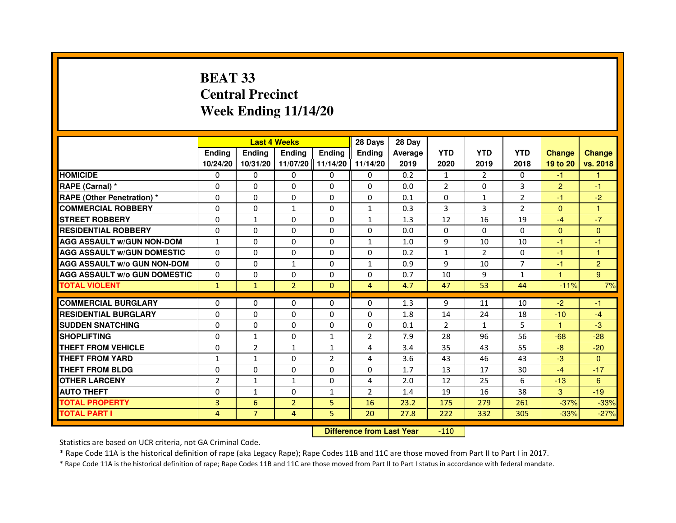# **BEAT 33 Central PrecinctWeek Ending 11/14/20**

|                                     |                |                | <b>Last 4 Weeks</b> |                   | 28 Days        | 28 Day  |                |                |                |                |                |
|-------------------------------------|----------------|----------------|---------------------|-------------------|----------------|---------|----------------|----------------|----------------|----------------|----------------|
|                                     | <b>Endina</b>  | <b>Endina</b>  | <b>Endina</b>       | <b>Endina</b>     | <b>Endina</b>  | Average | <b>YTD</b>     | <b>YTD</b>     | <b>YTD</b>     | <b>Change</b>  | <b>Change</b>  |
|                                     | 10/24/20       | 10/31/20       |                     | 11/07/20 11/14/20 | 11/14/20       | 2019    | 2020           | 2019           | 2018           | 19 to 20       | vs. 2018       |
| <b>HOMICIDE</b>                     | 0              | 0              | 0                   | 0                 | 0              | 0.2     | $\mathbf{1}$   | $\overline{2}$ | 0              | $-1$           | 1              |
| RAPE (Carnal) *                     | $\Omega$       | $\Omega$       | $\Omega$            | $\Omega$          | $\Omega$       | 0.0     | $\overline{2}$ | $\Omega$       | 3              | $\overline{2}$ | $-1$           |
| <b>RAPE (Other Penetration)*</b>    | $\Omega$       | $\Omega$       | $\Omega$            | $\Omega$          | $\Omega$       | 0.1     | $\Omega$       | $\mathbf{1}$   | 2              | $-1$           | $-2$           |
| <b>COMMERCIAL ROBBERY</b>           | 0              | 0              | 1                   | 0                 | $\mathbf{1}$   | 0.3     | 3              | 3              | $\overline{2}$ | $\Omega$       | 1              |
| <b>STREET ROBBERY</b>               | 0              | $\mathbf{1}$   | 0                   | 0                 | $\mathbf{1}$   | 1.3     | 12             | 16             | 19             | $-4$           | $-7$           |
| <b>RESIDENTIAL ROBBERY</b>          | $\Omega$       | $\Omega$       | $\Omega$            | $\Omega$          | $\Omega$       | 0.0     | $\Omega$       | $\Omega$       | $\Omega$       | $\Omega$       | $\Omega$       |
| <b>AGG ASSAULT W/GUN NON-DOM</b>    | $\mathbf{1}$   | $\Omega$       | $\Omega$            | $\mathbf{0}$      | $\mathbf{1}$   | 1.0     | 9              | 10             | 10             | $-1$           | $-1$           |
| <b>AGG ASSAULT w/GUN DOMESTIC</b>   | $\Omega$       | $\Omega$       | $\Omega$            | 0                 | $\Omega$       | 0.2     | $\mathbf{1}$   | $\mathcal{P}$  | $\Omega$       | $-1$           | $\mathbf{1}$   |
| <b>AGG ASSAULT W/o GUN NON-DOM</b>  | $\Omega$       | $\Omega$       | $\mathbf{1}$        | 0                 | $\mathbf{1}$   | 0.9     | 9              | 10             | $\overline{7}$ | $-1$           | $\overline{2}$ |
| <b>AGG ASSAULT W/o GUN DOMESTIC</b> | $\Omega$       | $\Omega$       | 0                   | $\Omega$          | 0              | 0.7     | 10             | 9              | $\mathbf{1}$   | 1              | 9              |
| <b>TOTAL VIOLENT</b>                | $\mathbf{1}$   | $\mathbf{1}$   | $\overline{2}$      | $\Omega$          | 4              | 4.7     | 47             | 53             | 44             | $-11%$         | 7%             |
|                                     |                |                |                     |                   |                |         |                |                |                |                |                |
| <b>COMMERCIAL BURGLARY</b>          | 0              | 0              | $\Omega$            | 0                 | $\Omega$       | 1.3     | 9              | 11             | 10             | $-2$           | -1             |
| <b>RESIDENTIAL BURGLARY</b>         | $\Omega$       | 0              | 0                   | $\Omega$          | 0              | 1.8     | 14             | 24             | 18             | $-10$          | $-4$           |
| <b>SUDDEN SNATCHING</b>             | $\Omega$       | $\Omega$       | $\Omega$            | $\Omega$          | $\Omega$       | 0.1     | $\overline{2}$ | $\mathbf{1}$   | 5              | 1              | $-3$           |
| <b>SHOPLIFTING</b>                  | $\mathbf 0$    | $\mathbf{1}$   | $\Omega$            | $\mathbf{1}$      | $\overline{2}$ | 7.9     | 28             | 96             | 56             | $-68$          | $-28$          |
| <b>THEFT FROM VEHICLE</b>           | 0              | $\overline{2}$ | $\mathbf{1}$        | $\mathbf{1}$      | 4              | 3.4     | 35             | 43             | 55             | $-8$           | $-20$          |
| <b>THEFT FROM YARD</b>              | $\mathbf{1}$   | $\mathbf{1}$   | $\Omega$            | $\overline{2}$    | $\overline{4}$ | 3.6     | 43             | 46             | 43             | $-3$           | $\Omega$       |
| <b>THEFT FROM BLDG</b>              | 0              | $\Omega$       | 0                   | $\Omega$          | $\Omega$       | 1.7     | 13             | 17             | 30             | $-4$           | $-17$          |
| <b>OTHER LARCENY</b>                | $\overline{2}$ | $\mathbf{1}$   | $\mathbf{1}$        | $\Omega$          | $\overline{4}$ | 2.0     | 12             | 25             | 6              | $-13$          | 6              |
| <b>AUTO THEFT</b>                   | 0              | 1              | 0                   | $\mathbf{1}$      | $\overline{2}$ | 1.4     | 19             | 16             | 38             | 3              | $-19$          |
| <b>TOTAL PROPERTY</b>               | 3              | 6              | $\overline{2}$      | 5                 | 16             | 23.2    | 175            | 279            | 261            | $-37%$         | $-33%$         |
| <b>TOTAL PART I</b>                 | 4              | $\overline{7}$ | $\overline{4}$      | 5                 | 20             | 27.8    | 222            | 332            | 305            | $-33%$         | $-27%$         |

 **Difference from Last Year**-110

Statistics are based on UCR criteria, not GA Criminal Code.

\* Rape Code 11A is the historical definition of rape (aka Legacy Rape); Rape Codes 11B and 11C are those moved from Part II to Part I in 2017.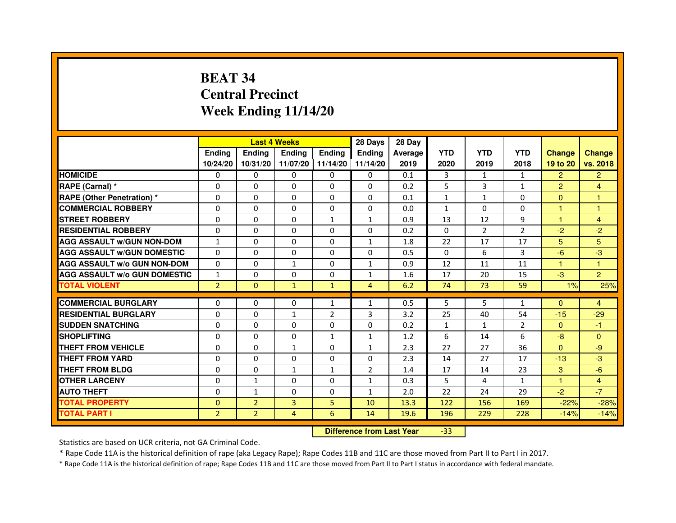# **BEAT 34 Central PrecinctWeek Ending 11/14/20**

|                                     |                | <b>Last 4 Weeks</b> |                   |                | 28 Days                          | 28 Day  |              |                |                |                |                |
|-------------------------------------|----------------|---------------------|-------------------|----------------|----------------------------------|---------|--------------|----------------|----------------|----------------|----------------|
|                                     | Ending         | Ending              | Ending            | <b>Ending</b>  | <b>Ending</b>                    | Average | <b>YTD</b>   | <b>YTD</b>     | <b>YTD</b>     | <b>Change</b>  | <b>Change</b>  |
|                                     | 10/24/20       | 10/31/20            | 11/07/20 11/14/20 |                | 11/14/20                         | 2019    | 2020         | 2019           | 2018           | 19 to 20       | vs. 2018       |
| <b>HOMICIDE</b>                     | 0              | 0                   | $\mathbf{0}$      | 0              | 0                                | 0.1     | 3            | $\mathbf{1}$   | $\mathbf{1}$   | $\overline{2}$ | $\overline{2}$ |
| RAPE (Carnal) *                     | 0              | 0                   | 0                 | 0              | 0                                | 0.2     | 5            | 3              | $\mathbf{1}$   | $\overline{2}$ | 4              |
| RAPE (Other Penetration) *          | $\Omega$       | $\mathbf 0$         | $\Omega$          | 0              | 0                                | 0.1     | $\mathbf{1}$ | 1              | $\Omega$       | $\mathbf{0}$   | 1              |
| <b>COMMERCIAL ROBBERY</b>           | $\mathbf 0$    | 0                   | $\Omega$          | 0              | 0                                | 0.0     | $\mathbf{1}$ | $\Omega$       | $\Omega$       | $\mathbf{1}$   | $\mathbf{1}$   |
| <b>STREET ROBBERY</b>               | $\Omega$       | $\Omega$            | $\Omega$          | $\mathbf{1}$   | 1                                | 0.9     | 13           | 12             | 9              | $\mathbf{1}$   | $\overline{4}$ |
| <b>RESIDENTIAL ROBBERY</b>          | $\Omega$       | $\mathbf 0$         | 0                 | 0              | 0                                | 0.2     | $\mathbf{0}$ | $\overline{2}$ | $\overline{2}$ | $-2$           | $-2$           |
| <b>AGG ASSAULT w/GUN NON-DOM</b>    | $\mathbf{1}$   | $\Omega$            | $\Omega$          | $\Omega$       | $\mathbf{1}$                     | 1.8     | 22           | 17             | 17             | 5              | 5              |
| <b>AGG ASSAULT W/GUN DOMESTIC</b>   | $\Omega$       | $\Omega$            | $\mathbf 0$       | $\Omega$       | 0                                | 0.5     | $\mathbf{0}$ | 6              | 3              | $-6$           | $-3$           |
| <b>AGG ASSAULT W/o GUN NON-DOM</b>  | $\Omega$       | $\Omega$            | $\mathbf{1}$      | $\Omega$       | $\mathbf{1}$                     | 0.9     | 12           | 11             | 11             | $\mathbf{1}$   | $\mathbf{1}$   |
| <b>AGG ASSAULT W/o GUN DOMESTIC</b> | $\mathbf{1}$   | $\mathbf 0$         | $\Omega$          | 0              | $\mathbf{1}$                     | 1.6     | 17           | 20             | 15             | $-3$           | $\overline{2}$ |
| <b>TOTAL VIOLENT</b>                | $\overline{2}$ | $\mathbf 0$         | $\mathbf{1}$      | $\mathbf{1}$   | $\overline{4}$                   | 6.2     | 74           | 73             | 59             | 1%             | 25%            |
| <b>COMMERCIAL BURGLARY</b>          | 0              | 0                   | 0                 | $\mathbf{1}$   | $\mathbf{1}$                     | 0.5     | 5            | 5              | $\mathbf{1}$   | $\mathbf{0}$   | 4              |
| <b>RESIDENTIAL BURGLARY</b>         | $\mathbf 0$    | $\mathbf 0$         | $\mathbf{1}$      | $\overline{2}$ | 3                                | 3.2     | 25           | 40             | 54             | $-15$          | $-29$          |
| <b>SUDDEN SNATCHING</b>             | $\Omega$       | $\mathbf 0$         | $\Omega$          | $\Omega$       | $\Omega$                         | 0.2     | $\mathbf{1}$ | $\mathbf{1}$   | $\overline{2}$ | $\Omega$       | $-1$           |
| <b>SHOPLIFTING</b>                  | 0              | $\Omega$            | $\Omega$          | 1              | 1                                | 1.2     | 6            | 14             | 6              | $-8$           | $\mathbf{0}$   |
| THEFT FROM VEHICLE                  | $\Omega$       | $\Omega$            | $\mathbf{1}$      | 0              | $\mathbf{1}$                     | 2.3     | 27           | 27             | 36             | $\Omega$       | -9             |
| <b>THEFT FROM YARD</b>              | $\Omega$       | $\Omega$            | $\mathbf 0$       | 0              | $\Omega$                         | 2.3     | 14           | 27             | 17             | $-13$          | $-3$           |
| <b>THEFT FROM BLDG</b>              | $\Omega$       | $\Omega$            | $\mathbf{1}$      | $\mathbf{1}$   | $\overline{2}$                   | 1.4     | 17           | 14             | 23             | 3              | $-6$           |
| <b>OTHER LARCENY</b>                | $\Omega$       | $\mathbf{1}$        | $\Omega$          | $\Omega$       | $\mathbf{1}$                     | 0.3     | 5            | 4              | $\mathbf{1}$   | 1.             | $\overline{4}$ |
| <b>AUTO THEFT</b>                   | $\Omega$       | $\mathbf{1}$        | $\mathbf 0$       | 0              | $\mathbf{1}$                     | 2.0     | 22           | 24             | 29             | $-2$           | $-7$           |
| <b>TOTAL PROPERTY</b>               | $\Omega$       | $\overline{2}$      | $\overline{3}$    | 5              | 10                               | 13.3    | 122          | 156            | 169            | $-22%$         | $-28%$         |
| <b>TOTAL PART I</b>                 | $\overline{2}$ | $\overline{2}$      | 4                 | 6              | 14                               | 19.6    | 196          | 229            | 228            | $-14%$         | $-14%$         |
|                                     |                |                     |                   |                | <b>Difference from Last Year</b> |         | $-33$        |                |                |                |                |

 **Difference from Last Year**

Statistics are based on UCR criteria, not GA Criminal Code.

\* Rape Code 11A is the historical definition of rape (aka Legacy Rape); Rape Codes 11B and 11C are those moved from Part II to Part I in 2017.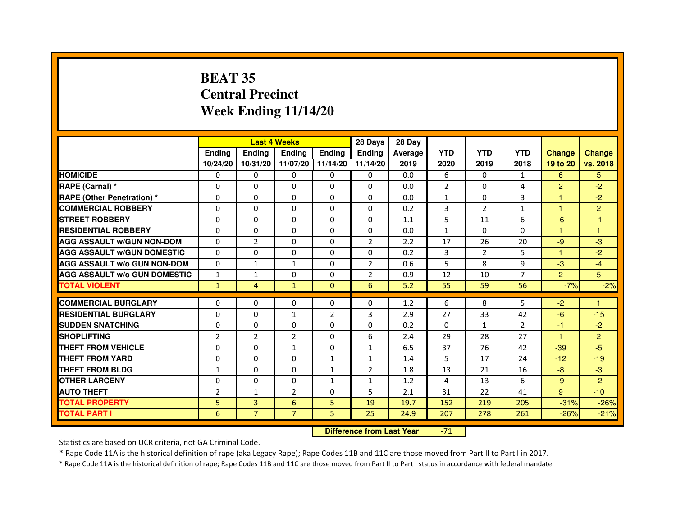# **BEAT 35 Central PrecinctWeek Ending 11/14/20**

|                                               |                     |                         | <b>Last 4 Weeks</b>      |                   | 28 Days                      | 28 Day     |                |                    |                      |                |                |
|-----------------------------------------------|---------------------|-------------------------|--------------------------|-------------------|------------------------------|------------|----------------|--------------------|----------------------|----------------|----------------|
|                                               | Ending              | <b>Ending</b>           | <b>Ending</b>            | <b>Ending</b>     | <b>Endina</b>                | Average    | <b>YTD</b>     | <b>YTD</b>         | <b>YTD</b>           | <b>Change</b>  | <b>Change</b>  |
|                                               | 10/24/20            | 10/31/20                | 11/07/20 11/14/20        |                   | 11/14/20                     | 2019       | 2020           | 2019               | 2018                 | 19 to 20       | vs. 2018       |
| <b>HOMICIDE</b>                               | 0                   | $\mathbf{0}$            | $\mathbf{0}$             | 0                 | $\Omega$                     | 0.0        | 6              | $\Omega$           | $\mathbf{1}$         | 6              | 5.             |
| RAPE (Carnal) *                               | $\Omega$            | $\Omega$                | $\Omega$                 | $\Omega$          | $\Omega$                     | 0.0        | $\overline{2}$ | $\mathbf{0}$       | 4                    | $\overline{2}$ | $-2$           |
| <b>RAPE (Other Penetration) *</b>             | 0                   | $\Omega$                | $\Omega$                 | $\Omega$          | $\Omega$                     | 0.0        | $\mathbf{1}$   | 0                  | 3                    | 1              | $-2$           |
| <b>COMMERCIAL ROBBERY</b>                     | 0                   | 0                       | $\Omega$                 | 0                 | $\Omega$                     | 0.2        | 3              | $\overline{2}$     | 1                    | 1              | $\overline{2}$ |
| <b>STREET ROBBERY</b>                         | 0                   | 0                       | $\Omega$                 | 0                 | 0                            | 1.1        | 5              | 11                 | 6                    | $-6$           | $-1$           |
| <b>RESIDENTIAL ROBBERY</b>                    | $\Omega$            | $\Omega$                | $\Omega$                 | 0                 | 0                            | 0.0        | $\mathbf{1}$   | $\Omega$           | $\Omega$             | 1              | $\mathbf{1}$   |
| <b>AGG ASSAULT w/GUN NON-DOM</b>              | $\Omega$            | $\overline{2}$          | $\Omega$                 | $\Omega$          | $\overline{2}$               | 2.2        | 17             | 26                 | 20                   | $-9$           | -3             |
| <b>AGG ASSAULT W/GUN DOMESTIC</b>             | $\Omega$            | $\Omega$                | $\Omega$                 | $\Omega$          | 0                            | 0.2        | 3              | $\overline{2}$     | 5                    | $\mathbf{1}$   | $-2$           |
| <b>AGG ASSAULT W/o GUN NON-DOM</b>            | $\Omega$            | $\mathbf{1}$            | $\mathbf{1}$             | $\Omega$          | $\mathfrak{p}$               | 0.6        | 5              | 8                  | 9                    | $-3$           | $-4$           |
| <b>AGG ASSAULT W/o GUN DOMESTIC</b>           | $\mathbf{1}$        | $\mathbf{1}$            | 0                        | 0                 | $\overline{2}$               | 0.9        | 12             | 10                 | 7                    | $\overline{2}$ | 5              |
| <b>TOTAL VIOLENT</b>                          | $\mathbf{1}$        | 4                       | $\mathbf{1}$             | $\Omega$          | 6                            | 5.2        | 55             | 59                 | 56                   | $-7%$          | $-2%$          |
| <b>COMMERCIAL BURGLARY</b>                    |                     |                         |                          |                   |                              |            | 6              | 8                  | 5                    |                |                |
| <b>RESIDENTIAL BURGLARY</b>                   | 0                   | 0                       | $\Omega$                 | 0                 | $\Omega$                     | 1.2        |                |                    |                      | $-2$           | 1              |
|                                               | 0                   | 0                       | $\mathbf{1}$             | $\overline{2}$    | 3                            | 2.9        | 27             | 33                 | 42                   | $-6$           | $-15$          |
| <b>SUDDEN SNATCHING</b><br><b>SHOPLIFTING</b> | $\Omega$            | $\Omega$                | 0                        | $\Omega$          | 0                            | 0.2        | $\Omega$       | $\mathbf{1}$<br>28 | $\overline{2}$<br>27 | $-1$           | $-2$           |
| THEFT FROM VEHICLE                            | $\overline{2}$      | $\overline{2}$          | $\overline{2}$           | 0                 | 6                            | 2.4        | 29             | 76                 |                      | 1              | $\overline{2}$ |
| <b>THEFT FROM YARD</b>                        | 0<br>$\Omega$       | $\mathbf 0$<br>$\Omega$ | $\mathbf{1}$<br>$\Omega$ | 0<br>$\mathbf{1}$ | $\mathbf{1}$<br>$\mathbf{1}$ | 6.5<br>1.4 | 37<br>5        | 17                 | 42<br>24             | $-39$<br>$-12$ | $-5$           |
| <b>THEFT FROM BLDG</b>                        | $\mathbf{1}$        | $\Omega$                | $\Omega$                 | $\mathbf{1}$      | $\overline{2}$               | 1.8        | 13             | 21                 | 16                   | $-8$           | $-19$<br>$-3$  |
|                                               |                     |                         |                          |                   |                              |            |                |                    |                      |                |                |
| <b>OTHER LARCENY</b><br><b>AUTO THEFT</b>     | 0<br>$\overline{2}$ | 0<br>$\mathbf{1}$       | 0<br>$\overline{2}$      | 1<br>0            | 1<br>5                       | 1.2<br>2.1 | 4<br>31        | 13<br>22           | 6<br>41              | $-9$<br>9      | $-2$<br>$-10$  |
|                                               |                     |                         |                          |                   |                              |            |                |                    |                      |                |                |
| <b>TOTAL PROPERTY</b>                         | 5                   | 3                       | 6                        | 5                 | 19                           | 19.7       | 152            | 219                | 205                  | $-31%$         | $-26%$         |
| <b>TOTAL PART I</b>                           | 6                   | $\overline{7}$          | $\overline{7}$           | 5                 | 25                           | 24.9       | 207            | 278                | 261                  | $-26%$         | $-21%$         |

 **Difference from Last Year**-71

Statistics are based on UCR criteria, not GA Criminal Code.

\* Rape Code 11A is the historical definition of rape (aka Legacy Rape); Rape Codes 11B and 11C are those moved from Part II to Part I in 2017.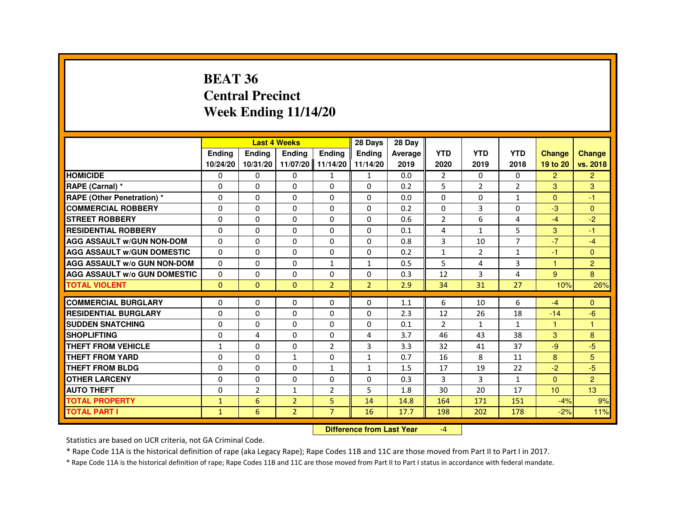#### **BEAT 36 Central PrecinctWeek Ending 11/14/20**

|                                     |               |                | <b>Last 4 Weeks</b> |                   | 28 Days        | 28 Day  |                |               |                |                      |                |
|-------------------------------------|---------------|----------------|---------------------|-------------------|----------------|---------|----------------|---------------|----------------|----------------------|----------------|
|                                     | <b>Endina</b> | <b>Endina</b>  | <b>Endina</b>       | <b>Endina</b>     | <b>Endina</b>  | Average | <b>YTD</b>     | <b>YTD</b>    | <b>YTD</b>     | <b>Change</b>        | <b>Change</b>  |
|                                     | 10/24/20      | 10/31/20       |                     | 11/07/20 11/14/20 | 11/14/20       | 2019    | 2020           | 2019          | 2018           | 19 to 20             | vs. 2018       |
| <b>HOMICIDE</b>                     | 0             | $\Omega$       | $\mathbf{0}$        | $\mathbf{1}$      | $\mathbf{1}$   | 0.0     | 2              | $\Omega$      | $\Omega$       | $\overline{2}$       | $\overline{2}$ |
| RAPE (Carnal) *                     | $\Omega$      | $\Omega$       | $\Omega$            | $\Omega$          | $\Omega$       | 0.2     | 5              | $\mathcal{P}$ | $\mathcal{P}$  | 3                    | 3              |
| RAPE (Other Penetration) *          | 0             | $\mathbf{0}$   | 0                   | $\Omega$          | 0              | 0.0     | $\Omega$       | $\Omega$      | $\mathbf{1}$   | $\Omega$             | -1             |
| <b>COMMERCIAL ROBBERY</b>           | 0             | $\mathbf{0}$   | 0                   | $\Omega$          | 0              | 0.2     | 0              | 3             | 0              | $-3$                 | $\Omega$       |
| <b>STREET ROBBERY</b>               | $\Omega$      | $\Omega$       | $\Omega$            | $\mathbf{0}$      | $\Omega$       | 0.6     | $\overline{2}$ | 6             | 4              | $-4$                 | $-2$           |
| <b>RESIDENTIAL ROBBERY</b>          | $\Omega$      | $\Omega$       | $\Omega$            | $\mathbf{0}$      | $\mathbf{0}$   | 0.1     | $\overline{4}$ | $\mathbf{1}$  | 5              | 3                    | $-1$           |
| <b>AGG ASSAULT W/GUN NON-DOM</b>    | $\Omega$      | $\Omega$       | $\Omega$            | $\Omega$          | 0              | 0.8     | 3              | 10            | $\overline{7}$ | $-7$                 | $-4$           |
| <b>AGG ASSAULT W/GUN DOMESTIC</b>   | $\Omega$      | $\mathbf{0}$   | 0                   | $\Omega$          | 0              | 0.2     | $\mathbf{1}$   | 2             | $\mathbf{1}$   | $-1$                 | $\Omega$       |
| <b>AGG ASSAULT w/o GUN NON-DOM</b>  | $\Omega$      | $\Omega$       | 0                   | $\mathbf{1}$      | 1              | 0.5     | 5              | 4             | 3              | -1                   | $\overline{2}$ |
| <b>AGG ASSAULT W/o GUN DOMESTIC</b> | $\Omega$      | $\Omega$       | 0                   | $\Omega$          | 0              | 0.3     | 12             | 3             | 4              | 9                    | 8              |
| <b>TOTAL VIOLENT</b>                | $\Omega$      | $\mathbf{0}$   | $\mathbf 0$         | $\overline{2}$    | $\overline{2}$ | 2.9     | 34             | 31            | 27             | 10%                  | 26%            |
|                                     |               |                |                     |                   |                |         |                |               |                |                      |                |
| <b>COMMERCIAL BURGLARY</b>          | 0             | 0              | 0                   | $\Omega$          | 0              | 1.1     | 6              | 10            | 6              | $-4$                 | $\Omega$       |
| <b>RESIDENTIAL BURGLARY</b>         | $\Omega$      | $\Omega$       | 0                   | $\Omega$          | 0              | 2.3     | 12             | 26            | 18             | $-14$                | $-6$           |
| <b>SUDDEN SNATCHING</b>             | 0             | $\Omega$       | $\Omega$            | $\mathbf 0$       | $\Omega$       | 0.1     | $\overline{2}$ | $\mathbf{1}$  | $\mathbf{1}$   | $\blacktriangleleft$ | $\overline{1}$ |
| <b>SHOPLIFTING</b>                  | $\Omega$      | 4              | $\Omega$            | $\Omega$          | 4              | 3.7     | 46             | 43            | 38             | 3                    | 8              |
| <b>THEFT FROM VEHICLE</b>           | $\mathbf{1}$  | $\Omega$       | 0                   | $\overline{2}$    | 3              | 3.3     | 32             | 41            | 37             | $-9$                 | $-5$           |
| <b>THEFT FROM YARD</b>              | $\Omega$      | $\Omega$       | $\mathbf{1}$        | $\Omega$          | 1              | 0.7     | 16             | 8             | 11             | 8                    | 5              |
| THEFT FROM BLDG                     | $\Omega$      | $\Omega$       | 0                   | $\mathbf{1}$      | $\mathbf{1}$   | 1.5     | 17             | 19            | 22             | $-2$                 | $-5$           |
| <b>OTHER LARCENY</b>                | 0             | $\Omega$       | $\Omega$            | $\Omega$          | $\Omega$       | 0.3     | 3              | 3             | $\mathbf{1}$   | $\Omega$             | 2              |
| <b>AUTO THEFT</b>                   | $\Omega$      | $\overline{2}$ | $\mathbf{1}$        | $\overline{2}$    | 5              | 1.8     | 30             | 20            | 17             | 10                   | 13             |
| <b>TOTAL PROPERTY</b>               | $\mathbf{1}$  | 6              | $\overline{2}$      | 5                 | 14             | 14.8    | 164            | 171           | 151            | $-4%$                | 9%             |
| <b>TOTAL PART I</b>                 | $\mathbf{1}$  | 6              | $\overline{2}$      | $\overline{7}$    | 16             | 17.7    | 198            | 202           | 178            | $-2%$                | 11%            |

#### **Difference from Last Year**

-4

Statistics are based on UCR criteria, not GA Criminal Code.

\* Rape Code 11A is the historical definition of rape (aka Legacy Rape); Rape Codes 11B and 11C are those moved from Part II to Part I in 2017.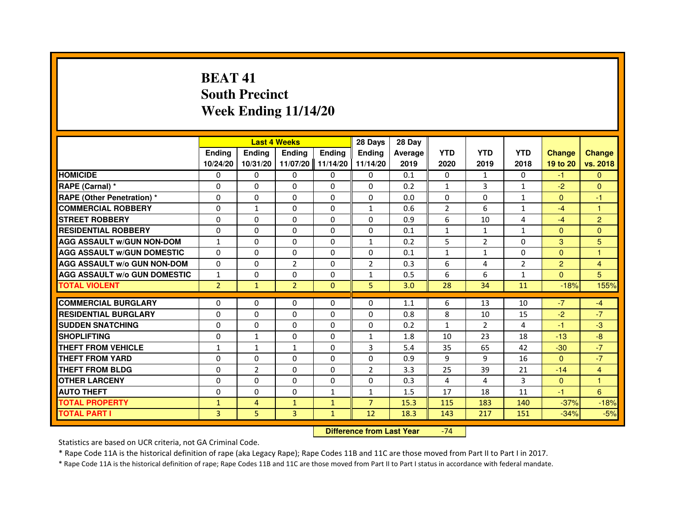# **BEAT 41 South PrecinctWeek Ending 11/14/20**

|                                     |                |                | <b>Last 4 Weeks</b> |               | 28 Days        | 28 Day         |                |                |                |                |                |
|-------------------------------------|----------------|----------------|---------------------|---------------|----------------|----------------|----------------|----------------|----------------|----------------|----------------|
|                                     | Ending         | <b>Endina</b>  | <b>Ending</b>       | <b>Ending</b> | <b>Endina</b>  | <b>Average</b> | <b>YTD</b>     | <b>YTD</b>     | <b>YTD</b>     | <b>Change</b>  | <b>Change</b>  |
|                                     | 10/24/20       | 10/31/20       | 11/07/20            | 11/14/20      | 11/14/20       | 2019           | 2020           | 2019           | 2018           | 19 to 20       | vs. 2018       |
| <b>HOMICIDE</b>                     | 0              | $\Omega$       | $\mathbf{0}$        | 0             | 0              | 0.1            | 0              | $\mathbf{1}$   | $\Omega$       | $-1$           | $\mathbf{0}$   |
| RAPE (Carnal) *                     | $\Omega$       | $\Omega$       | $\Omega$            | $\Omega$      | $\Omega$       | 0.2            | $\mathbf{1}$   | 3              | $\mathbf{1}$   | $-2$           | $\mathbf{0}$   |
| <b>RAPE (Other Penetration) *</b>   | 0              | $\mathbf{0}$   | $\mathbf{0}$        | 0             | 0              | 0.0            | 0              | 0              | $\mathbf{1}$   | $\Omega$       | $-1$           |
| <b>COMMERCIAL ROBBERY</b>           | 0              | 1              | 0                   | $\Omega$      | $\mathbf{1}$   | 0.6            | $\overline{2}$ | 6              | 1              | $-4$           |                |
| <b>STREET ROBBERY</b>               | $\Omega$       | $\Omega$       | $\Omega$            | $\Omega$      | $\Omega$       | 0.9            | 6              | 10             | 4              | $-4$           | $\overline{2}$ |
| <b>RESIDENTIAL ROBBERY</b>          | $\Omega$       | $\Omega$       | $\Omega$            | $\Omega$      | $\Omega$       | 0.1            | $\mathbf{1}$   | $\mathbf{1}$   | $\mathbf{1}$   | $\Omega$       | $\mathbf{0}$   |
| <b>AGG ASSAULT w/GUN NON-DOM</b>    | $\mathbf{1}$   | $\Omega$       | $\Omega$            | $\Omega$      | $\mathbf{1}$   | 0.2            | 5              | $\overline{2}$ | $\Omega$       | 3              | 5              |
| <b>AGG ASSAULT W/GUN DOMESTIC</b>   | $\Omega$       | $\Omega$       | $\Omega$            | 0             | $\Omega$       | 0.1            | $\mathbf{1}$   | $\mathbf{1}$   | $\Omega$       | $\Omega$       | 1              |
| <b>AGG ASSAULT W/o GUN NON-DOM</b>  | 0              | $\Omega$       | $\overline{2}$      | $\Omega$      | $\overline{2}$ | 0.3            | 6              | 4              | $\overline{2}$ | $\overline{2}$ | 4              |
| <b>AGG ASSAULT W/o GUN DOMESTIC</b> | 1              | $\Omega$       | $\Omega$            | $\Omega$      | 1              | 0.5            | 6              | 6              | $\mathbf{1}$   | $\Omega$       | 5              |
| <b>TOTAL VIOLENT</b>                | $\overline{2}$ | $\mathbf{1}$   | $\overline{2}$      | $\Omega$      | 5              | 3.0            | 28             | 34             | 11             | $-18%$         | 155%           |
|                                     |                |                |                     |               |                |                |                |                |                |                |                |
| <b>COMMERCIAL BURGLARY</b>          | 0              | $\mathbf{0}$   | 0                   | 0             | $\Omega$       | 1.1            | 6              | 13             | 10             | $-7$           | $-4$           |
| <b>RESIDENTIAL BURGLARY</b>         | 0              | $\Omega$       | 0                   | 0             | 0              | 0.8            | 8              | 10             | 15             | $-2$           | $-7$           |
| <b>SUDDEN SNATCHING</b>             | 0              | $\Omega$       | 0                   | 0             | 0              | 0.2            | $\mathbf{1}$   | 2              | 4              | $-1$           | $-3$           |
| <b>SHOPLIFTING</b>                  | $\Omega$       | 1              | $\Omega$            | $\Omega$      | $\mathbf{1}$   | 1.8            | 10             | 23             | 18             | $-13$          | $-8$           |
| THEFT FROM VEHICLE                  | $\mathbf{1}$   | $\mathbf{1}$   | $\mathbf{1}$        | $\Omega$      | 3              | 5.4            | 35             | 65             | 42             | $-30$          | $-7$           |
| <b>THEFT FROM YARD</b>              | 0              | 0              | $\Omega$            | $\Omega$      | $\Omega$       | 0.9            | 9              | 9              | 16             | $\Omega$       | $-7$           |
| THEFT FROM BLDG                     | $\Omega$       | $\overline{2}$ | 0                   | 0             | $\overline{2}$ | 3.3            | 25             | 39             | 21             | $-14$          | $\overline{4}$ |
| <b>OTHER LARCENY</b>                | $\Omega$       | $\Omega$       | $\Omega$            | $\Omega$      | $\Omega$       | 0.3            | 4              | 4              | 3              | $\mathbf{0}$   | 1              |
| <b>AUTO THEFT</b>                   | $\Omega$       | $\Omega$       | $\Omega$            | $\mathbf{1}$  | $\mathbf{1}$   | 1.5            | 17             | 18             | 11             | $-1$           | 6              |
| <b>TOTAL PROPERTY</b>               | $\mathbf{1}$   | 4              | $\mathbf{1}$        | $\mathbf{1}$  | $\overline{7}$ | 15.3           | 115            | 183            | 140            | $-37%$         | $-18%$         |
| <b>TOTAL PART I</b>                 | 3              | 5.             | 3                   | $\mathbf{1}$  | 12             | 18.3           | 143            | 217            | 151            | $-34%$         | $-5%$          |

 **Difference from Last Year**-74

Statistics are based on UCR criteria, not GA Criminal Code.

\* Rape Code 11A is the historical definition of rape (aka Legacy Rape); Rape Codes 11B and 11C are those moved from Part II to Part I in 2017.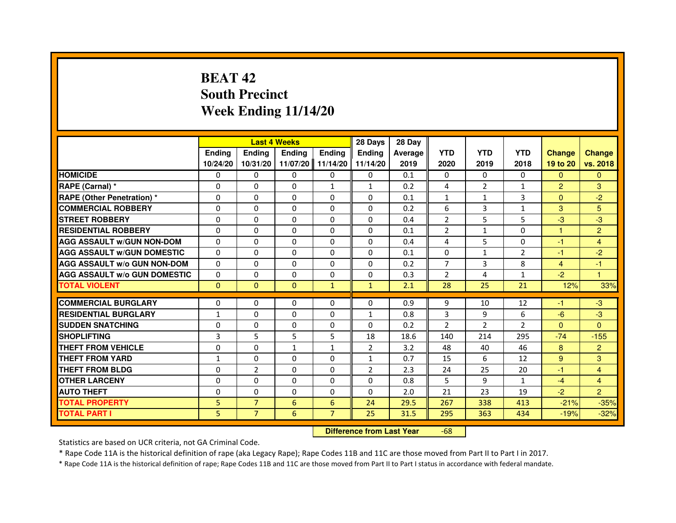# **BEAT 42 South PrecinctWeek Ending 11/14/20**

|                                     |               |                                  | <b>Last 4 Weeks</b> |                | 28 Days        | 28 Day         |                |                |                |                |                         |
|-------------------------------------|---------------|----------------------------------|---------------------|----------------|----------------|----------------|----------------|----------------|----------------|----------------|-------------------------|
|                                     | <b>Ending</b> | <b>Ending</b>                    | <b>Ending</b>       | <b>Ending</b>  | <b>Ending</b>  | <b>Average</b> | <b>YTD</b>     | <b>YTD</b>     | <b>YTD</b>     | <b>Change</b>  | <b>Change</b>           |
|                                     | 10/24/20      | 10/31/20                         | 11/07/20            | 11/14/20       | 11/14/20       | 2019           | 2020           | 2019           | 2018           | 19 to 20       | vs. 2018                |
| <b>HOMICIDE</b>                     | 0             | $\Omega$                         | $\Omega$            | 0              | 0              | 0.1            | 0              | $\Omega$       | $\Omega$       | $\Omega$       | $\Omega$                |
| RAPE (Carnal) *                     | 0             | $\Omega$                         | $\Omega$            | 1              | $\mathbf{1}$   | 0.2            | 4              | $\overline{2}$ | $\mathbf{1}$   | $\overline{2}$ | 3                       |
| RAPE (Other Penetration) *          | $\Omega$      | $\Omega$                         | $\Omega$            | $\Omega$       | $\Omega$       | 0.1            | $\mathbf{1}$   | $\mathbf{1}$   | 3              | $\Omega$       | $-2$                    |
| <b>COMMERCIAL ROBBERY</b>           | 0             | $\Omega$                         | $\Omega$            | $\Omega$       | $\Omega$       | 0.2            | 6              | 3              | $\mathbf{1}$   | 3              | 5                       |
| <b>STREET ROBBERY</b>               | 0             | $\Omega$                         | 0                   | $\Omega$       | $\Omega$       | 0.4            | 2              | 5              | 5              | $-3$           | $-3$                    |
| <b>RESIDENTIAL ROBBERY</b>          | 0             | $\Omega$                         | 0                   | $\Omega$       | $\Omega$       | 0.1            | $\overline{2}$ | $\mathbf{1}$   | 0              | 1              | $\overline{2}$          |
| <b>AGG ASSAULT w/GUN NON-DOM</b>    | $\Omega$      | $\Omega$                         | $\Omega$            | $\Omega$       | $\Omega$       | 0.4            | 4              | 5              | $\Omega$       | $-1$           | $\overline{\mathbf{4}}$ |
| <b>AGG ASSAULT W/GUN DOMESTIC</b>   | $\Omega$      | $\Omega$                         | $\Omega$            | $\Omega$       | $\Omega$       | 0.1            | $\Omega$       | $\mathbf{1}$   | $\mathfrak{p}$ | $-1$           | $-2$                    |
| <b>AGG ASSAULT W/o GUN NON-DOM</b>  | 0             | $\mathbf{0}$                     | 0                   | 0              | 0              | 0.2            | 7              | 3              | 8              | 4              | -1                      |
| <b>AGG ASSAULT W/o GUN DOMESTIC</b> | $\Omega$      | 0                                | 0                   | 0              | $\Omega$       | 0.3            | $\overline{2}$ | 4              | $\mathbf{1}$   | $-2$           | 1                       |
| <b>TOTAL VIOLENT</b>                | $\mathbf 0$   | $\mathbf{0}$                     | $\mathbf{0}$        | $\mathbf{1}$   | $\mathbf{1}$   | 2.1            | 28             | 25             | 21             | 12%            | 33%                     |
| <b>COMMERCIAL BURGLARY</b>          | 0             | 0                                | 0                   | $\Omega$       | $\Omega$       | 0.9            | 9              | 10             | 12             | $-1$           | $-3$                    |
| <b>RESIDENTIAL BURGLARY</b>         | $\mathbf{1}$  | $\Omega$                         | $\Omega$            | $\Omega$       | $\mathbf{1}$   | 0.8            | 3              | 9              | 6              | $-6$           | $-3$                    |
| <b>SUDDEN SNATCHING</b>             | 0             | $\Omega$                         | $\Omega$            | $\Omega$       | $\Omega$       | 0.2            | $\mathcal{P}$  | $\mathcal{P}$  | $\mathfrak{p}$ | $\Omega$       | $\Omega$                |
| <b>SHOPLIFTING</b>                  | 3             | 5                                | 5                   | 5              | 18             | 18.6           | 140            | 214            | 295            | $-74$          | $-155$                  |
| <b>THEFT FROM VEHICLE</b>           | 0             | $\Omega$                         | $\mathbf{1}$        | $\mathbf{1}$   | $\overline{2}$ | 3.2            | 48             | 40             | 46             | 8              | $\overline{2}$          |
| <b>THEFT FROM YARD</b>              | $\mathbf{1}$  | 0                                | $\Omega$            | 0              | $\mathbf{1}$   | 0.7            | 15             | 6              | 12             | 9              | 3                       |
| <b>THEFT FROM BLDG</b>              | $\Omega$      | 2                                | $\Omega$            | $\Omega$       | $\overline{2}$ | 2.3            | 24             | 25             | 20             | $-1$           | $\overline{4}$          |
| <b>OTHER LARCENY</b>                | 0             | $\Omega$                         | 0                   | $\Omega$       | $\Omega$       | 0.8            | 5              | 9              | $\mathbf{1}$   | $-4$           | $\overline{4}$          |
| <b>AUTO THEFT</b>                   | $\Omega$      | $\Omega$                         | $\Omega$            | $\Omega$       | $\Omega$       | 2.0            | 21             | 23             | 19             | $-2$           | $\overline{2}$          |
| <b>TOTAL PROPERTY</b>               | 5             | $\overline{7}$                   | 6                   | 6              | 24             | 29.5           | 267            | 338            | 413            | $-21%$         | $-35%$                  |
| <b>TOTAL PART I</b>                 | 5             | $\overline{7}$                   | 6                   | $\overline{7}$ | 25             | 31.5           | 295            | 363            | 434            | $-19%$         | $-32%$                  |
|                                     |               | <b>Difference from Last Year</b> |                     | $-68$          |                |                |                |                |                |                |                         |

 **Difference from Last Year**

Statistics are based on UCR criteria, not GA Criminal Code.

\* Rape Code 11A is the historical definition of rape (aka Legacy Rape); Rape Codes 11B and 11C are those moved from Part II to Part I in 2017.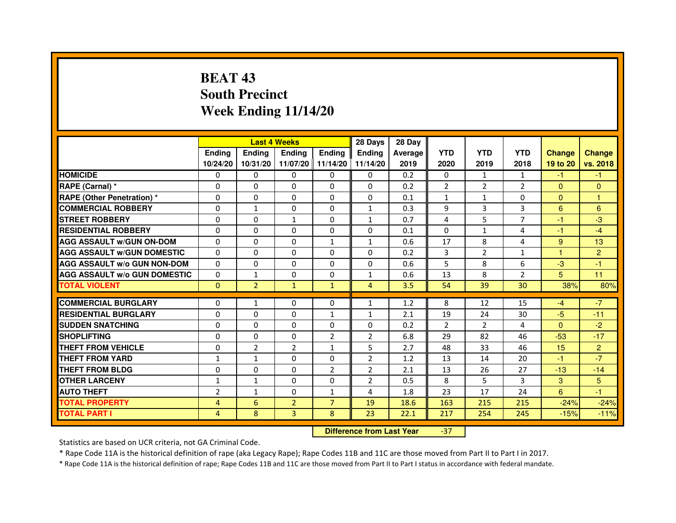# **BEAT 43 South PrecinctWeek Ending 11/14/20**

|                                     |                | <b>Last 4 Weeks</b> |                |                     | 28 Days        | 28 Day  |                |               |                |               |                |
|-------------------------------------|----------------|---------------------|----------------|---------------------|----------------|---------|----------------|---------------|----------------|---------------|----------------|
|                                     | <b>Endina</b>  | Ending              | <b>Endina</b>  | <b>Endina</b>       | <b>Endina</b>  | Average | <b>YTD</b>     | <b>YTD</b>    | <b>YTD</b>     | <b>Change</b> | <b>Change</b>  |
|                                     | 10/24/20       | 10/31/20            |                | 11/07/20   11/14/20 | 11/14/20       | 2019    | 2020           | 2019          | 2018           | 19 to 20      | vs. 2018       |
| <b>HOMICIDE</b>                     | 0              | 0                   | 0              | 0                   | 0              | 0.2     | $\mathbf{0}$   | $\mathbf{1}$  | $\mathbf{1}$   | -1            | -1             |
| RAPE (Carnal) *                     | $\Omega$       | $\Omega$            | $\Omega$       | $\Omega$            | $\Omega$       | 0.2     | $\overline{2}$ | 2             | $\overline{2}$ | $\Omega$      | $\Omega$       |
| <b>RAPE (Other Penetration)*</b>    | $\Omega$       | $\Omega$            | $\Omega$       | $\Omega$            | $\Omega$       | 0.1     | $\mathbf{1}$   | $\mathbf{1}$  | $\Omega$       | $\Omega$      | $\mathbf{1}$   |
| <b>COMMERCIAL ROBBERY</b>           | 0              | 1                   | 0              | 0                   | $\mathbf{1}$   | 0.3     | 9              | 3             | 3              | 6             | 6              |
| <b>STREET ROBBERY</b>               | 0              | 0                   | $\mathbf{1}$   | 0                   | $\mathbf{1}$   | 0.7     | 4              | 5             | $\overline{7}$ | $-1$          | $-3$           |
| <b>RESIDENTIAL ROBBERY</b>          | 0              | $\Omega$            | 0              | $\Omega$            | $\Omega$       | 0.1     | $\Omega$       | $\mathbf{1}$  | 4              | $-1$          | $-4$           |
| <b>AGG ASSAULT w/GUN ON-DOM</b>     | $\Omega$       | $\Omega$            | $\Omega$       | $\mathbf{1}$        | $\mathbf{1}$   | 0.6     | 17             | 8             | $\overline{4}$ | 9             | 13             |
| <b>AGG ASSAULT W/GUN DOMESTIC</b>   | $\Omega$       | $\Omega$            | $\Omega$       | $\Omega$            | $\Omega$       | 0.2     | 3              | $\mathcal{P}$ | $\mathbf{1}$   | 1             | 2              |
| <b>AGG ASSAULT W/o GUN NON-DOM</b>  | 0              | 0                   | 0              | $\Omega$            | $\Omega$       | 0.6     | 5              | 8             | 6              | $-3$          | $-1$           |
| <b>AGG ASSAULT W/o GUN DOMESTIC</b> | 0              | $\mathbf{1}$        | 0              | 0                   | 1              | 0.6     | 13             | 8             | $\overline{2}$ | 5             | 11             |
| <b>TOTAL VIOLENT</b>                | $\Omega$       | $\overline{2}$      | $\mathbf{1}$   | $\mathbf{1}$        | $\overline{4}$ | 3.5     | 54             | 39            | 30             | 38%           | 80%            |
|                                     |                |                     |                |                     |                |         |                |               |                |               |                |
| <b>COMMERCIAL BURGLARY</b>          | 0              | 1                   | 0              | 0                   | $\mathbf{1}$   | 1.2     | 8              | 12            | 15             | $-4$          | $-7$           |
| <b>RESIDENTIAL BURGLARY</b>         | 0              | $\Omega$            | 0              | $\mathbf{1}$        | $\mathbf{1}$   | 2.1     | 19             | 24            | 30             | $-5$          | $-11$          |
| <b>SUDDEN SNATCHING</b>             | 0              | $\Omega$            | $\Omega$       | $\Omega$            | $\Omega$       | 0.2     | $\overline{2}$ | $\mathcal{P}$ | $\overline{a}$ | $\Omega$      | $-2$           |
| <b>SHOPLIFTING</b>                  | $\Omega$       | $\Omega$            | $\Omega$       | $\overline{2}$      | $\overline{2}$ | 6.8     | 29             | 82            | 46             | $-53$         | $-17$          |
| <b>THEFT FROM VEHICLE</b>           | 0              | $\overline{2}$      | $\overline{2}$ | $\mathbf{1}$        | 5              | 2.7     | 48             | 33            | 46             | 15            | $\overline{2}$ |
| <b>THEFT FROM YARD</b>              | 1              | $\mathbf{1}$        | $\Omega$       | $\Omega$            | $\overline{2}$ | 1.2     | 13             | 14            | 20             | $-1$          | $-7$           |
| <b>THEFT FROM BLDG</b>              | 0              | $\Omega$            | 0              | $\overline{2}$      | $\overline{2}$ | 2.1     | 13             | 26            | 27             | $-13$         | $-14$          |
| <b>OTHER LARCENY</b>                | 1              | $\mathbf{1}$        | $\Omega$       | $\Omega$            | $\overline{2}$ | 0.5     | 8              | 5             | 3              | 3             | 5              |
| <b>AUTO THEFT</b>                   | $\overline{2}$ | $\mathbf{1}$        | 0              | $\mathbf{1}$        | 4              | 1.8     | 23             | 17            | 24             | 6             | $-1$           |
| <b>TOTAL PROPERTY</b>               | $\overline{4}$ | 6                   | $\overline{2}$ | $\overline{7}$      | 19             | 18.6    | 163            | 215           | 215            | $-24%$        | $-24%$         |
| <b>TOTAL PART I</b>                 | 4              | 8                   | 3              | 8                   | 23             | 22.1    | 217            | 254           | 245            | $-15%$        | $-11%$         |

 **Difference from Last Year**-37

Statistics are based on UCR criteria, not GA Criminal Code.

\* Rape Code 11A is the historical definition of rape (aka Legacy Rape); Rape Codes 11B and 11C are those moved from Part II to Part I in 2017.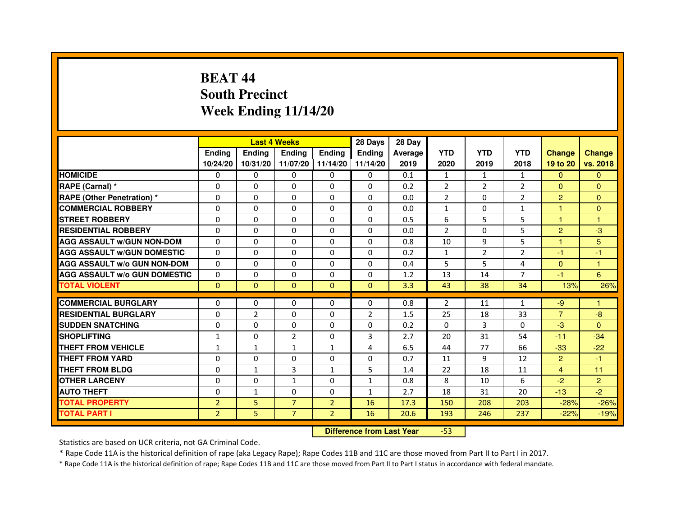# **BEAT 44 South PrecinctWeek Ending 11/14/20**

|                                     |                | <b>Last 4 Weeks</b>              |                |                   | 28 Days        | 28 Day  |                |                |                |                |                |
|-------------------------------------|----------------|----------------------------------|----------------|-------------------|----------------|---------|----------------|----------------|----------------|----------------|----------------|
|                                     | <b>Ending</b>  | Ending                           | <b>Ending</b>  | <b>Ending</b>     | <b>Ending</b>  | Average | <b>YTD</b>     | <b>YTD</b>     | <b>YTD</b>     | <b>Change</b>  | <b>Change</b>  |
|                                     | 10/24/20       | 10/31/20                         |                | 11/07/20 11/14/20 | 11/14/20       | 2019    | 2020           | 2019           | 2018           | 19 to 20       | vs. 2018       |
| <b>HOMICIDE</b>                     | 0              | 0                                | $\mathbf{0}$   | $\Omega$          | 0              | 0.1     | $\mathbf{1}$   | $\mathbf{1}$   | $\mathbf{1}$   | $\Omega$       | $\mathbf{0}$   |
| RAPE (Carnal) *                     | 0              | $\mathbf{0}$                     | 0              | 0                 | 0              | 0.2     | $\overline{2}$ | 2              | 2              | $\mathbf{0}$   | $\Omega$       |
| <b>RAPE (Other Penetration) *</b>   | 0              | 0                                | 0              | $\mathbf{0}$      | $\Omega$       | 0.0     | $\overline{2}$ | $\mathbf{0}$   | $\overline{2}$ | $\overline{2}$ | $\Omega$       |
| <b>COMMERCIAL ROBBERY</b>           | $\mathbf 0$    | 0                                | $\Omega$       | $\mathbf{0}$      | $\mathbf{0}$   | 0.0     | $\mathbf{1}$   | $\mathbf{0}$   | $\mathbf{1}$   | $\mathbf{1}$   | $\mathbf{0}$   |
| <b>STREET ROBBERY</b>               | 0              | $\Omega$                         | $\Omega$       | $\Omega$          | $\Omega$       | 0.5     | 6              | 5              | 5              | $\mathbf{1}$   | 1              |
| <b>RESIDENTIAL ROBBERY</b>          | 0              | 0                                | $\Omega$       | 0                 | $\Omega$       | 0.0     | $\overline{2}$ | $\Omega$       | 5              | $\overline{2}$ | $-3$           |
| <b>AGG ASSAULT W/GUN NON-DOM</b>    | $\Omega$       | $\Omega$                         | 0              | $\Omega$          | $\Omega$       | 0.8     | 10             | 9              | 5              | $\mathbf{1}$   | 5              |
| <b>AGG ASSAULT W/GUN DOMESTIC</b>   | $\Omega$       | $\Omega$                         | $\Omega$       | $\Omega$          | $\Omega$       | 0.2     | $\mathbf{1}$   | $\overline{2}$ | $\overline{2}$ | $-1$           | $-1$           |
| <b>AGG ASSAULT W/o GUN NON-DOM</b>  | $\Omega$       | $\Omega$                         | $\Omega$       | $\Omega$          | $\Omega$       | 0.4     | 5              | 5              | 4              | $\Omega$       | $\mathbf{1}$   |
| <b>AGG ASSAULT W/o GUN DOMESTIC</b> | $\Omega$       | 0                                | 0              | $\Omega$          | $\Omega$       | 1.2     | 13             | 14             | 7              | $-1$           | 6              |
| <b>TOTAL VIOLENT</b>                | $\mathbf{0}$   | $\mathbf{0}$                     | $\mathbf{0}$   | $\mathbf{0}$      | $\mathbf{0}$   | 3.3     | 43             | 38             | 34             | 13%            | 26%            |
| <b>COMMERCIAL BURGLARY</b>          | 0              | 0                                | 0              | 0                 | 0              | 0.8     | 2              | 11             | $\mathbf{1}$   | $-9$           | 1              |
| <b>RESIDENTIAL BURGLARY</b>         | 0              | $\overline{2}$                   | $\Omega$       | $\mathbf{0}$      | $\overline{2}$ | 1.5     | 25             | 18             | 33             | $\overline{7}$ | $-8$           |
| <b>SUDDEN SNATCHING</b>             | 0              | $\Omega$                         | $\Omega$       | $\Omega$          | $\Omega$       | 0.2     | $\Omega$       | $\overline{3}$ | $\Omega$       | $-3$           | $\Omega$       |
| <b>SHOPLIFTING</b>                  | 1              | $\mathbf{0}$                     | $\overline{2}$ | $\mathbf{0}$      | 3              | 2.7     | 20             | 31             | 54             | $-11$          | $-34$          |
| THEFT FROM VEHICLE                  | $\mathbf{1}$   | $\mathbf{1}$                     | $\mathbf{1}$   | $\mathbf{1}$      | 4              | 6.5     | 44             | 77             | 66             | $-33$          | $-22$          |
| <b>THEFT FROM YARD</b>              | $\Omega$       | 0                                | $\Omega$       | $\Omega$          | $\Omega$       | 0.7     | 11             | 9              | 12             | $\overline{2}$ | $-1$           |
| <b>THEFT FROM BLDG</b>              | 0              | $\mathbf{1}$                     | 3              | $\mathbf{1}$      | 5              | 1.4     | 22             | 18             | 11             | $\overline{4}$ | 11             |
| <b>OTHER LARCENY</b>                | 0              | $\Omega$                         | $\mathbf{1}$   | $\mathbf{0}$      | $\mathbf{1}$   | 0.8     | 8              | 10             | 6              | $-2$           | $\overline{2}$ |
| <b>AUTO THEFT</b>                   | $\Omega$       | $\mathbf{1}$                     | $\Omega$       | $\mathbf{0}$      | $\mathbf{1}$   | 2.7     | 18             | 31             | 20             | $-13$          | $-2$           |
| <b>TOTAL PROPERTY</b>               | $\overline{2}$ | 5                                | $\overline{7}$ | $\overline{2}$    | 16             | 17.3    | 150            | 208            | 203            | $-28%$         | $-26%$         |
| <b>TOTAL PART I</b>                 | $\overline{2}$ | 5                                | $\overline{7}$ | $\overline{2}$    | 16             | 20.6    | 193            | 246            | 237            | $-22%$         | $-19%$         |
|                                     |                | <b>Difference from Last Year</b> |                | $-53$             |                |         |                |                |                |                |                |

 **Difference from Last Year**

Statistics are based on UCR criteria, not GA Criminal Code.

\* Rape Code 11A is the historical definition of rape (aka Legacy Rape); Rape Codes 11B and 11C are those moved from Part II to Part I in 2017.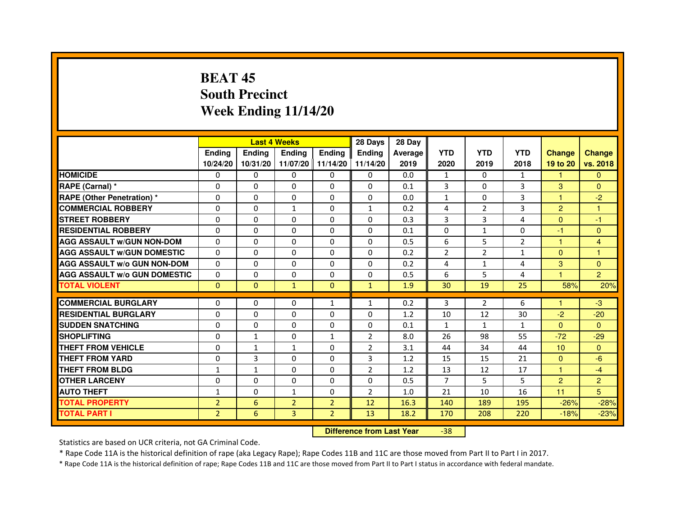# **BEAT 45 South PrecinctWeek Ending 11/14/20**

|                                     |                | <b>Last 4 Weeks</b> |                                  |                | 28 Days        | 28 Day  |                |                |                |                  |                |
|-------------------------------------|----------------|---------------------|----------------------------------|----------------|----------------|---------|----------------|----------------|----------------|------------------|----------------|
|                                     | Ending         | Ending              | Ending                           | <b>Ending</b>  | <b>Ending</b>  | Average | <b>YTD</b>     | <b>YTD</b>     | <b>YTD</b>     | <b>Change</b>    | <b>Change</b>  |
|                                     | 10/24/20       | 10/31/20            | 11/07/20 11/14/20                |                | 11/14/20       | 2019    | 2020           | 2019           | 2018           | 19 to 20         | vs. 2018       |
| <b>HOMICIDE</b>                     | 0              | 0                   | $\mathbf{0}$                     | 0              | 0              | 0.0     | $\mathbf{1}$   | $\Omega$       | $\mathbf{1}$   | $\mathbf{1}$     | $\mathbf{0}$   |
| RAPE (Carnal) *                     | 0              | 0                   | 0                                | 0              | 0              | 0.1     | 3              | $\mathbf{0}$   | 3              | 3                | $\Omega$       |
| <b>RAPE (Other Penetration) *</b>   | $\Omega$       | $\mathbf 0$         | $\Omega$                         | 0              | 0              | 0.0     | $\mathbf{1}$   | $\mathbf{0}$   | 3              | 1                | $-2$           |
| <b>COMMERCIAL ROBBERY</b>           | $\mathbf 0$    | 0                   | $\mathbf{1}$                     | 0              | $\mathbf{1}$   | 0.2     | 4              | $\overline{2}$ | 3              | $\overline{2}$   | $\mathbf{1}$   |
| <b>STREET ROBBERY</b>               | $\Omega$       | $\Omega$            | $\Omega$                         | $\Omega$       | $\Omega$       | 0.3     | 3              | 3              | $\overline{4}$ | $\Omega$         | $-1$           |
| <b>RESIDENTIAL ROBBERY</b>          | $\Omega$       | $\mathbf 0$         | 0                                | 0              | 0              | 0.1     | $\Omega$       | 1              | $\Omega$       | $-1$             | $\mathbf{0}$   |
| <b>AGG ASSAULT w/GUN NON-DOM</b>    | $\Omega$       | $\Omega$            | $\Omega$                         | $\Omega$       | 0              | 0.5     | 6              | 5              | $\overline{2}$ | $\mathbf{1}$     | 4              |
| <b>AGG ASSAULT W/GUN DOMESTIC</b>   | $\Omega$       | $\Omega$            | $\mathbf 0$                      | $\Omega$       | $\Omega$       | 0.2     | $\overline{2}$ | $\overline{2}$ | $\mathbf{1}$   | $\Omega$         | $\mathbf{1}$   |
| <b>AGG ASSAULT W/o GUN NON-DOM</b>  | $\Omega$       | $\Omega$            | $\Omega$                         | $\Omega$       | $\Omega$       | 0.2     | 4              | $\mathbf{1}$   | 4              | 3                | $\Omega$       |
| <b>AGG ASSAULT w/o GUN DOMESTIC</b> | $\Omega$       | $\mathbf 0$         | $\Omega$                         | 0              | 0              | 0.5     | 6              | 5              | 4              | 1                | $\overline{2}$ |
| <b>TOTAL VIOLENT</b>                | $\mathbf{0}$   | $\mathbf{0}$        | $\mathbf{1}$                     | $\mathbf{0}$   | $\mathbf{1}$   | 1.9     | 30             | 19             | 25             | 58%              | 20%            |
| <b>COMMERCIAL BURGLARY</b>          | 0              | 0                   | 0                                | $\mathbf{1}$   | $\mathbf{1}$   | 0.2     | 3              | $\overline{2}$ | 6              | 1                | $-3$           |
| <b>RESIDENTIAL BURGLARY</b>         | 0              | $\mathbf 0$         | 0                                | 0              | 0              | 1.2     | 10             | 12             | 30             | $-2$             | $-20$          |
| <b>SUDDEN SNATCHING</b>             | $\Omega$       | $\mathbf 0$         | $\Omega$                         | $\Omega$       | $\Omega$       | 0.1     | $\mathbf{1}$   | $\mathbf{1}$   | $\mathbf{1}$   | $\Omega$         | $\Omega$       |
| <b>SHOPLIFTING</b>                  | 0              | $\mathbf{1}$        | 0                                | 1              | 2              | 8.0     | 26             | 98             | 55             | $-72$            | $-29$          |
| THEFT FROM VEHICLE                  | $\Omega$       | $\mathbf{1}$        | $\mathbf{1}$                     | 0              | $\overline{2}$ | 3.1     | 44             | 34             | 44             | 10 <sup>10</sup> | $\Omega$       |
| <b>THEFT FROM YARD</b>              | $\Omega$       | 3                   | $\mathbf 0$                      | 0              | 3              | 1.2     | 15             | 15             | 21             | $\Omega$         | $-6$           |
| <b>THEFT FROM BLDG</b>              | $\mathbf{1}$   | $\mathbf{1}$        | $\Omega$                         | $\Omega$       | $\overline{2}$ | 1.2     | 13             | 12             | 17             | $\mathbf{1}$     | $-4$           |
| <b>OTHER LARCENY</b>                | $\Omega$       | $\Omega$            | $\Omega$                         | $\Omega$       | $\Omega$       | 0.5     | $\overline{7}$ | 5              | 5              | $\overline{2}$   | $\overline{2}$ |
| <b>AUTO THEFT</b>                   | $\mathbf{1}$   | $\Omega$            | $\mathbf{1}$                     | $\Omega$       | $\overline{2}$ | 1.0     | 21             | 10             | 16             | 11               | 5              |
| <b>TOTAL PROPERTY</b>               | $\overline{2}$ | $6\phantom{1}$      | $\overline{2}$                   | $\overline{2}$ | 12             | 16.3    | 140            | 189            | 195            | $-26%$           | $-28%$         |
| <b>TOTAL PART I</b>                 | $\overline{2}$ | 6                   | 3                                | $\overline{2}$ | 13             | 18.2    | 170            | 208            | 220            | $-18%$           | $-23%$         |
|                                     |                |                     | <b>Difference from Last Year</b> |                | $-38$          |         |                |                |                |                  |                |

 **Difference from Last Year**

Statistics are based on UCR criteria, not GA Criminal Code.

\* Rape Code 11A is the historical definition of rape (aka Legacy Rape); Rape Codes 11B and 11C are those moved from Part II to Part I in 2017.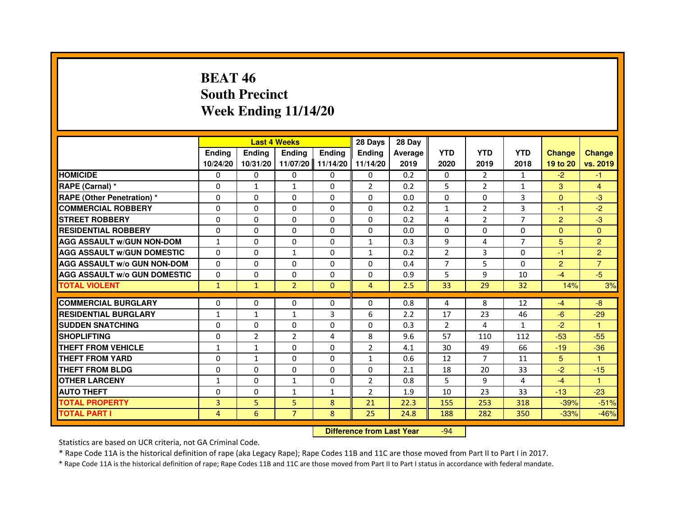# **BEAT 46 South PrecinctWeek Ending 11/14/20**

|                                     |                |                | <b>Last 4 Weeks</b> |                | 28 Days                          | 28 Day         |                |                |                |                |                |
|-------------------------------------|----------------|----------------|---------------------|----------------|----------------------------------|----------------|----------------|----------------|----------------|----------------|----------------|
|                                     | <b>Ending</b>  | <b>Ending</b>  | <b>Ending</b>       | <b>Ending</b>  | <b>Ending</b>                    | <b>Average</b> | <b>YTD</b>     | <b>YTD</b>     | <b>YTD</b>     | <b>Change</b>  | <b>Change</b>  |
|                                     | 10/24/20       | 10/31/20       | 11/07/20            | 11/14/20       | 11/14/20                         | 2019           | 2020           | 2019           | 2018           | 19 to 20       | vs. 2019       |
| <b>HOMICIDE</b>                     | $\Omega$       | $\Omega$       | $\mathbf{0}$        | $\Omega$       | 0                                | 0.2            | 0              | $\overline{2}$ | $\mathbf{1}$   | $-2$           | $-1$           |
| RAPE (Carnal) *                     | 0              | $\mathbf{1}$   | $\mathbf{1}$        | $\Omega$       | $\overline{2}$                   | 0.2            | 5              | $\overline{2}$ | $\mathbf{1}$   | 3              | 4              |
| RAPE (Other Penetration) *          | $\Omega$       | $\Omega$       | $\Omega$            | $\Omega$       | $\Omega$                         | 0.0            | $\Omega$       | $\Omega$       | 3              | $\Omega$       | $-3$           |
| <b>COMMERCIAL ROBBERY</b>           | 0              | $\Omega$       | $\Omega$            | $\Omega$       | $\Omega$                         | 0.2            | $\mathbf{1}$   | 2              | 3              | $-1$           | $-2$           |
| <b>STREET ROBBERY</b>               | 0              | $\Omega$       | 0                   | $\Omega$       | $\Omega$                         | 0.2            | 4              | $\overline{2}$ | $\overline{7}$ | $\overline{2}$ | $-3$           |
| <b>RESIDENTIAL ROBBERY</b>          | 0              | $\Omega$       | 0                   | $\Omega$       | $\Omega$                         | 0.0            | $\Omega$       | $\Omega$       | 0              | $\Omega$       | $\Omega$       |
| <b>AGG ASSAULT w/GUN NON-DOM</b>    | $\mathbf{1}$   | $\Omega$       | $\Omega$            | $\Omega$       | $\mathbf{1}$                     | 0.3            | 9              | 4              | $\overline{7}$ | 5              | $\overline{2}$ |
| <b>AGG ASSAULT W/GUN DOMESTIC</b>   | $\Omega$       | $\Omega$       | $\mathbf{1}$        | $\Omega$       | $\mathbf{1}$                     | 0.2            | $\overline{2}$ | $\mathbf{3}$   | $\Omega$       | $-1$           | $\overline{2}$ |
| <b>AGG ASSAULT W/o GUN NON-DOM</b>  | 0              | $\mathbf{0}$   | $\mathbf{0}$        | 0              | 0                                | 0.4            | 7              | 5              | $\Omega$       | $\overline{2}$ | $\overline{7}$ |
| <b>AGG ASSAULT w/o GUN DOMESTIC</b> | 0              | 0              | 0                   | 0              | $\Omega$                         | 0.9            | 5              | 9              | 10             | $-4$           | $-5$           |
| <b>TOTAL VIOLENT</b>                | $\mathbf{1}$   | $\mathbf{1}$   | $\overline{2}$      | $\mathbf{0}$   | $\overline{4}$                   | 2.5            | 33             | 29             | 32             | 14%            | 3%             |
| <b>COMMERCIAL BURGLARY</b>          | 0              | 0              | 0                   | 0              | $\Omega$                         | 0.8            | 4              | 8              | 12             | $-4$           | $-8$           |
| <b>RESIDENTIAL BURGLARY</b>         | 1              | $\mathbf{1}$   | $\mathbf{1}$        | $\overline{3}$ | 6                                | 2.2            | 17             | 23             | 46             | $-6$           | $-29$          |
| <b>SUDDEN SNATCHING</b>             | $\Omega$       | $\Omega$       | $\Omega$            | $\Omega$       | $\Omega$                         | 0.3            | $\mathcal{P}$  | 4              | $\mathbf{1}$   | $-2$           | 1              |
| <b>SHOPLIFTING</b>                  | 0              | $\overline{2}$ | 2                   | 4              | 8                                | 9.6            | 57             | 110            | 112            | $-53$          | $-55$          |
| <b>THEFT FROM VEHICLE</b>           | 1              | 1              | 0                   | $\Omega$       | $\overline{2}$                   | 4.1            | 30             | 49             | 66             | $-19$          | $-36$          |
| <b>THEFT FROM YARD</b>              | 0              | $\mathbf{1}$   | $\Omega$            | 0              | $\mathbf{1}$                     | 0.6            | 12             | $\overline{7}$ | 11             | 5 <sup>5</sup> | $\mathbf{1}$   |
| <b>THEFT FROM BLDG</b>              | $\Omega$       | $\Omega$       | $\Omega$            | $\Omega$       | $\Omega$                         | 2.1            | 18             | 20             | 33             | $-2$           | $-15$          |
| <b>OTHER LARCENY</b>                | 1              | $\Omega$       | $\mathbf{1}$        | $\Omega$       | 2                                | 0.8            | 5              | 9              | 4              | $-4$           | 1              |
| <b>AUTO THEFT</b>                   | $\Omega$       | $\Omega$       | $\mathbf{1}$        | $\mathbf{1}$   | $\overline{2}$                   | 1.9            | 10             | 23             | 33             | $-13$          | $-23$          |
| <b>TOTAL PROPERTY</b>               | $\overline{3}$ | 5              | 5                   | 8              | 21                               | 22.3           | 155            | 253            | 318            | $-39%$         | $-51%$         |
| <b>TOTAL PART I</b>                 | 4              | 6              | $\overline{7}$      | 8              | 25                               | 24.8           | 188            | 282            | 350            | $-33%$         | $-46%$         |
|                                     |                |                |                     |                | <b>Difference from Last Year</b> |                | $-94$          |                |                |                |                |

Statistics are based on UCR criteria, not GA Criminal Code.

\* Rape Code 11A is the historical definition of rape (aka Legacy Rape); Rape Codes 11B and 11C are those moved from Part II to Part I in 2017.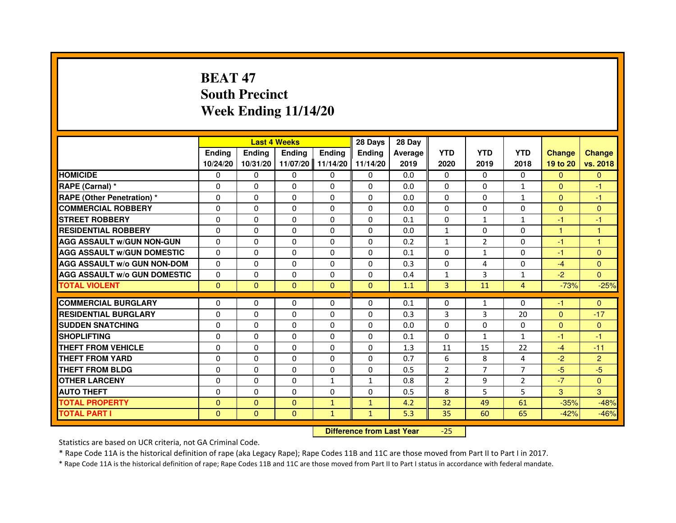# **BEAT 47 South PrecinctWeek Ending 11/14/20**

|                                     |               | <b>Last 4 Weeks</b> |                                  |               | 28 Days      | 28 Day  |                |                |                |               |                |
|-------------------------------------|---------------|---------------------|----------------------------------|---------------|--------------|---------|----------------|----------------|----------------|---------------|----------------|
|                                     | <b>Ending</b> | <b>Ending</b>       | Ending                           | <b>Ending</b> | Ending       | Average | <b>YTD</b>     | <b>YTD</b>     | <b>YTD</b>     | <b>Change</b> | <b>Change</b>  |
|                                     | 10/24/20      | 10/31/20            | 11/07/20                         | 11/14/20      | 11/14/20     | 2019    | 2020           | 2019           | 2018           | 19 to 20      | vs. 2018       |
| <b>HOMICIDE</b>                     | 0             | $\Omega$            | 0                                | $\Omega$      | $\mathbf{0}$ | 0.0     | $\Omega$       | 0              | $\Omega$       | $\mathbf{0}$  | $\mathbf{0}$   |
| RAPE (Carnal) *                     | 0             | 0                   | 0                                | $\mathbf{0}$  | 0            | 0.0     | 0              | 0              | $\mathbf{1}$   | $\mathbf{0}$  | $-1$           |
| RAPE (Other Penetration) *          | 0             | $\Omega$            | $\Omega$                         | $\Omega$      | $\Omega$     | 0.0     | $\Omega$       | $\Omega$       | $\mathbf{1}$   | $\Omega$      | $-1$           |
| <b>COMMERCIAL ROBBERY</b>           | 0             | $\Omega$            | $\Omega$                         | $\Omega$      | 0            | 0.0     | $\Omega$       | $\Omega$       | $\Omega$       | $\Omega$      | $\mathbf{0}$   |
| <b>STREET ROBBERY</b>               | $\Omega$      | $\Omega$            | $\Omega$                         | $\Omega$      | $\Omega$     | 0.1     | $\Omega$       | $\mathbf{1}$   | $\mathbf{1}$   | $-1$          | $-1$           |
| <b>RESIDENTIAL ROBBERY</b>          | 0             | 0                   | 0                                | 0             | 0            | 0.0     | 1              | 0              | $\Omega$       | $\mathbf{1}$  | 1              |
| <b>AGG ASSAULT w/GUN NON-GUN</b>    | $\Omega$      | $\Omega$            | $\Omega$                         | $\Omega$      | $\Omega$     | 0.2     | $\mathbf{1}$   | $\overline{2}$ | $\Omega$       | $-1$          | $\mathbf{1}$   |
| <b>AGG ASSAULT W/GUN DOMESTIC</b>   | $\Omega$      | $\Omega$            | $\Omega$                         | $\Omega$      | $\Omega$     | 0.1     | $\Omega$       | $\mathbf{1}$   | $\Omega$       | $-1$          | $\Omega$       |
| <b>AGG ASSAULT W/o GUN NON-DOM</b>  | $\Omega$      | $\Omega$            | $\Omega$                         | $\Omega$      | $\Omega$     | 0.3     | $\Omega$       | 4              | $\Omega$       | $-4$          | $\Omega$       |
| <b>AGG ASSAULT w/o GUN DOMESTIC</b> | $\Omega$      | $\Omega$            | 0                                | $\Omega$      | $\Omega$     | 0.4     | $\mathbf{1}$   | 3              | $\mathbf{1}$   | $-2$          | $\Omega$       |
| <b>TOTAL VIOLENT</b>                | $\mathbf{0}$  | $\mathbf{0}$        | $\mathbf 0$                      | $\mathbf{0}$  | $\mathbf{0}$ | 1.1     | 3              | 11             | $\overline{4}$ | $-73%$        | $-25%$         |
| <b>COMMERCIAL BURGLARY</b>          | 0             | 0                   | 0                                | 0             | 0            | 0.1     | 0              | $\mathbf{1}$   | 0              | $-1$          | $\Omega$       |
| <b>RESIDENTIAL BURGLARY</b>         | 0             | $\Omega$            | $\Omega$                         | $\Omega$      | 0            | 0.3     | 3              | 3              | 20             | $\Omega$      | $-17$          |
| <b>SUDDEN SNATCHING</b>             | $\Omega$      | $\Omega$            | $\Omega$                         | $\Omega$      | $\Omega$     | 0.0     | $\Omega$       | $\Omega$       | $\Omega$       | $\Omega$      | $\mathbf{0}$   |
| <b>SHOPLIFTING</b>                  | 0             | $\Omega$            | 0                                | $\Omega$      | 0            | 0.1     | $\Omega$       | $\mathbf{1}$   | $\mathbf{1}$   | $-1$          | $-1$           |
| <b>THEFT FROM VEHICLE</b>           | 0             | 0                   | 0                                | $\Omega$      | 0            | 1.3     | 11             | 15             | 22             | $-4$          | $-11$          |
| <b>THEFT FROM YARD</b>              | $\Omega$      | $\Omega$            | $\Omega$                         | $\Omega$      | $\Omega$     | 0.7     | 6              | 8              | 4              | $-2$          | $\overline{2}$ |
| <b>THEFT FROM BLDG</b>              | $\Omega$      | $\Omega$            | $\Omega$                         | $\Omega$      | $\Omega$     | 0.5     | $\overline{2}$ | $\overline{7}$ | $\overline{7}$ | $-5$          | $-5$           |
| <b>OTHER LARCENY</b>                | 0             | 0                   | 0                                | 1             | 1            | 0.8     | $\overline{2}$ | 9              | $\overline{2}$ | $-7$          | $\Omega$       |
| <b>AUTO THEFT</b>                   | $\Omega$      | $\Omega$            | $\Omega$                         | $\Omega$      | $\mathbf{0}$ | 0.5     | 8              | 5              | 5              | 3             | 3              |
| <b>TOTAL PROPERTY</b>               | $\Omega$      | $\mathbf{0}$        | $\Omega$                         | $\mathbf{1}$  | $\mathbf{1}$ | 4.2     | 32             | 49             | 61             | $-35%$        | $-48%$         |
| <b>TOTAL PART I</b>                 | $\mathbf{0}$  | $\mathbf{0}$        | $\mathbf{0}$                     | $\mathbf{1}$  | $\mathbf{1}$ | 5.3     | 35             | 60             | 65             | $-42%$        | $-46%$         |
|                                     |               |                     | <b>Difference from Last Year</b> |               | $-25$        |         |                |                |                |               |                |

 **Difference from Last Year**

Statistics are based on UCR criteria, not GA Criminal Code.

\* Rape Code 11A is the historical definition of rape (aka Legacy Rape); Rape Codes 11B and 11C are those moved from Part II to Part I in 2017.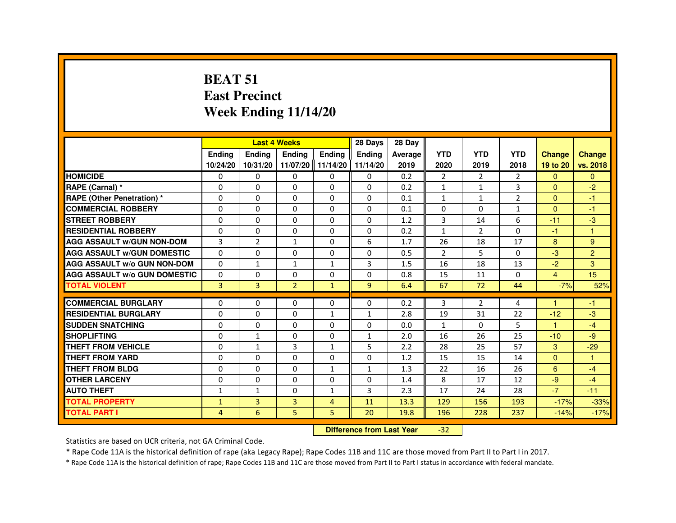#### **BEAT 51 East PrecinctWeek Ending 11/14/20**

|                                     |                |                                  | <b>Last 4 Weeks</b> |                   | 28 Days        | 28 Day  |                |                |                |                |                |
|-------------------------------------|----------------|----------------------------------|---------------------|-------------------|----------------|---------|----------------|----------------|----------------|----------------|----------------|
|                                     | <b>Endina</b>  | <b>Ending</b>                    | <b>Ending</b>       | <b>Ending</b>     | <b>Ending</b>  | Average | <b>YTD</b>     | <b>YTD</b>     | <b>YTD</b>     | <b>Change</b>  | <b>Change</b>  |
|                                     | 10/24/20       | 10/31/20                         |                     | 11/07/20 11/14/20 | 11/14/20       | 2019    | 2020           | 2019           | 2018           | 19 to 20       | vs. 2018       |
| <b>HOMICIDE</b>                     | 0              | 0                                | 0                   | $\Omega$          | 0              | 0.2     | $\overline{2}$ | $\overline{2}$ | $\overline{2}$ | $\overline{0}$ | $\mathbf{0}$   |
| RAPE (Carnal) *                     | 0              | 0                                | 0                   | 0                 | 0              | 0.2     | 1              | 1              | 3              | $\Omega$       | $-2$           |
| <b>RAPE (Other Penetration) *</b>   | 0              | 0                                | 0                   | 0                 | 0              | 0.1     | 1              | 1              | $\overline{2}$ | $\mathbf{0}$   | $-1$           |
| <b>COMMERCIAL ROBBERY</b>           | 0              | $\Omega$                         | 0                   | $\Omega$          | $\Omega$       | 0.1     | $\Omega$       | $\Omega$       | $\mathbf{1}$   | $\Omega$       | $-1$           |
| <b>STREET ROBBERY</b>               | 0              | 0                                | 0                   | 0                 | 0              | 1.2     | 3              | 14             | 6              | $-11$          | $-3$           |
| <b>RESIDENTIAL ROBBERY</b>          | 0              | 0                                | 0                   | 0                 | 0              | 0.2     | $\mathbf{1}$   | $\overline{2}$ | $\Omega$       | $-1$           | $\overline{1}$ |
| <b>AGG ASSAULT w/GUN NON-DOM</b>    | $\overline{3}$ | $\overline{2}$                   | $\mathbf{1}$        | $\Omega$          | 6              | 1.7     | 26             | 18             | 17             | 8              | 9              |
| <b>AGG ASSAULT W/GUN DOMESTIC</b>   | $\Omega$       | $\Omega$                         | $\Omega$            | $\Omega$          | $\Omega$       | 0.5     | $\overline{2}$ | 5              | $\Omega$       | $-3$           | $\overline{2}$ |
| <b>AGG ASSAULT w/o GUN NON-DOM</b>  | $\Omega$       | 1                                | 1                   | $\mathbf{1}$      | 3              | 1.5     | 16             | 18             | 13             | $-2$           | 3              |
| <b>AGG ASSAULT W/o GUN DOMESTIC</b> | $\Omega$       | $\Omega$                         | 0                   | $\Omega$          | $\Omega$       | 0.8     | 15             | 11             | $\Omega$       | $\overline{4}$ | 15             |
| <b>TOTAL VIOLENT</b>                | $\overline{3}$ | $\overline{3}$                   | $\overline{2}$      | $\mathbf{1}$      | $\overline{9}$ | 6.4     | 67             | 72             | 44             | $-7%$          | 52%            |
| <b>COMMERCIAL BURGLARY</b>          | 0              | 0                                | 0                   | 0                 | 0              | 0.2     | 3              | $\overline{2}$ | 4              | $\mathbf{1}$   | -1             |
| <b>RESIDENTIAL BURGLARY</b>         | 0              | $\Omega$                         | $\Omega$            | $\mathbf{1}$      | $\mathbf{1}$   | 2.8     | 19             | 31             | 22             | $-12$          | $-3$           |
| <b>SUDDEN SNATCHING</b>             | 0              | $\Omega$                         | $\Omega$            | $\Omega$          | $\Omega$       | 0.0     | $\mathbf{1}$   | $\Omega$       | 5              | 1              | $-4$           |
| <b>SHOPLIFTING</b>                  | 0              | $\mathbf{1}$                     | 0                   | $\Omega$          | $\mathbf{1}$   | 2.0     | 16             | 26             | 25             | $-10$          | $-9$           |
| <b>THEFT FROM VEHICLE</b>           | 0              | $\mathbf{1}$                     | 3                   | $\mathbf{1}$      | 5              | 2.2     | 28             | 25             | 57             | 3              | $-29$          |
| <b>THEFT FROM YARD</b>              | $\Omega$       | $\Omega$                         | $\Omega$            | $\Omega$          | $\Omega$       | 1.2     | 15             | 15             | 14             | $\Omega$       | $\overline{1}$ |
| THEFT FROM BLDG                     | 0              | 0                                | $\Omega$            | $\mathbf{1}$      | $\mathbf{1}$   | 1.3     | 22             | 16             | 26             | 6              | $-4$           |
| <b>OTHER LARCENY</b>                | $\Omega$       | $\Omega$                         | $\Omega$            | $\Omega$          | $\Omega$       | 1.4     | 8              | 17             | 12             | $-9$           | $-4$           |
| <b>AUTO THEFT</b>                   | $\mathbf{1}$   | $\mathbf{1}$                     | 0                   | $\mathbf{1}$      | 3              | 2.3     | 17             | 24             | 28             | $-7$           | $-11$          |
| <b>TOTAL PROPERTY</b>               | $\mathbf{1}$   | 3                                | 3                   | $\overline{4}$    | 11             | 13.3    | 129            | 156            | 193            | $-17%$         | $-33%$         |
| <b>TOTAL PART I</b>                 | 4              | 6                                | 5                   | 5                 | 20             | 19.8    | 196            | 228            | 237            | $-14%$         | $-17%$         |
|                                     |                | <b>Difference from Last Year</b> |                     | $-32$             |                |         |                |                |                |                |                |

 **Difference from Last Year**

Statistics are based on UCR criteria, not GA Criminal Code.

\* Rape Code 11A is the historical definition of rape (aka Legacy Rape); Rape Codes 11B and 11C are those moved from Part II to Part I in 2017.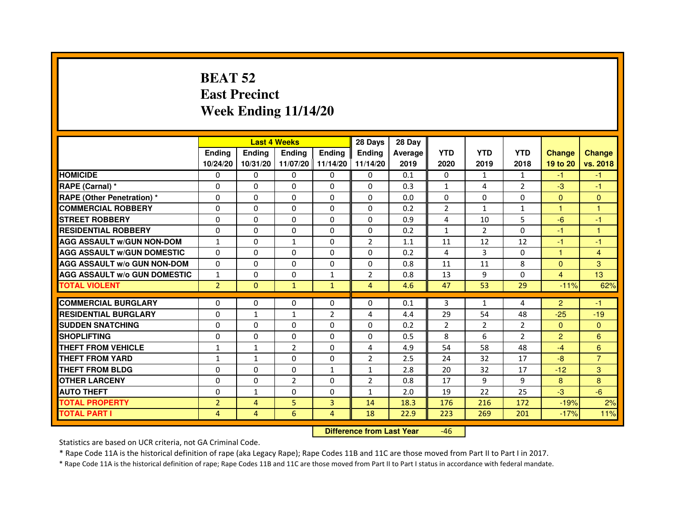# **BEAT 52 East PrecinctWeek Ending 11/14/20**

|                                     |                | <b>Last 4 Weeks</b> |                |                   | 28 Days        | 28 Day         |                |                |                |                |                |
|-------------------------------------|----------------|---------------------|----------------|-------------------|----------------|----------------|----------------|----------------|----------------|----------------|----------------|
|                                     | <b>Endina</b>  | <b>Endina</b>       | <b>Endina</b>  | <b>Endina</b>     | <b>Endina</b>  | <b>Average</b> | <b>YTD</b>     | <b>YTD</b>     | <b>YTD</b>     | <b>Change</b>  | <b>Change</b>  |
|                                     | 10/24/20       | 10/31/20            |                | 11/07/20 11/14/20 | 11/14/20       | 2019           | 2020           | 2019           | 2018           | 19 to 20       | vs. 2018       |
| <b>HOMICIDE</b>                     | 0              | $\Omega$            | $\Omega$       | 0                 | 0              | 0.1            | 0              | $\mathbf{1}$   | 1              | -1.            | -1.            |
| RAPE (Carnal) *                     | $\Omega$       | $\Omega$            | $\Omega$       | $\Omega$          | $\Omega$       | 0.3            | $\mathbf{1}$   | 4              | $\overline{2}$ | $-3$           | $-1$           |
| RAPE (Other Penetration) *          | $\Omega$       | $\Omega$            | $\Omega$       | $\Omega$          | $\Omega$       | 0.0            | $\Omega$       | $\Omega$       | $\Omega$       | $\Omega$       | $\mathbf{0}$   |
| <b>COMMERCIAL ROBBERY</b>           | $\Omega$       | $\Omega$            | $\Omega$       | $\Omega$          | $\Omega$       | 0.2            | 2              | $\mathbf{1}$   | $\mathbf{1}$   | 1              | 1              |
| <b>STREET ROBBERY</b>               | $\Omega$       | $\Omega$            | $\Omega$       | $\Omega$          | $\Omega$       | 0.9            | $\overline{4}$ | 10             | 5              | $-6$           | $-1$           |
| <b>RESIDENTIAL ROBBERY</b>          | 0              | $\Omega$            | $\Omega$       | $\Omega$          | $\Omega$       | 0.2            | $\mathbf{1}$   | 2              | $\Omega$       | $-1$           | 1              |
| <b>AGG ASSAULT W/GUN NON-DOM</b>    | $\mathbf{1}$   | $\Omega$            | $\mathbf{1}$   | $\Omega$          | $\overline{2}$ | 1.1            | 11             | 12             | 12             | $-1$           | $-1$           |
| <b>AGG ASSAULT W/GUN DOMESTIC</b>   | $\Omega$       | 0                   | $\Omega$       | 0                 | $\Omega$       | 0.2            | 4              | 3              | $\Omega$       | $\mathbf{1}$   | $\overline{4}$ |
| <b>AGG ASSAULT W/o GUN NON-DOM</b>  | $\Omega$       | $\Omega$            | $\Omega$       | $\Omega$          | $\Omega$       | 0.8            | 11             | 11             | 8              | $\Omega$       | 3              |
| <b>AGG ASSAULT W/o GUN DOMESTIC</b> | $\mathbf{1}$   | $\Omega$            | $\Omega$       | $\mathbf{1}$      | $\overline{2}$ | 0.8            | 13             | 9              | $\Omega$       | 4              | 13             |
| <b>TOTAL VIOLENT</b>                | $\overline{2}$ | $\Omega$            | $\mathbf{1}$   | $\mathbf{1}$      | $\overline{4}$ | 4.6            | 47             | 53             | 29             | $-11%$         | 62%            |
|                                     |                |                     |                |                   |                |                |                |                |                |                |                |
| <b>COMMERCIAL BURGLARY</b>          | $\Omega$       | $\Omega$            | $\Omega$       | $\Omega$          | $\Omega$       | 0.1            | 3              | $\mathbf{1}$   | 4              | $\overline{2}$ | $-1$           |
| <b>RESIDENTIAL BURGLARY</b>         | $\Omega$       | $\mathbf{1}$        | 1              | $\overline{2}$    | 4              | 4.4            | 29             | 54             | 48             | $-25$          | $-19$          |
| <b>SUDDEN SNATCHING</b>             | $\Omega$       | $\Omega$            | $\Omega$       | $\Omega$          | $\Omega$       | 0.2            | $\overline{2}$ | $\overline{2}$ | $\overline{2}$ | $\Omega$       | $\Omega$       |
| <b>SHOPLIFTING</b>                  | 0              | 0                   | 0              | 0                 | 0              | 0.5            | 8              | 6              | $\overline{2}$ | $\overline{2}$ | 6              |
| <b>THEFT FROM VEHICLE</b>           | 1              | $\mathbf{1}$        | $\overline{2}$ | $\Omega$          | $\overline{4}$ | 4.9            | 54             | 58             | 48             | $-4$           | 6              |
| <b>THEFT FROM YARD</b>              | $\mathbf{1}$   | $\mathbf{1}$        | $\Omega$       | $\Omega$          | $\overline{2}$ | 2.5            | 24             | 32             | 17             | $-8$           | $\overline{7}$ |
| <b>THEFT FROM BLDG</b>              | 0              | 0                   | 0              | 1                 | 1              | 2.8            | 20             | 32             | 17             | $-12$          | 3              |
| <b>OTHER LARCENY</b>                | $\Omega$       | $\Omega$            | $\overline{2}$ | $\Omega$          | $\overline{2}$ | 0.8            | 17             | 9              | 9              | 8              | 8              |
| <b>AUTO THEFT</b>                   | $\Omega$       | $\mathbf{1}$        | $\Omega$       | $\Omega$          | $\mathbf{1}$   | 2.0            | 19             | 22             | 25             | $-3$           | $-6$           |
| <b>TOTAL PROPERTY</b>               | $\overline{2}$ | $\overline{4}$      | 5              | 3                 | 14             | 18.3           | 176            | 216            | 172            | $-19%$         | 2%             |
| <b>TOTAL PART I</b>                 | $\overline{4}$ | $\overline{4}$      | 6              | $\overline{4}$    | 18             | 22.9           | 223            | 269            | 201            | $-17%$         | 11%            |

 **Difference from Last Year**-46

Statistics are based on UCR criteria, not GA Criminal Code.

\* Rape Code 11A is the historical definition of rape (aka Legacy Rape); Rape Codes 11B and 11C are those moved from Part II to Part I in 2017.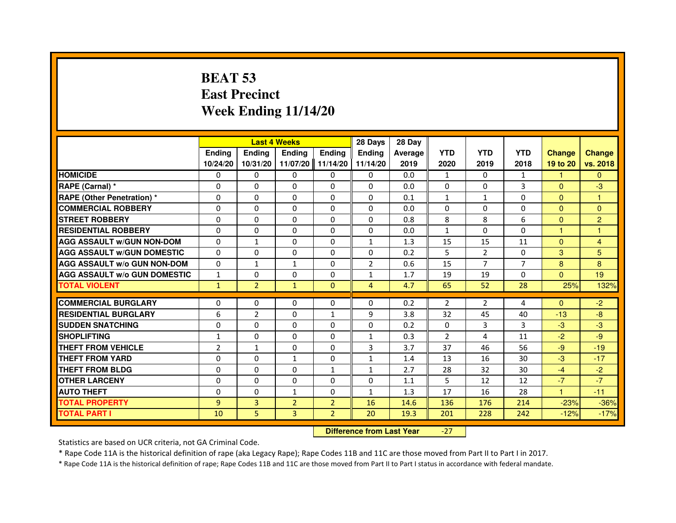# **BEAT 53 East PrecinctWeek Ending 11/14/20**

|                                     |                |                                  | <b>Last 4 Weeks</b> |                | 28 Days        | 28 Day  |              |                |                |               |                |
|-------------------------------------|----------------|----------------------------------|---------------------|----------------|----------------|---------|--------------|----------------|----------------|---------------|----------------|
|                                     | <b>Ending</b>  | Ending                           | Ending              | <b>Ending</b>  | <b>Endina</b>  | Average | <b>YTD</b>   | <b>YTD</b>     | <b>YTD</b>     | <b>Change</b> | <b>Change</b>  |
|                                     | 10/24/20       | 10/31/20                         | 11/07/20            | 11/14/20       | 11/14/20       | 2019    | 2020         | 2019           | 2018           | 19 to 20      | vs. 2018       |
| <b>HOMICIDE</b>                     | 0              | $\Omega$                         | $\Omega$            | 0              | 0              | 0.0     | $\mathbf{1}$ | $\Omega$       | $\mathbf{1}$   | $\mathbf{1}$  | $\Omega$       |
| RAPE (Carnal) *                     | 0              | $\mathbf{0}$                     | 0                   | 0              | 0              | 0.0     | 0            | 0              | 3              | $\Omega$      | $-3$           |
| RAPE (Other Penetration) *          | $\Omega$       | 0                                | $\Omega$            | $\Omega$       | 0              | 0.1     | $\mathbf{1}$ | $\mathbf{1}$   | $\Omega$       | $\mathbf{0}$  | 1              |
| <b>COMMERCIAL ROBBERY</b>           | $\Omega$       | $\Omega$                         | $\Omega$            | $\Omega$       | $\Omega$       | 0.0     | $\Omega$     | $\mathbf{0}$   | $\Omega$       | $\mathbf{0}$  | $\mathbf{0}$   |
| <b>STREET ROBBERY</b>               | $\Omega$       | $\Omega$                         | $\Omega$            | $\Omega$       | $\Omega$       | 0.8     | 8            | 8              | 6              | $\Omega$      | $\overline{2}$ |
| <b>RESIDENTIAL ROBBERY</b>          | 0              | 0                                | 0                   | 0              | 0              | 0.0     | $\mathbf{1}$ | $\mathbf{0}$   | $\Omega$       | 1             | 1              |
| <b>AGG ASSAULT w/GUN NON-DOM</b>    | $\Omega$       | $\mathbf{1}$                     | $\Omega$            | $\Omega$       | $\mathbf{1}$   | 1.3     | 15           | 15             | 11             | $\mathbf{0}$  | $\overline{4}$ |
| <b>AGG ASSAULT W/GUN DOMESTIC</b>   | $\Omega$       | $\Omega$                         | $\Omega$            | $\Omega$       | $\Omega$       | 0.2     | 5            | $\overline{2}$ | $\Omega$       | 3             | 5              |
| <b>AGG ASSAULT W/o GUN NON-DOM</b>  | $\Omega$       | $\mathbf{1}$                     | $\mathbf{1}$        | $\Omega$       | $\overline{2}$ | 0.6     | 15           | $\overline{7}$ | $\overline{7}$ | 8             | 8              |
| <b>AGG ASSAULT W/o GUN DOMESTIC</b> | $\mathbf{1}$   | $\Omega$                         | 0                   | $\Omega$       | $\mathbf{1}$   | 1.7     | 19           | 19             | 0              | $\Omega$      | 19             |
| <b>TOTAL VIOLENT</b>                | $\mathbf{1}$   | $\overline{2}$                   | $\mathbf{1}$        | $\mathbf{0}$   | $\overline{4}$ | 4.7     | 65           | 52             | 28             | 25%           | 132%           |
| <b>COMMERCIAL BURGLARY</b>          | 0              | 0                                | 0                   | 0              | 0              | 0.2     | 2            | 2              | 4              | $\Omega$      | $-2$           |
| <b>RESIDENTIAL BURGLARY</b>         | 6              | $\overline{2}$                   | $\Omega$            | 1              | 9              | 3.8     | 32           | 45             | 40             | $-13$         | $-8$           |
| <b>SUDDEN SNATCHING</b>             | 0              | $\Omega$                         | $\Omega$            | $\Omega$       | $\Omega$       | 0.2     | $\Omega$     | $\overline{3}$ | 3              | $-3$          | $-3$           |
| <b>SHOPLIFTING</b>                  | 1              | $\Omega$                         | $\Omega$            | 0              | 1              | 0.3     | 2            | 4              | 11             | $-2$          | $-9$           |
| THEFT FROM VEHICLE                  | $\overline{2}$ | $\mathbf{1}$                     | 0                   | $\Omega$       | 3              | 3.7     | 37           | 46             | 56             | $-9$          | $-19$          |
| <b>THEFT FROM YARD</b>              | $\Omega$       | $\Omega$                         | $\mathbf{1}$        | $\Omega$       | $\mathbf{1}$   | 1.4     | 13           | 16             | 30             | $-3$          | $-17$          |
| <b>THEFT FROM BLDG</b>              | $\Omega$       | $\Omega$                         | $\Omega$            | $\mathbf{1}$   | $\mathbf{1}$   | 2.7     | 28           | 32             | 30             | $-4$          | $-2$           |
| <b>OTHER LARCENY</b>                | 0              | $\mathbf{0}$                     | $\mathbf{0}$        | 0              | 0              | 1.1     | 5            | 12             | 12             | $-7$          | $-7$           |
| <b>AUTO THEFT</b>                   | $\Omega$       | $\Omega$                         | $\mathbf{1}$        | $\Omega$       | $\mathbf{1}$   | 1.3     | 17           | 16             | 28             | $\mathbf{1}$  | $-11$          |
| <b>TOTAL PROPERTY</b>               | $\overline{9}$ | $\overline{3}$                   | $\overline{2}$      | $\overline{2}$ | 16             | 14.6    | 136          | 176            | 214            | $-23%$        | $-36%$         |
| <b>TOTAL PART I</b>                 | 10             | 5                                | 3                   | $\overline{2}$ | 20             | 19.3    | 201          | 228            | 242            | $-12%$        | $-17%$         |
|                                     |                | <b>Difference from Last Year</b> |                     | $-27$          |                |         |              |                |                |               |                |

 **Difference from Last Year**

Statistics are based on UCR criteria, not GA Criminal Code.

\* Rape Code 11A is the historical definition of rape (aka Legacy Rape); Rape Codes 11B and 11C are those moved from Part II to Part I in 2017.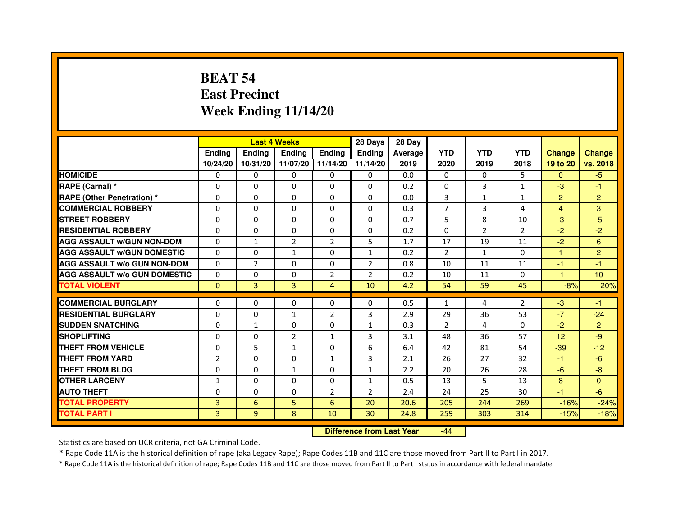# **BEAT 54 East PrecinctWeek Ending 11/14/20**

|                                     |                | <b>Last 4 Weeks</b> |                |                   | 28 Days        | 28 Day  |                |                |                |                |                |
|-------------------------------------|----------------|---------------------|----------------|-------------------|----------------|---------|----------------|----------------|----------------|----------------|----------------|
|                                     | <b>Endina</b>  | <b>Endina</b>       | <b>Endina</b>  | <b>Ending</b>     | <b>Endina</b>  | Average | <b>YTD</b>     | <b>YTD</b>     | <b>YTD</b>     | <b>Change</b>  | <b>Change</b>  |
|                                     | 10/24/20       | 10/31/20            |                | 11/07/20 11/14/20 | 11/14/20       | 2019    | 2020           | 2019           | 2018           | 19 to 20       | vs. 2018       |
| <b>HOMICIDE</b>                     | 0              | 0                   | 0              | 0                 | 0              | 0.0     | 0              | 0              | 5              | $\mathbf{0}$   | $-5$           |
| RAPE (Carnal) *                     | $\Omega$       | $\Omega$            | $\Omega$       | $\Omega$          | $\Omega$       | 0.2     | $\Omega$       | 3              | $\mathbf{1}$   | $-3$           | $-1$           |
| <b>RAPE (Other Penetration)*</b>    | $\Omega$       | $\Omega$            | $\Omega$       | $\Omega$          | $\Omega$       | 0.0     | 3              | $\mathbf{1}$   | $\mathbf{1}$   | $\overline{2}$ | $\overline{2}$ |
| <b>COMMERCIAL ROBBERY</b>           | 0              | 0                   | $\Omega$       | 0                 | 0              | 0.3     | 7              | 3              | 4              | 4              | 3              |
| <b>STREET ROBBERY</b>               | 0              | 0                   | 0              | 0                 | $\Omega$       | 0.7     | 5              | 8              | 10             | $-3$           | $-5$           |
| <b>RESIDENTIAL ROBBERY</b>          | $\Omega$       | $\Omega$            | $\Omega$       | $\Omega$          | $\Omega$       | 0.2     | $\Omega$       | $\overline{2}$ | $\overline{2}$ | $-2$           | $-2$           |
| <b>AGG ASSAULT W/GUN NON-DOM</b>    | $\Omega$       | $\mathbf{1}$        | $\overline{2}$ | $\overline{2}$    | 5              | 1.7     | 17             | 19             | 11             | $-2$           | 6              |
| <b>AGG ASSAULT w/GUN DOMESTIC</b>   | $\Omega$       | $\Omega$            | $\mathbf{1}$   | $\Omega$          | $\mathbf{1}$   | 0.2     | 2              | $\mathbf{1}$   | $\Omega$       | 1              | $\overline{2}$ |
| <b>AGG ASSAULT W/o GUN NON-DOM</b>  | $\Omega$       | $\overline{2}$      | $\Omega$       | $\Omega$          | $\overline{2}$ | 0.8     | 10             | 11             | 11             | $-1$           | $-1$           |
| <b>AGG ASSAULT W/o GUN DOMESTIC</b> | $\Omega$       | $\Omega$            | $\Omega$       | $\overline{2}$    | $\overline{2}$ | 0.2     | 10             | 11             | $\Omega$       | $-1$           | 10             |
| <b>TOTAL VIOLENT</b>                | $\Omega$       | $\overline{3}$      | $\overline{3}$ | $\overline{4}$    | 10             | 4.2     | 54             | 59             | 45             | $-8%$          | 20%            |
|                                     |                |                     |                |                   |                |         |                |                |                |                |                |
| <b>COMMERCIAL BURGLARY</b>          | $\Omega$       | $\Omega$            | $\Omega$       | $\Omega$          | $\Omega$       | 0.5     | $\mathbf{1}$   | 4              | $\overline{2}$ | $-3$           | $-1$           |
| <b>RESIDENTIAL BURGLARY</b>         | $\Omega$       | 0                   | $\mathbf{1}$   | $\overline{2}$    | 3              | 2.9     | 29             | 36             | 53             | $-7$           | $-24$          |
| <b>SUDDEN SNATCHING</b>             | 0              | $\mathbf{1}$        | $\Omega$       | 0                 | $\mathbf{1}$   | 0.3     | $\overline{2}$ | 4              | $\Omega$       | $-2$           | $\overline{2}$ |
| <b>SHOPLIFTING</b>                  | $\Omega$       | $\Omega$            | $\overline{2}$ | $\mathbf{1}$      | 3              | 3.1     | 48             | 36             | 57             | 12             | $-9$           |
| <b>THEFT FROM VEHICLE</b>           | $\Omega$       | 5                   | $\mathbf{1}$   | $\Omega$          | 6              | 6.4     | 42             | 81             | 54             | $-39$          | $-12$          |
| <b>THEFT FROM YARD</b>              | $\mathfrak{p}$ | $\Omega$            | $\Omega$       | $\mathbf{1}$      | 3              | 2.1     | 26             | 27             | 32             | $-1$           | $-6$           |
| <b>THEFT FROM BLDG</b>              | 0              | 0                   | $\mathbf{1}$   | 0                 | 1              | 2.2     | 20             | 26             | 28             | $-6$           | -8             |
| <b>OTHER LARCENY</b>                | 1              | $\Omega$            | $\Omega$       | $\Omega$          | 1              | 0.5     | 13             | 5              | 13             | 8              | $\Omega$       |
| <b>AUTO THEFT</b>                   | $\Omega$       | 0                   | $\Omega$       | $\overline{2}$    | $\overline{2}$ | 2.4     | 24             | 25             | 30             | $-1$           | -6             |
| <b>TOTAL PROPERTY</b>               | 3              | 6                   | 5              | 6                 | 20             | 20.6    | 205            | 244            | 269            | $-16%$         | $-24%$         |
| <b>TOTAL PART I</b>                 | 3              | 9                   | 8              | 10                | 30             | 24.8    | 259            | 303            | 314            | $-15%$         | $-18%$         |

 **Difference from Last Year**-44

Statistics are based on UCR criteria, not GA Criminal Code.

\* Rape Code 11A is the historical definition of rape (aka Legacy Rape); Rape Codes 11B and 11C are those moved from Part II to Part I in 2017.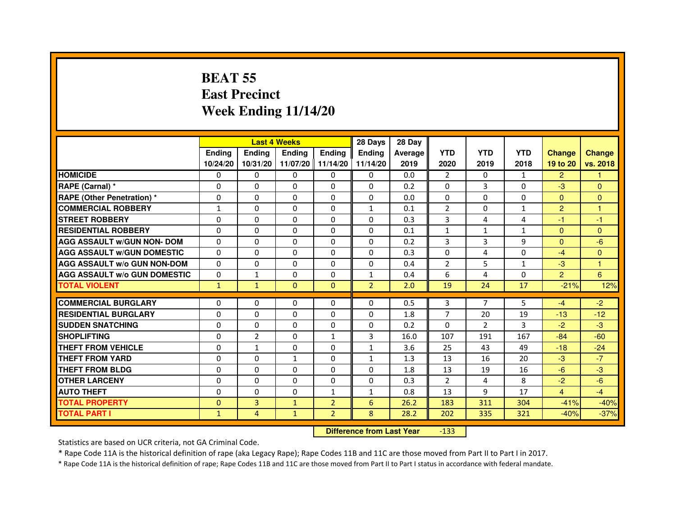# **BEAT 55 East PrecinctWeek Ending 11/14/20**

|                                     |               |                | <b>Last 4 Weeks</b> |                | 28 Days        | 28 Day  |                |                |              |                |               |
|-------------------------------------|---------------|----------------|---------------------|----------------|----------------|---------|----------------|----------------|--------------|----------------|---------------|
|                                     | <b>Endina</b> | <b>Endina</b>  | <b>Endina</b>       | <b>Endina</b>  | <b>Endina</b>  | Average | <b>YTD</b>     | <b>YTD</b>     | <b>YTD</b>   | <b>Change</b>  | <b>Change</b> |
|                                     | 10/24/20      | 10/31/20       | 11/07/20 11/14/20   |                | 11/14/20       | 2019    | 2020           | 2019           | 2018         | 19 to 20       | vs. 2018      |
| <b>HOMICIDE</b>                     | $\Omega$      | $\Omega$       | $\Omega$            | $\mathbf{0}$   | 0              | 0.0     | 2              | $\Omega$       | $\mathbf{1}$ | $\overline{2}$ |               |
| RAPE (Carnal) *                     | $\Omega$      | $\Omega$       | $\Omega$            | $\Omega$       | $\Omega$       | 0.2     | $\Omega$       | 3              | $\Omega$     | $-3$           | $\mathbf{0}$  |
| <b>RAPE (Other Penetration) *</b>   | $\Omega$      | $\Omega$       | $\Omega$            | $\Omega$       | $\Omega$       | 0.0     | $\Omega$       | $\Omega$       | $\Omega$     | $\Omega$       | $\mathbf{0}$  |
| <b>COMMERCIAL ROBBERY</b>           | $\mathbf{1}$  | $\mathbf{0}$   | 0                   | 0              | 1              | 0.1     | 2              | 0              | 1            | $\overline{2}$ |               |
| <b>STREET ROBBERY</b>               | $\Omega$      | $\Omega$       | $\Omega$            | $\Omega$       | $\Omega$       | 0.3     | 3              | 4              | 4            | $-1$           | $-1$          |
| <b>RESIDENTIAL ROBBERY</b>          | $\Omega$      | $\Omega$       | $\Omega$            | $\Omega$       | $\Omega$       | 0.1     | $\mathbf{1}$   | $\mathbf{1}$   | $\mathbf{1}$ | $\mathbf{0}$   | $\mathbf{0}$  |
| <b>AGG ASSAULT w/GUN NON- DOM</b>   | $\Omega$      | $\Omega$       | $\Omega$            | $\Omega$       | $\Omega$       | 0.2     | 3              | 3              | 9            | $\Omega$       | $-6$          |
| <b>AGG ASSAULT W/GUN DOMESTIC</b>   | $\Omega$      | $\Omega$       | $\Omega$            | $\Omega$       | $\Omega$       | 0.3     | $\Omega$       | 4              | $\Omega$     | $-4$           | $\Omega$      |
| <b>AGG ASSAULT W/o GUN NON-DOM</b>  | $\Omega$      | 0              | $\Omega$            | 0              | $\Omega$       | 0.4     | $\overline{2}$ | 5              | $\mathbf{1}$ | $-3$           |               |
| <b>AGG ASSAULT W/o GUN DOMESTIC</b> | $\Omega$      | 1              | $\Omega$            | 0              | 1              | 0.4     | 6              | 4              | 0            | $\overline{2}$ | 6             |
| <b>TOTAL VIOLENT</b>                | $\mathbf{1}$  | $\mathbf{1}$   | $\mathbf{0}$        | $\mathbf{0}$   | $\overline{2}$ | 2.0     | 19             | 24             | 17           | $-21%$         | 12%           |
|                                     |               |                |                     |                |                |         |                |                |              |                |               |
| <b>COMMERCIAL BURGLARY</b>          | $\Omega$      | $\mathbf{0}$   | 0                   | 0              | 0              | 0.5     | 3              | 7              | 5            | $-4$           | $-2$          |
| <b>RESIDENTIAL BURGLARY</b>         | $\Omega$      | $\Omega$       | $\Omega$            | $\Omega$       | $\Omega$       | 1.8     | $\overline{7}$ | 20             | 19           | $-13$          | $-12$         |
| <b>SUDDEN SNATCHING</b>             | $\Omega$      | $\Omega$       | 0                   | 0              | $\Omega$       | 0.2     | 0              | $\overline{2}$ | 3            | $-2$           | $-3$          |
| <b>SHOPLIFTING</b>                  | $\Omega$      | $\overline{2}$ | $\Omega$            | $\mathbf{1}$   | $\overline{3}$ | 16.0    | 107            | 191            | 167          | $-84$          | $-60$         |
| THEFT FROM VEHICLE                  | $\Omega$      | $\mathbf{1}$   | $\Omega$            | $\Omega$       | $\mathbf{1}$   | 3.6     | 25             | 43             | 49           | $-18$          | $-24$         |
| <b>THEFT FROM YARD</b>              | $\Omega$      | $\Omega$       | $\mathbf{1}$        | 0              | 1              | 1.3     | 13             | 16             | 20           | $-3$           | $-7$          |
| <b>THEFT FROM BLDG</b>              | $\Omega$      | $\Omega$       | $\Omega$            | $\Omega$       | $\Omega$       | 1.8     | 13             | 19             | 16           | $-6$           | -3            |
| <b>OTHER LARCENY</b>                | $\Omega$      | $\Omega$       | 0                   | 0              | 0              | 0.3     | $\overline{2}$ | 4              | 8            | $-2$           | $-6$          |
| <b>AUTO THEFT</b>                   | $\Omega$      | $\Omega$       | $\Omega$            | $\mathbf{1}$   | $\mathbf{1}$   | 0.8     | 13             | 9              | 17           | $\overline{4}$ | $-4$          |
| <b>TOTAL PROPERTY</b>               | $\mathbf{0}$  | 3              | $\mathbf{1}$        | $\overline{2}$ | 6              | 26.2    | 183            | 311            | 304          | $-41%$         | $-40%$        |
| <b>TOTAL PART I</b>                 | $\mathbf{1}$  | 4              | $\mathbf{1}$        | $\overline{2}$ | 8              | 28.2    | 202            | 335            | 321          | $-40%$         | $-37%$        |

 **Difference from Last Year**-133

Statistics are based on UCR criteria, not GA Criminal Code.

\* Rape Code 11A is the historical definition of rape (aka Legacy Rape); Rape Codes 11B and 11C are those moved from Part II to Part I in 2017.